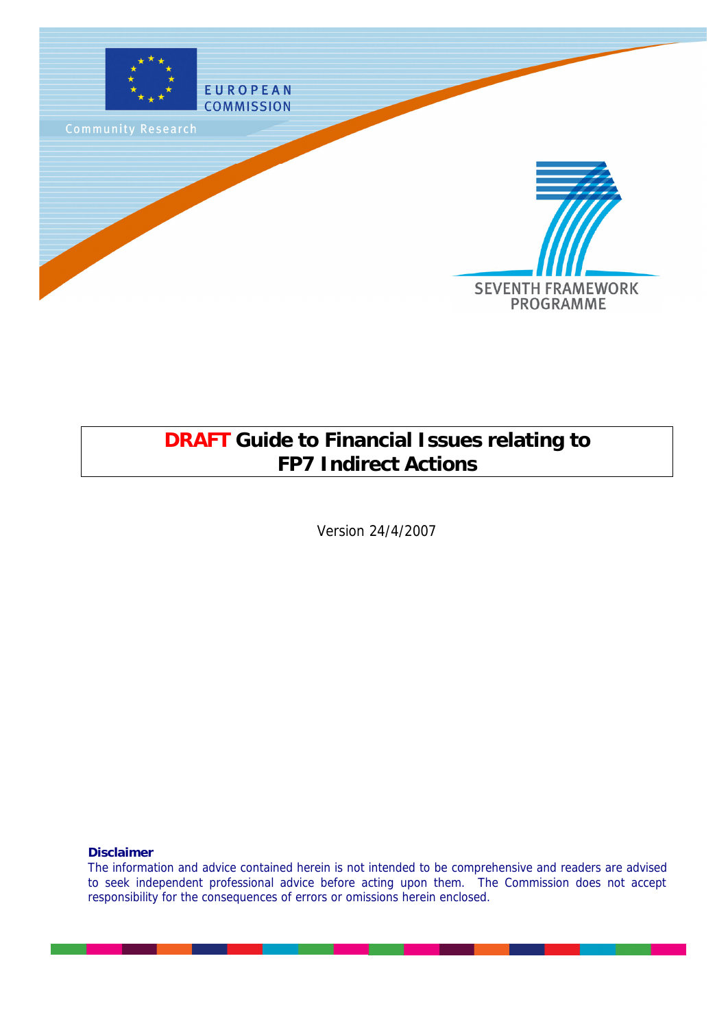

## **DRAFT Guide to Financial Issues relating to FP7 Indirect Actions**

Version 24/4/2007

**Disclaimer**

The information and advice contained herein is not intended to be comprehensive and readers are advised to seek independent professional advice before acting upon them. The Commission does not accept responsibility for the consequences of errors or omissions herein enclosed.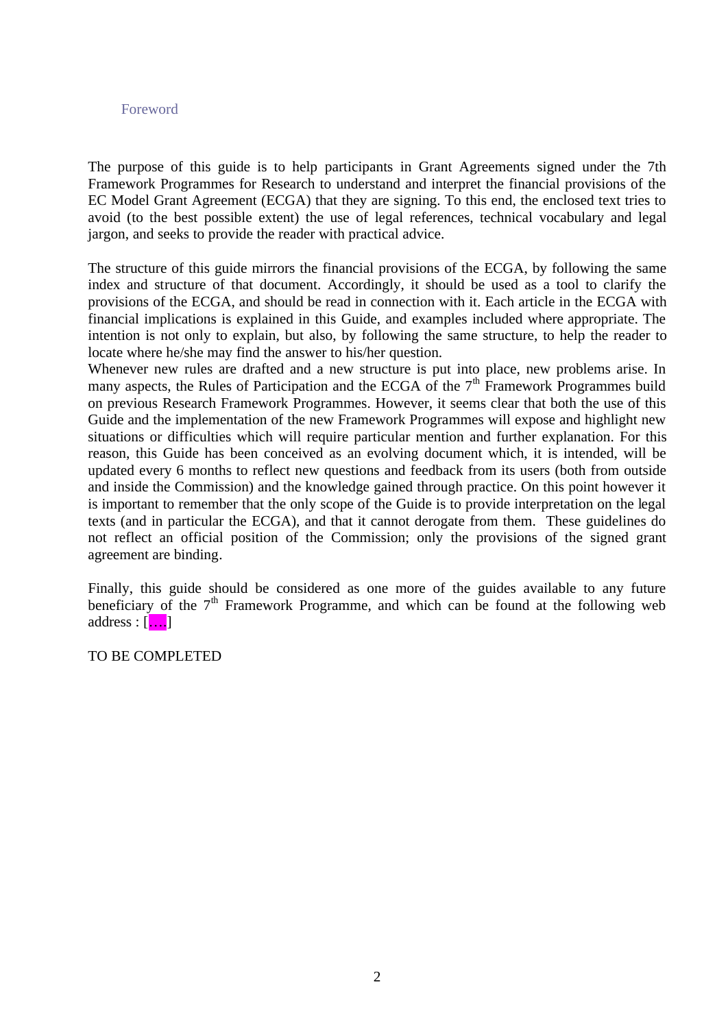#### Foreword

The purpose of this guide is to help participants in Grant Agreements signed under the 7th Framework Programmes for Research to understand and interpret the financial provisions of the EC Model Grant Agreement (ECGA) that they are signing. To this end, the enclosed text tries to avoid (to the best possible extent) the use of legal references, technical vocabulary and legal jargon, and seeks to provide the reader with practical advice.

The structure of this guide mirrors the financial provisions of the ECGA, by following the same index and structure of that document. Accordingly, it should be used as a tool to clarify the provisions of the ECGA, and should be read in connection with it. Each article in the ECGA with financial implications is explained in this Guide, and examples included where appropriate. The intention is not only to explain, but also, by following the same structure, to help the reader to locate where he/she may find the answer to his/her question.

Whenever new rules are drafted and a new structure is put into place, new problems arise. In many aspects, the Rules of Participation and the ECGA of the  $7<sup>th</sup>$  Framework Programmes build on previous Research Framework Programmes. However, it seems clear that both the use of this Guide and the implementation of the new Framework Programmes will expose and highlight new situations or difficulties which will require particular mention and further explanation. For this reason, this Guide has been conceived as an evolving document which, it is intended, will be updated every 6 months to reflect new questions and feedback from its users (both from outside and inside the Commission) and the knowledge gained through practice. On this point however it is important to remember that the only scope of the Guide is to provide interpretation on the legal texts (and in particular the ECGA), and that it cannot derogate from them. These guidelines do not reflect an official position of the Commission; only the provisions of the signed grant agreement are binding.

Finally, this guide should be considered as one more of the guides available to any future beneficiary of the  $7<sup>th</sup>$  Framework Programme, and which can be found at the following web address :  $[\ldots]$ 

TO BE COMPLETED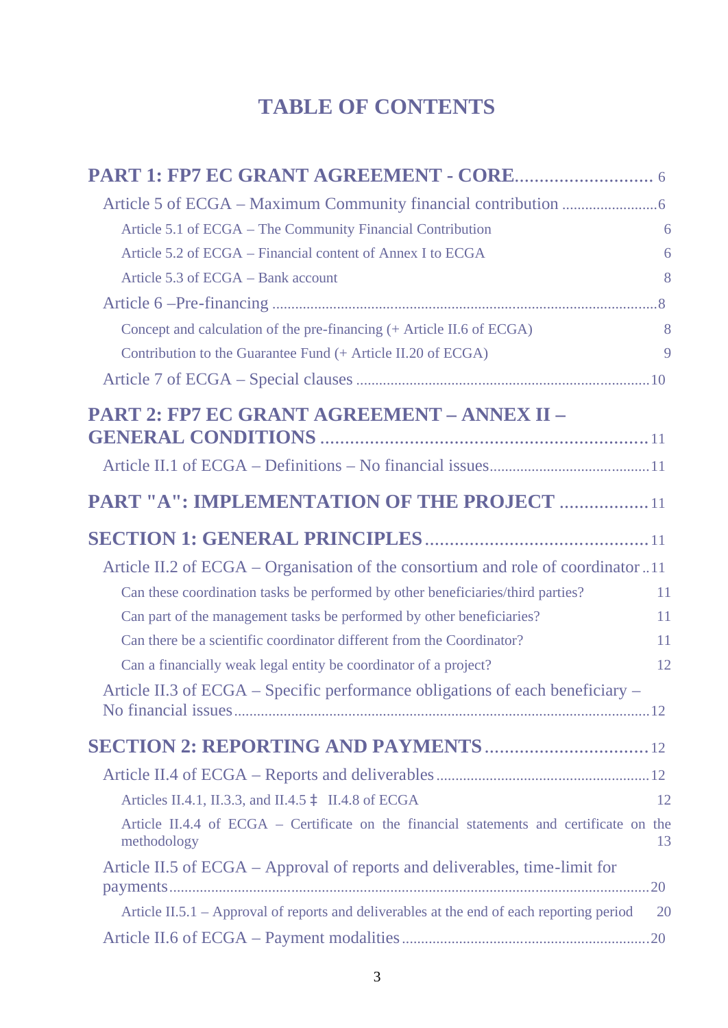## **TABLE OF CONTENTS**

| Article 5.1 of ECGA - The Community Financial Contribution                                 | 6  |
|--------------------------------------------------------------------------------------------|----|
| Article 5.2 of ECGA – Financial content of Annex I to ECGA                                 | 6  |
| Article 5.3 of ECGA - Bank account                                                         | 8  |
|                                                                                            |    |
| Concept and calculation of the pre-financing (+ Article II.6 of ECGA)                      | 8  |
| Contribution to the Guarantee Fund (+ Article II.20 of ECGA)                               | 9  |
|                                                                                            |    |
| PART 2: FP7 EC GRANT AGREEMENT - ANNEX II -                                                |    |
|                                                                                            |    |
|                                                                                            |    |
| <b>PART "A": IMPLEMENTATION OF THE PROJECT  11</b>                                         |    |
|                                                                                            |    |
| Article II.2 of ECGA – Organisation of the consortium and role of coordinator11            |    |
| Can these coordination tasks be performed by other beneficiaries/third parties?            | 11 |
| Can part of the management tasks be performed by other beneficiaries?                      | 11 |
| Can there be a scientific coordinator different from the Coordinator?                      | 11 |
| Can a financially weak legal entity be coordinator of a project?                           | 12 |
| Article II.3 of ECGA – Specific performance obligations of each beneficiary –              |    |
|                                                                                            |    |
|                                                                                            |    |
| Articles II.4.1, II.3.3, and II.4.5 à II.4.8 of ECGA                                       | 12 |
| Article II.4.4 of ECGA - Certificate on the financial statements and certificate on the    | 13 |
| methodology<br>Article II.5 of ECGA – Approval of reports and deliverables, time-limit for |    |
|                                                                                            |    |
| Article II.5.1 - Approval of reports and deliverables at the end of each reporting period  | 20 |
|                                                                                            |    |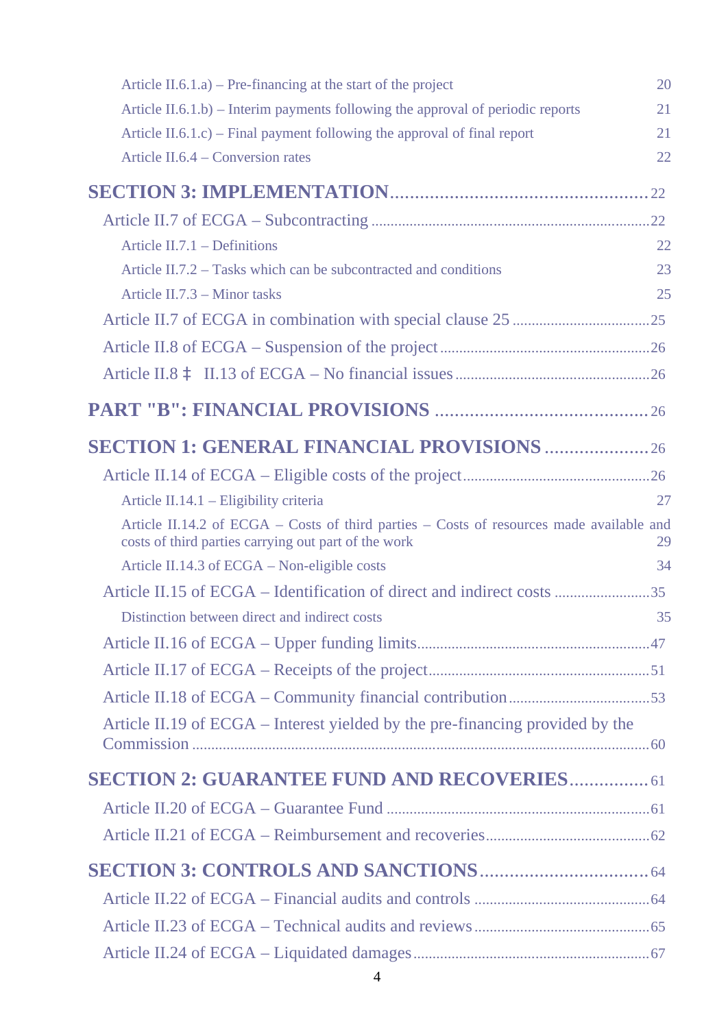| Article II.6.1.a) – Pre-financing at the start of the project                                                                                    | 20 |
|--------------------------------------------------------------------------------------------------------------------------------------------------|----|
| Article $II.6.1.b$ – Interim payments following the approval of periodic reports                                                                 | 21 |
| Article $II.6.1.c$ ) – Final payment following the approval of final report                                                                      | 21 |
| Article II.6.4 – Conversion rates                                                                                                                | 22 |
|                                                                                                                                                  |    |
|                                                                                                                                                  |    |
| Article $II.7.1$ – Definitions                                                                                                                   | 22 |
| Article II.7.2 – Tasks which can be subcontracted and conditions                                                                                 | 23 |
| Article $II.7.3$ – Minor tasks                                                                                                                   | 25 |
|                                                                                                                                                  |    |
|                                                                                                                                                  |    |
|                                                                                                                                                  |    |
|                                                                                                                                                  |    |
| <b>SECTION 1: GENERAL FINANCIAL PROVISIONS 26</b>                                                                                                |    |
|                                                                                                                                                  |    |
| Article II.14.1 – Eligibility criteria                                                                                                           | 27 |
| Article II.14.2 of ECGA – Costs of third parties – Costs of resources made available and<br>costs of third parties carrying out part of the work | 29 |
| Article II.14.3 of ECGA – Non-eligible costs                                                                                                     | 34 |
|                                                                                                                                                  |    |
| Distinction between direct and indirect costs                                                                                                    | 35 |
|                                                                                                                                                  |    |
|                                                                                                                                                  |    |
|                                                                                                                                                  |    |
| Article II.19 of ECGA – Interest yielded by the pre-financing provided by the                                                                    |    |
|                                                                                                                                                  |    |
| <b>SECTION 2: GUARANTEE FUND AND RECOVERIES 61</b>                                                                                               |    |
|                                                                                                                                                  |    |
|                                                                                                                                                  |    |
|                                                                                                                                                  |    |
|                                                                                                                                                  |    |
|                                                                                                                                                  |    |
|                                                                                                                                                  |    |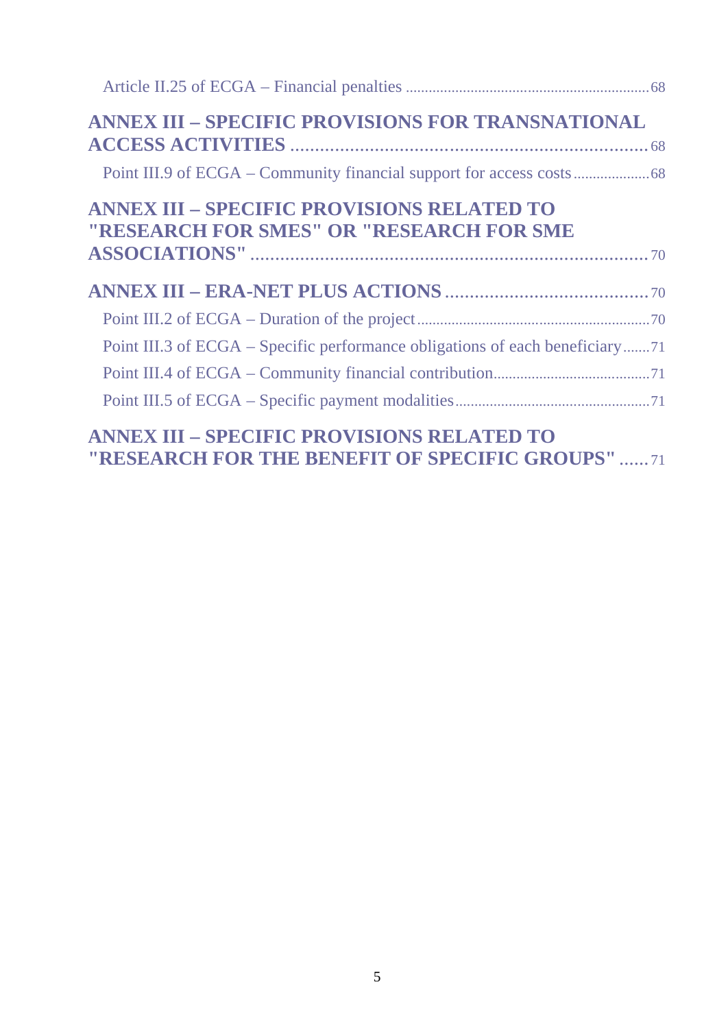| <b>ANNEX III - SPECIFIC PROVISIONS FOR TRANSNATIONAL</b>                                      |
|-----------------------------------------------------------------------------------------------|
|                                                                                               |
| <b>ANNEX III - SPECIFIC PROVISIONS RELATED TO</b><br>"RESEARCH FOR SMES" OR "RESEARCH FOR SME |
|                                                                                               |
|                                                                                               |
|                                                                                               |
|                                                                                               |
| Point III.3 of ECGA – Specific performance obligations of each beneficiary71                  |
|                                                                                               |

## **ANNEX III – SPECIFIC PROVISIONS RELATED TO "RESEARCH FOR THE BENEFIT OF SPECIFIC GROUPS"** ...... 71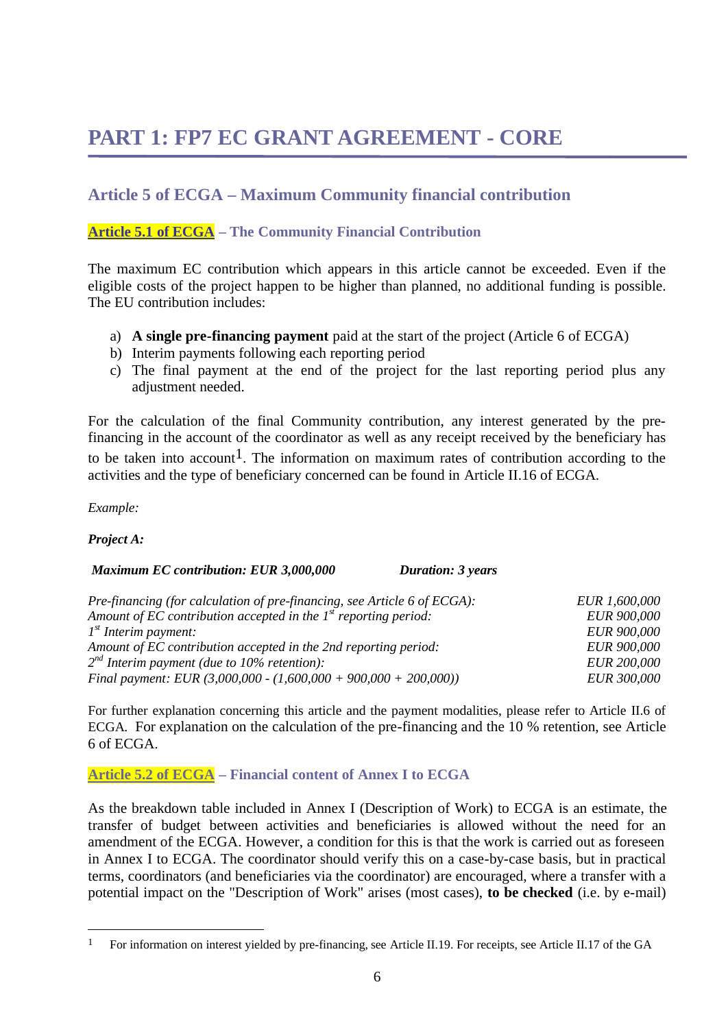## **PART 1: FP7 EC GRANT AGREEMENT - CORE**

## **Article 5 of ECGA – Maximum Community financial contribution**

#### **Article 5.1 of ECGA – The Community Financial Contribution**

The maximum EC contribution which appears in this article cannot be exceeded. Even if the eligible costs of the project happen to be higher than planned, no additional funding is possible. The EU contribution includes:

- a) **A single pre-financing payment** paid at the start of the project (Article 6 of ECGA)
- b) Interim payments following each reporting period
- c) The final payment at the end of the project for the last reporting period plus any adjustment needed.

For the calculation of the final Community contribution, any interest generated by the prefinancing in the account of the coordinator as well as any receipt received by the beneficiary has to be taken into account<sup>1</sup>. The information on maximum rates of contribution according to the activities and the type of beneficiary concerned can be found in Article II.16 of ECGA.

*Example:* 

*Project A:*

 $\overline{a}$ 

#### *Maximum EC contribution: EUR 3,000,000 Duration: 3 years*

| Pre-financing (for calculation of pre-financing, see Article 6 of ECGA): | EUR 1,600,000      |
|--------------------------------------------------------------------------|--------------------|
| Amount of EC contribution accepted in the $Ist$ reporting period:        | <b>EUR 900,000</b> |
| $1st$ Interim payment:                                                   | <b>EUR 900,000</b> |
| Amount of EC contribution accepted in the 2nd reporting period:          | <b>EUR 900,000</b> |
| $2^{nd}$ Interim payment (due to 10% retention):                         | <b>EUR 200,000</b> |
| Final payment: EUR $(3,000,000 - (1,600,000 + 900,000 + 200,000))$       | <b>EUR 300,000</b> |

For further explanation concerning this article and the payment modalities, please refer to Article II.6 of ECGA. For explanation on the calculation of the pre-financing and the 10 % retention, see Article 6 of ECGA.

#### **Article 5.2 of ECGA – Financial content of Annex I to ECGA**

As the breakdown table included in Annex I (Description of Work) to ECGA is an estimate, the transfer of budget between activities and beneficiaries is allowed without the need for an amendment of the ECGA. However, a condition for this is that the work is carried out as foreseen in Annex I to ECGA. The coordinator should verify this on a case-by-case basis, but in practical terms, coordinators (and beneficiaries via the coordinator) are encouraged, where a transfer with a potential impact on the "Description of Work" arises (most cases), **to be checked** (i.e. by e-mail)

<sup>&</sup>lt;sup>1</sup> For information on interest yielded by pre-financing, see Article II.19. For receipts, see Article II.17 of the GA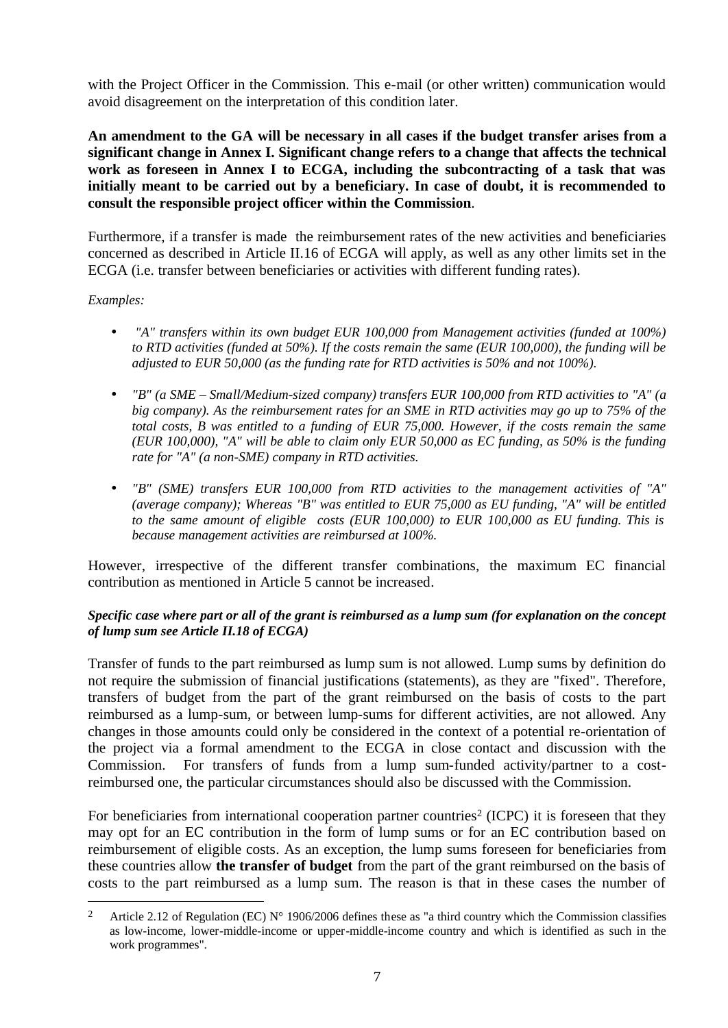with the Project Officer in the Commission. This e-mail (or other written) communication would avoid disagreement on the interpretation of this condition later.

**An amendment to the GA will be necessary in all cases if the budget transfer arises from a significant change in Annex I. Significant change refers to a change that affects the technical work as foreseen in Annex I to ECGA, including the subcontracting of a task that was initially meant to be carried out by a beneficiary. In case of doubt, it is recommended to consult the responsible project officer within the Commission**.

Furthermore, if a transfer is made the reimbursement rates of the new activities and beneficiaries concerned as described in Article II.16 of ECGA will apply, as well as any other limits set in the ECGA (i.e. transfer between beneficiaries or activities with different funding rates).

#### *Examples:*

 $\overline{a}$ 

- *"A" transfers within its own budget EUR 100,000 from Management activities (funded at 100%) to RTD activities (funded at 50%). If the costs remain the same (EUR 100,000), the funding will be adjusted to EUR 50,000 (as the funding rate for RTD activities is 50% and not 100%).*
- *"B" (a SME Small/Medium-sized company) transfers EUR 100,000 from RTD activities to "A" (a big company). As the reimbursement rates for an SME in RTD activities may go up to 75% of the total costs, B was entitled to a funding of EUR 75,000. However, if the costs remain the same (EUR 100,000), "A" will be able to claim only EUR 50,000 as EC funding, as 50% is the funding rate for "A" (a non-SME) company in RTD activities.*
- *"B" (SME) transfers EUR 100,000 from RTD activities to the management activities of "A" (average company); Whereas "B" was entitled to EUR 75,000 as EU funding, "A" will be entitled to the same amount of eligible costs (EUR 100,000) to EUR 100,000 as EU funding. This is because management activities are reimbursed at 100%.*

However, irrespective of the different transfer combinations, the maximum EC financial contribution as mentioned in Article 5 cannot be increased.

#### *Specific case where part or all of the grant is reimbursed as a lump sum (for explanation on the concept of lump sum see Article II.18 of ECGA)*

Transfer of funds to the part reimbursed as lump sum is not allowed. Lump sums by definition do not require the submission of financial justifications (statements), as they are "fixed". Therefore, transfers of budget from the part of the grant reimbursed on the basis of costs to the part reimbursed as a lump-sum, or between lump-sums for different activities, are not allowed. Any changes in those amounts could only be considered in the context of a potential re-orientation of the project via a formal amendment to the ECGA in close contact and discussion with the Commission. For transfers of funds from a lump sum-funded activity/partner to a costreimbursed one, the particular circumstances should also be discussed with the Commission.

For beneficiaries from international cooperation partner countries<sup>2</sup> (ICPC) it is foreseen that they may opt for an EC contribution in the form of lump sums or for an EC contribution based on reimbursement of eligible costs. As an exception, the lump sums foreseen for beneficiaries from these countries allow **the transfer of budget** from the part of the grant reimbursed on the basis of costs to the part reimbursed as a lump sum. The reason is that in these cases the number of

<sup>&</sup>lt;sup>2</sup> Article 2.12 of Regulation (EC)  $N^{\circ}$  1906/2006 defines these as "a third country which the Commission classifies as low-income, lower-middle-income or upper-middle-income country and which is identified as such in the work programmes".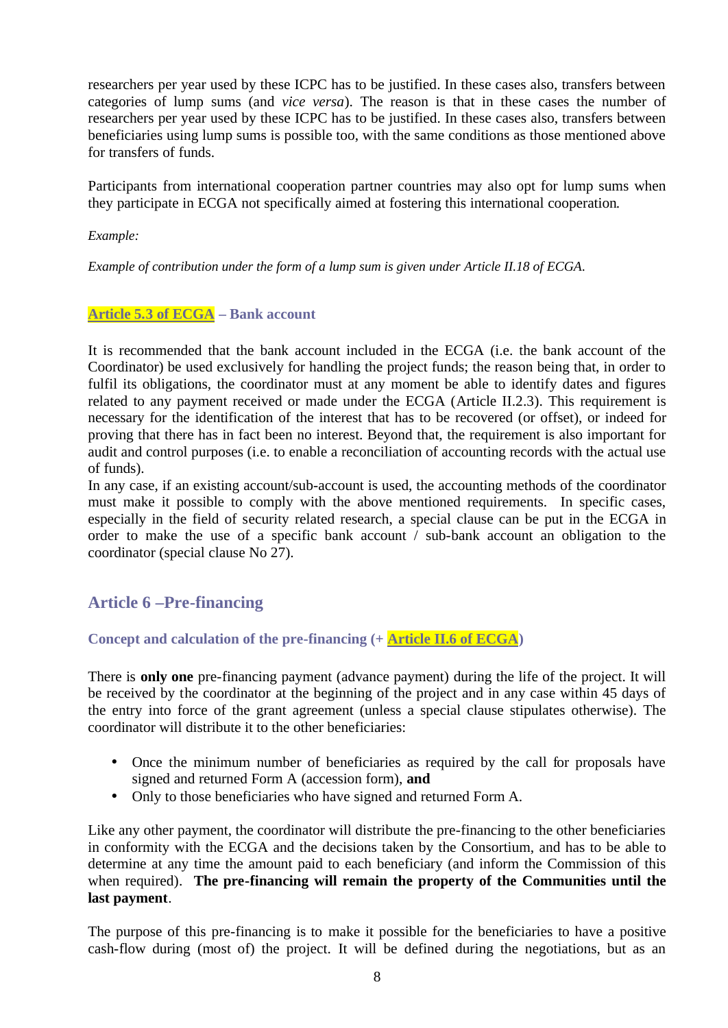researchers per year used by these ICPC has to be justified. In these cases also, transfers between categories of lump sums (and *vice versa*). The reason is that in these cases the number of researchers per year used by these ICPC has to be justified. In these cases also, transfers between beneficiaries using lump sums is possible too, with the same conditions as those mentioned above for transfers of funds.

Participants from international cooperation partner countries may also opt for lump sums when they participate in ECGA not specifically aimed at fostering this international cooperation.

*Example:* 

*Example of contribution under the form of a lump sum is given under Article II.18 of ECGA.*

#### **Article 5.3 of ECGA – Bank account**

It is recommended that the bank account included in the ECGA (i.e. the bank account of the Coordinator) be used exclusively for handling the project funds; the reason being that, in order to fulfil its obligations, the coordinator must at any moment be able to identify dates and figures related to any payment received or made under the ECGA (Article II.2.3). This requirement is necessary for the identification of the interest that has to be recovered (or offset), or indeed for proving that there has in fact been no interest. Beyond that, the requirement is also important for audit and control purposes (i.e. to enable a reconciliation of accounting records with the actual use of funds).

In any case, if an existing account/sub-account is used, the accounting methods of the coordinator must make it possible to comply with the above mentioned requirements. In specific cases, especially in the field of security related research, a special clause can be put in the ECGA in order to make the use of a specific bank account / sub-bank account an obligation to the coordinator (special clause No 27).

### **Article 6 –Pre-financing**

**Concept and calculation of the pre-financing (+ Article II.6 of ECGA)**

There is **only one** pre-financing payment (advance payment) during the life of the project. It will be received by the coordinator at the beginning of the project and in any case within 45 days of the entry into force of the grant agreement (unless a special clause stipulates otherwise). The coordinator will distribute it to the other beneficiaries:

- Once the minimum number of beneficiaries as required by the call for proposals have signed and returned Form A (accession form), **and**
- Only to those beneficiaries who have signed and returned Form A.

Like any other payment, the coordinator will distribute the pre-financing to the other beneficiaries in conformity with the ECGA and the decisions taken by the Consortium, and has to be able to determine at any time the amount paid to each beneficiary (and inform the Commission of this when required). **The pre-financing will remain the property of the Communities until the last payment**.

The purpose of this pre-financing is to make it possible for the beneficiaries to have a positive cash-flow during (most of) the project. It will be defined during the negotiations, but as an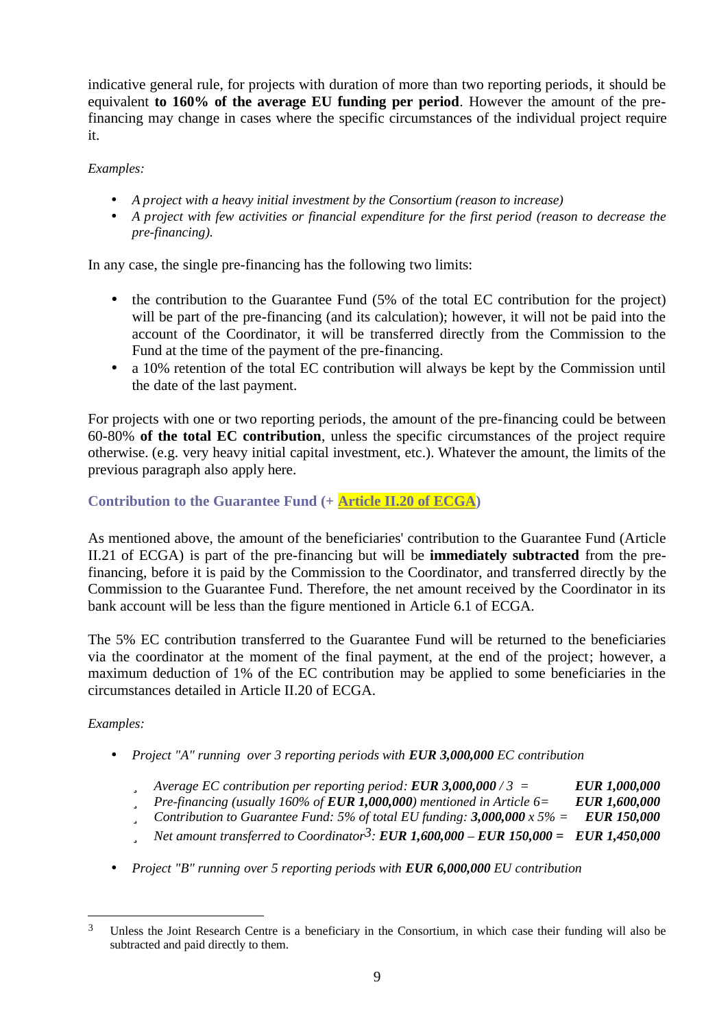indicative general rule, for projects with duration of more than two reporting periods, it should be equivalent **to 160% of the average EU funding per period**. However the amount of the prefinancing may change in cases where the specific circumstances of the individual project require it.

*Examples:*

- *A project with a heavy initial investment by the Consortium (reason to increase)*
- *A project with few activities or financial expenditure for the first period (reason to decrease the pre-financing).*

In any case, the single pre-financing has the following two limits:

- the contribution to the Guarantee Fund  $(5\%$  of the total EC contribution for the project) will be part of the pre-financing (and its calculation); however, it will not be paid into the account of the Coordinator, it will be transferred directly from the Commission to the Fund at the time of the payment of the pre-financing.
- a 10% retention of the total EC contribution will always be kept by the Commission until the date of the last payment.

For projects with one or two reporting periods, the amount of the pre-financing could be between 60-80% **of the total EC contribution**, unless the specific circumstances of the project require otherwise. (e.g. very heavy initial capital investment, etc.). Whatever the amount, the limits of the previous paragraph also apply here.

#### **Contribution to the Guarantee Fund (+ Article II.20 of ECGA)**

As mentioned above, the amount of the beneficiaries' contribution to the Guarantee Fund (Article II.21 of ECGA) is part of the pre-financing but will be **immediately subtracted** from the prefinancing, before it is paid by the Commission to the Coordinator, and transferred directly by the Commission to the Guarantee Fund. Therefore, the net amount received by the Coordinator in its bank account will be less than the figure mentioned in Article 6.1 of ECGA.

The 5% EC contribution transferred to the Guarantee Fund will be returned to the beneficiaries via the coordinator at the moment of the final payment, at the end of the project; however, a maximum deduction of 1% of the EC contribution may be applied to some beneficiaries in the circumstances detailed in Article II.20 of ECGA.

#### *Examples:*

 $\overline{a}$ 

- *Project "A" running over 3 reporting periods with EUR 3,000,000 EC contribution*
	- ü *Average EC contribution per reporting period: EUR 3,000,000 / 3 = EUR 1,000,000*
	- ü *Pre-financing (usually 160% of EUR 1,000,000) mentioned in Article 6= EUR 1,600,000*
	- ü *Contribution to Guarantee Fund: 5% of total EU funding: 3,000,000 x 5% = EUR 150,000*
	- ü *Net amount transferred to Coordinator3: EUR 1,600,000 – EUR 150,000 = EUR 1,450,000*
- *Project "B" running over 5 reporting periods with EUR 6,000,000 EU contribution*

<sup>3</sup> Unless the Joint Research Centre is a beneficiary in the Consortium, in which case their funding will also be subtracted and paid directly to them.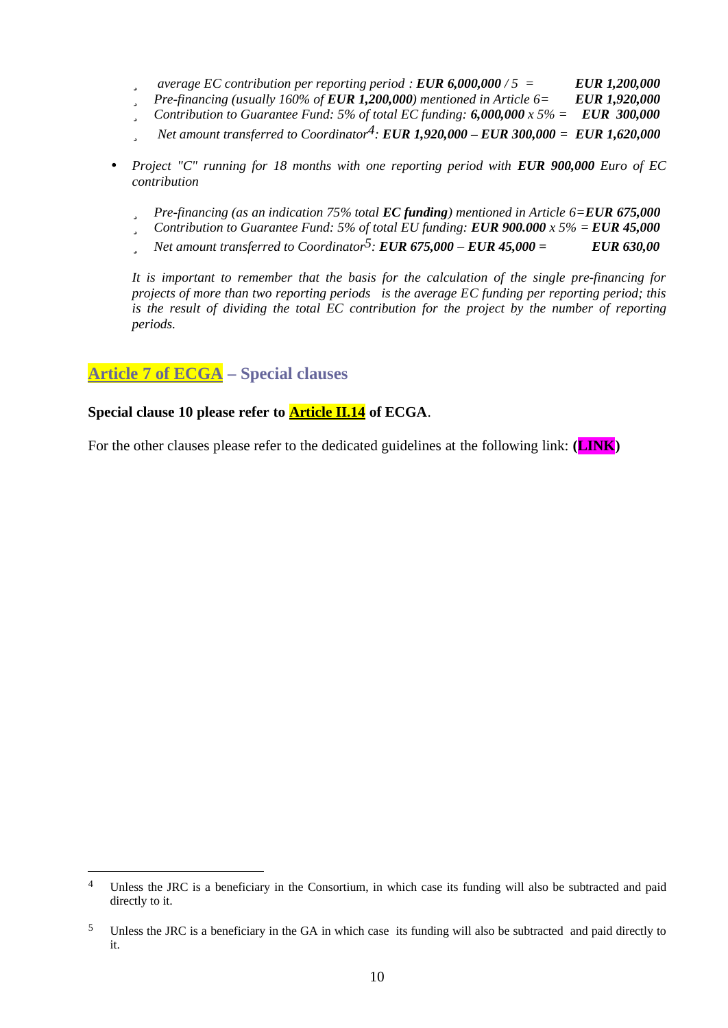- ü *average EC contribution per reporting period : EUR 6,000,000 / 5 = EUR 1,200,000*
- ü *Pre-financing (usually 160% of EUR 1,200,000) mentioned in Article 6= EUR 1,920,000*
- ü *Contribution to Guarantee Fund: 5% of total EC funding: 6,000,000 x 5% = EUR 300,000*
- ü *Net amount transferred to Coordinator4: EUR 1,920,000 – EUR 300,000 = EUR 1,620,000*
- *Project "C" running for 18 months with one reporting period with EUR 900,000 Euro of EC contribution*
	- ü *Pre-financing (as an indication 75% total EC funding) mentioned in Article 6=EUR 675,000*
	- ü *Contribution to Guarantee Fund: 5% of total EU funding: EUR 900.000 x 5% = EUR 45,000*
	- ü *Net amount transferred to Coordinator5: EUR 675,000 – EUR 45,000 = EUR 630,00*

*It is important to remember that the basis for the calculation of the single pre-financing for projects of more than two reporting periods is the average EC funding per reporting period; this is the result of dividing the total EC contribution for the project by the number of reporting periods.*

### **Article 7 of ECGA – Special clauses**

 $\overline{a}$ 

#### **Special clause 10 please refer to Article II.14 of ECGA**.

For the other clauses please refer to the dedicated guidelines at the following link: **(LINK)**

<sup>&</sup>lt;sup>4</sup> Unless the JRC is a beneficiary in the Consortium, in which case its funding will also be subtracted and paid directly to it.

<sup>5</sup> Unless the JRC is a beneficiary in the GA in which case its funding will also be subtracted and paid directly to it.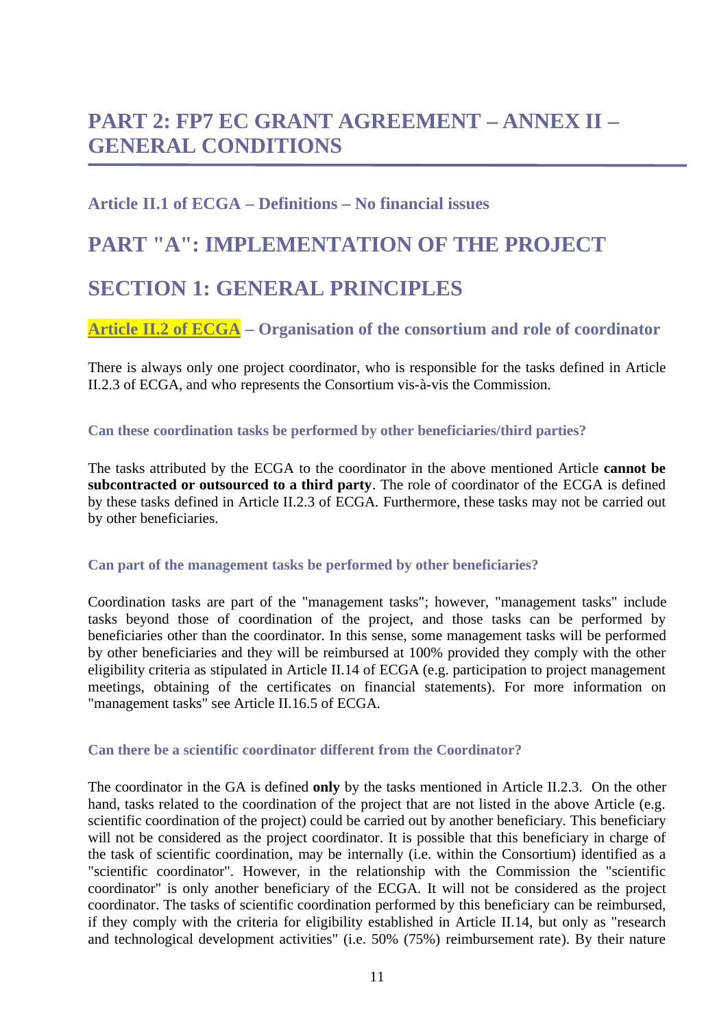## **PART 2: FP7 EC GRANT AGREEMENT – ANNEX II – GENERAL CONDITIONS**

## **Article II.1 of ECGA – Definitions – No financial issues**

# **PART "A": IMPLEMENTATION OF THE PROJECT SECTION 1: GENERAL PRINCIPLES**

**Article II.2 of ECGA – Organisation of the consortium and role of coordinator**

There is always only one project coordinator, who is responsible for the tasks defined in Article II.2.3 of ECGA, and who represents the Consortium vis-à-vis the Commission.

**Can these coordination tasks be performed by other beneficiaries/third parties?**

The tasks attributed by the ECGA to the coordinator in the above mentioned Article **cannot be subcontracted or outsourced to a third party**. The role of coordinator of the ECGA is defined by these tasks defined in Article II.2.3 of ECGA. Furthermore, these tasks may not be carried out by other beneficiaries.

#### **Can part of the management tasks be performed by other beneficiaries?**

Coordination tasks are part of the "management tasks"; however, "management tasks" include tasks beyond those of coordination of the project, and those tasks can be performed by beneficiaries other than the coordinator. In this sense, some management tasks will be performed by other beneficiaries and they will be reimbursed at 100% provided they comply with the other eligibility criteria as stipulated in Article II.14 of ECGA (e.g. participation to project management meetings, obtaining of the certificates on financial statements). For more information on "management tasks" see Article II.16.5 of ECGA.

#### **Can there be a scientific coordinator different from the Coordinator?**

The coordinator in the GA is defined **only** by the tasks mentioned in Article II.2.3. On the other hand, tasks related to the coordination of the project that are not listed in the above Article (e.g. scientific coordination of the project) could be carried out by another beneficiary. This beneficiary will not be considered as the project coordinator. It is possible that this beneficiary in charge of the task of scientific coordination, may be internally (i.e. within the Consortium) identified as a "scientific coordinator". However, in the relationship with the Commission the "scientific coordinator" is only another beneficiary of the ECGA. It will not be considered as the project coordinator. The tasks of scientific coordination performed by this beneficiary can be reimbursed, if they comply with the criteria for eligibility established in Article II.14, but only as "research and technological development activities" (i.e. 50% (75%) reimbursement rate). By their nature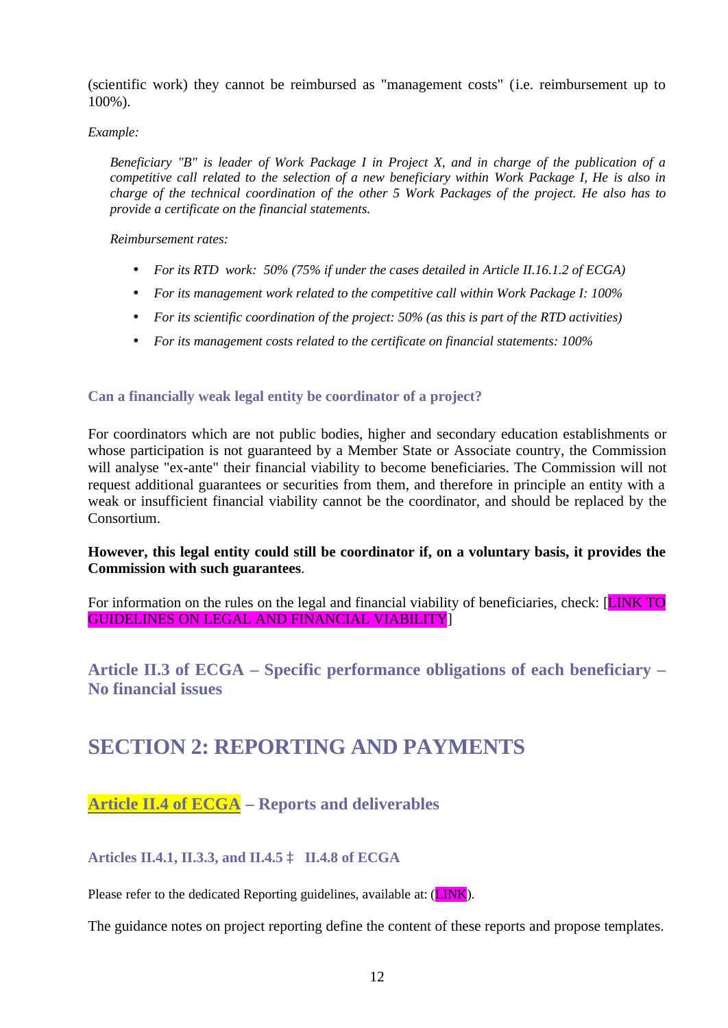(scientific work) they cannot be reimbursed as "management costs" (i.e. reimbursement up to 100%).

#### *Example:*

*Beneficiary "B" is leader of Work Package I in Project X, and in charge of the publication of a competitive call related to the selection of a new beneficiary within Work Package I, He is also in charge of the technical coordination of the other 5 Work Packages of the project. He also has to provide a certificate on the financial statements.*

*Reimbursement rates:*

- *For its RTD work: 50% (75% if under the cases detailed in Article II.16.1.2 of ECGA)*
- *For its management work related to the competitive call within Work Package I: 100%*
- *For its scientific coordination of the project: 50% (as this is part of the RTD activities)*
- *For its management costs related to the certificate on financial statements: 100%*

#### **Can a financially weak legal entity be coordinator of a project?**

For coordinators which are not public bodies, higher and secondary education establishments or whose participation is not guaranteed by a Member State or Associate country, the Commission will analyse "ex-ante" their financial viability to become beneficiaries. The Commission will not request additional guarantees or securities from them, and therefore in principle an entity with a weak or insufficient financial viability cannot be the coordinator, and should be replaced by the Consortium.

#### **However, this legal entity could still be coordinator if, on a voluntary basis, it provides the Commission with such guarantees**.

For information on the rules on the legal and financial viability of beneficiaries, check: [LINK TO GUIDELINES ON LEGAL AND FINANCIAL VIABILITY]

**Article II.3 of ECGA – Specific performance obligations of each beneficiary – No financial issues**

## **SECTION 2: REPORTING AND PAYMENTS**

## **Article II.4 of ECGA – Reports and deliverables**

#### **Articles II.4.1, II.3.3, and II.4.5** à **II.4.8 of ECGA**

Please refer to the dedicated Reporting guidelines, available at: (**LINK**).

The guidance notes on project reporting define the content of these reports and propose templates.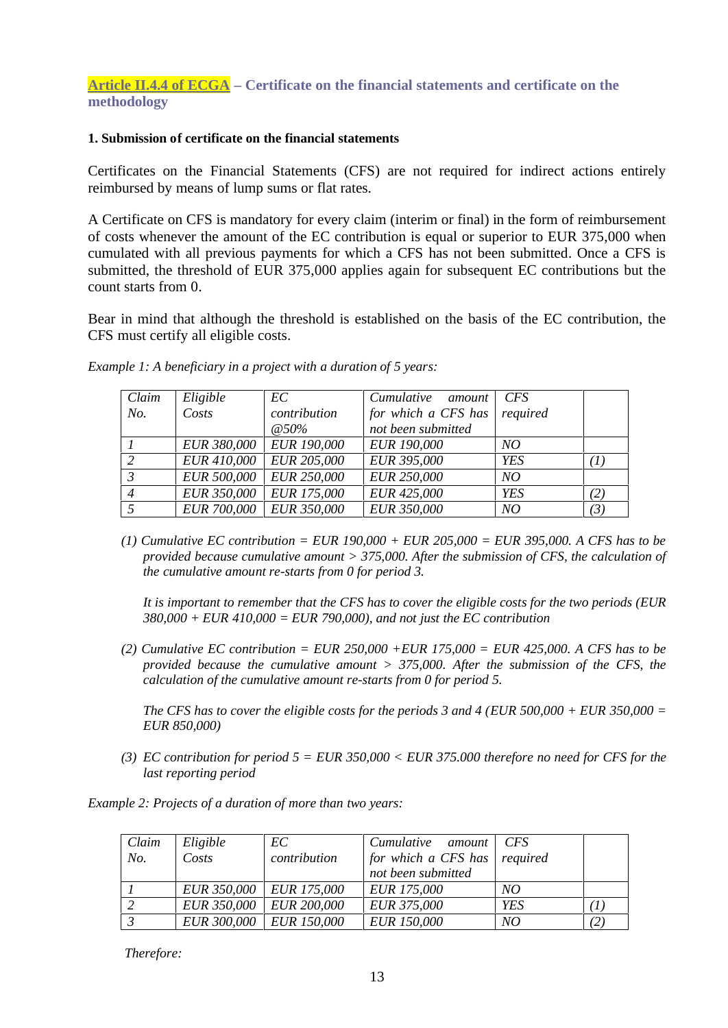#### **1. Submission of certificate on the financial statements**

Certificates on the Financial Statements (CFS) are not required for indirect actions entirely reimbursed by means of lump sums or flat rates.

A Certificate on CFS is mandatory for every claim (interim or final) in the form of reimbursement of costs whenever the amount of the EC contribution is equal or superior to EUR 375,000 when cumulated with all previous payments for which a CFS has not been submitted. Once a CFS is submitted, the threshold of EUR 375,000 applies again for subsequent EC contributions but the count starts from 0.

Bear in mind that although the threshold is established on the basis of the EC contribution, the CFS must certify all eligible costs.

| Claim          | Eligible           | EC                 | Cumulative<br>amount | <b>CFS</b> |     |
|----------------|--------------------|--------------------|----------------------|------------|-----|
| No.            | Costs              | contribution       | for which a CFS has  | required   |     |
|                |                    | $@50\%$            | not been submitted   |            |     |
|                | <i>EUR 380,000</i> | <b>EUR 190,000</b> | <b>EUR 190,000</b>   | NO         |     |
| 2              | <i>EUR 410,000</i> | EUR 205,000        | EUR 395,000          | <b>YES</b> | (1) |
| $\mathfrak{Z}$ | <b>EUR 500,000</b> | <b>EUR 250,000</b> | <b>EUR 250,000</b>   | NO         |     |
| $\overline{4}$ | <b>EUR 350,000</b> | EUR 175,000        | EUR 425,000          | <b>YES</b> | (2) |
|                | <b>EUR 700,000</b> | <b>EUR 350,000</b> | EUR 350,000          | NO         | (3) |

*Example 1: A beneficiary in a project with a duration of 5 years:*

*(1) Cumulative EC contribution = EUR 190,000 + EUR 205,000 = EUR 395,000. A CFS has to be provided because cumulative amount > 375,000. After the submission of CFS, the calculation of the cumulative amount re-starts from 0 for period 3.* 

*It is important to remember that the CFS has to cover the eligible costs for the two periods (EUR 380,000 + EUR 410,000 = EUR 790,000), and not just the EC contribution*

*(2) Cumulative EC contribution = EUR 250,000 +EUR 175,000 = EUR 425,000. A CFS has to be provided because the cumulative amount > 375,000. After the submission of the CFS, the calculation of the cumulative amount re-starts from 0 for period 5.*

*The CFS has to cover the eligible costs for the periods 3 and 4 (EUR 500,000 + EUR 350,000 = EUR 850,000)*

*(3) EC contribution for period 5 = EUR 350,000 < EUR 375.000 therefore no need for CFS for the last reporting period*

*Example 2: Projects of a duration of more than two years:*

| Claim              | Eligible | EC                        | Cumulative<br>amount         | CFS        |     |
|--------------------|----------|---------------------------|------------------------------|------------|-----|
| No.                | Costs    | contribution              | for which a CFS has required |            |     |
|                    |          |                           | not been submitted           |            |     |
|                    |          | EUR 350,000   EUR 175,000 | <b>EUR</b> 175,000           | NO         |     |
|                    |          | EUR 350,000   EUR 200,000 | EUR 375,000                  | <b>YES</b> | (1, |
| $\mathbf{\hat{z}}$ |          | EUR 300,000   EUR 150,000 | <b>EUR 150,000</b>           | NO         | (2) |

*Therefore:*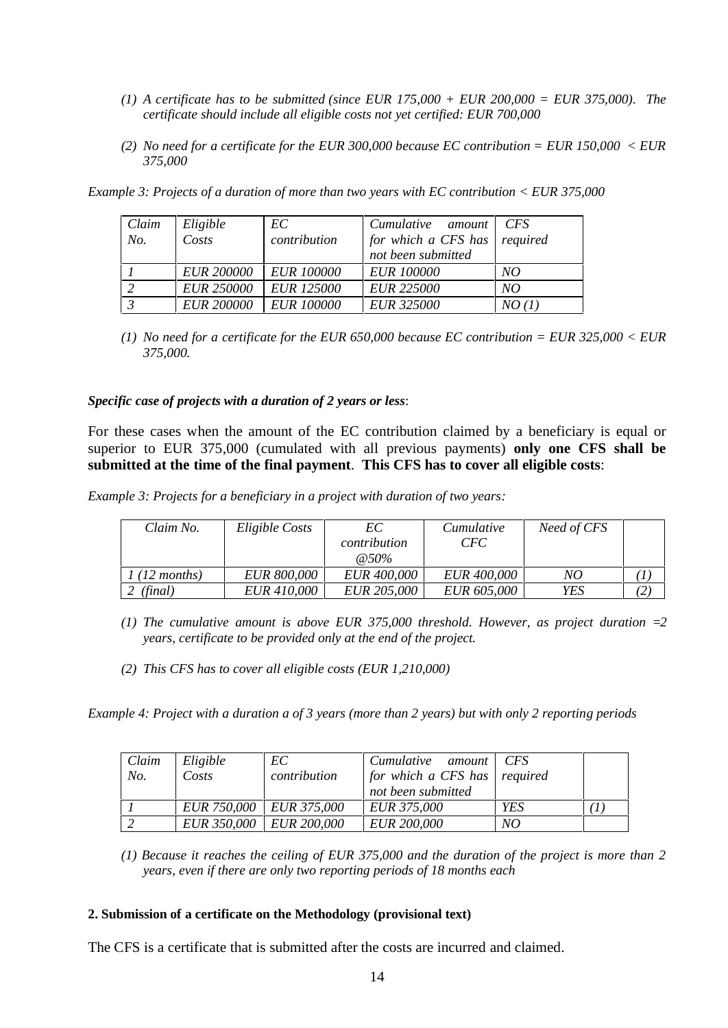- *(1) A certificate has to be submitted (since EUR 175,000 + EUR 200,000 = EUR 375,000). The certificate should include all eligible costs not yet certified: EUR 700,000*
- *(2) No need for a certificate for the EUR 300,000 because EC contribution = EUR 150,000 < EUR 375,000*

| Claim | Eligible          | EС                | Cumulative<br>amount | <b>CFS</b> |
|-------|-------------------|-------------------|----------------------|------------|
| No.   | Costs             | contribution      | for which a CFS has  | required   |
|       |                   |                   | not been submitted   |            |
|       | <b>EUR 200000</b> | <i>EUR 100000</i> | <b>EUR 100000</b>    | NO         |
|       | <b>EUR 250000</b> | <b>EUR 125000</b> | <b>EUR 225000</b>    | NO         |
|       | <b>EUR 200000</b> | <b>EUR 100000</b> | <b>EUR 325000</b>    | NO(1)      |

*Example 3: Projects of a duration of more than two years with EC contribution < EUR 375,000*

*(1) No need for a certificate for the EUR 650,000 because EC contribution = EUR 325,000 < EUR 375,000.*

*Specific case of projects with a duration of 2 years or less*:

For these cases when the amount of the EC contribution claimed by a beneficiary is equal or superior to EUR 375,000 (cumulated with all previous payments) **only one CFS shall be submitted at the time of the final payment**. **This CFS has to cover all eligible costs**:

*Example 3: Projects for a beneficiary in a project with duration of two years:*

| Claim No.      | Eligible Costs     | EC<br>contribution<br>@ 50\% | Cumulative<br>CFC- | Need of CFS |     |
|----------------|--------------------|------------------------------|--------------------|-------------|-----|
| $1(12$ months) | <i>EUR 800,000</i> | <i>EUR 400,000</i>           | <i>EUR 400,000</i> | NO          |     |
| (final)        | <i>EUR 410,000</i> | <i>EUR 205,000</i>           | <b>EUR 605,000</b> | YES         | (2) |

*(1) The cumulative amount is above EUR 375,000 threshold. However, as project duration =2 years, certificate to be provided only at the end of the project.*

*(2) This CFS has to cover all eligible costs (EUR 1,210,000)*

*Example 4: Project with a duration a of 3 years (more than 2 years) but with only 2 reporting periods*

| Claim | Eligible | EC-                     | Cumulative amount CFS        |     |  |
|-------|----------|-------------------------|------------------------------|-----|--|
| No.   | Costs    | contribution            | for which a CFS has required |     |  |
|       |          |                         | not been submitted           |     |  |
|       |          | EUR 750,000 EUR 375,000 | <i>EUR 375,000</i>           | YES |  |
|       |          | EUR 350,000 EUR 200,000 | <i>EUR 200,000</i>           | NO  |  |

*<sup>(1)</sup> Because it reaches the ceiling of EUR 375,000 and the duration of the project is more than 2 years, even if there are only two reporting periods of 18 months each*

#### **2. Submission of a certificate on the Methodology (provisional text)**

The CFS is a certificate that is submitted after the costs are incurred and claimed.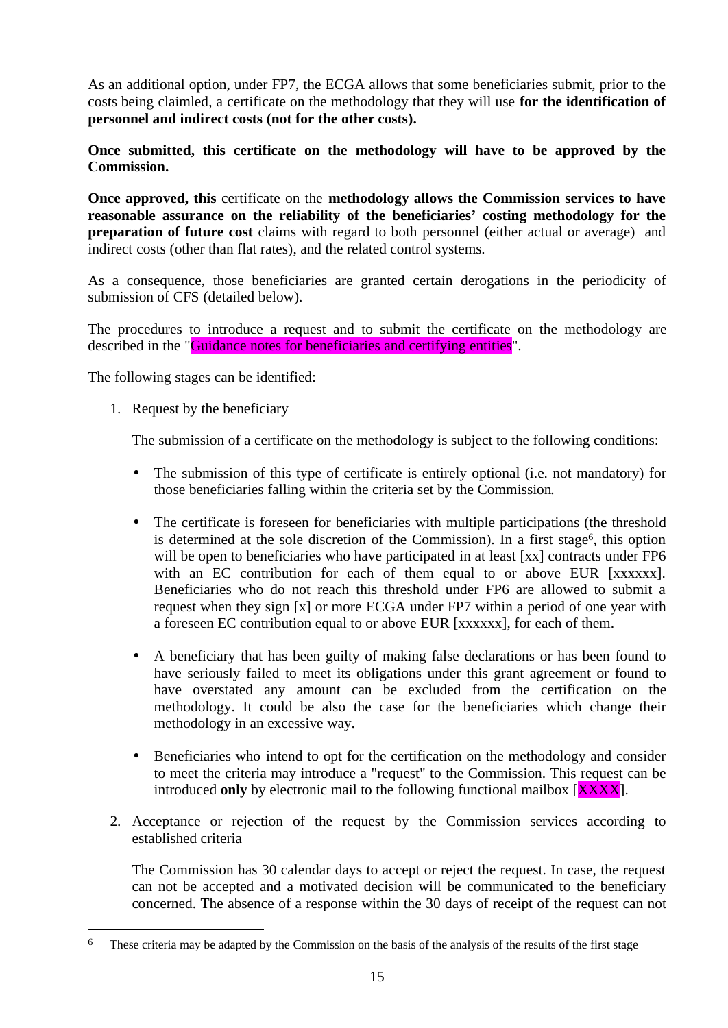As an additional option, under FP7, the ECGA allows that some beneficiaries submit, prior to the costs being claimled, a certificate on the methodology that they will use **for the identification of personnel and indirect costs (not for the other costs).** 

**Once submitted, this certificate on the methodology will have to be approved by the Commission.**

**Once approved, this** certificate on the **methodology allows the Commission services to have reasonable assurance on the reliability of the beneficiaries' costing methodology for the preparation of future cost** claims with regard to both personnel (either actual or average) and indirect costs (other than flat rates), and the related control systems.

As a consequence, those beneficiaries are granted certain derogations in the periodicity of submission of CFS (detailed below).

The procedures to introduce a request and to submit the certificate on the methodology are described in the "Guidance notes for beneficiaries and certifying entities".

The following stages can be identified:

1. Request by the beneficiary

 $\overline{a}$ 

The submission of a certificate on the methodology is subject to the following conditions:

- The submission of this type of certificate is entirely optional (i.e. not mandatory) for those beneficiaries falling within the criteria set by the Commission*.*
- The certificate is foreseen for beneficiaries with multiple participations (the threshold is determined at the sole discretion of the Commission). In a first stage<sup>6</sup>, this option will be open to beneficiaries who have participated in at least [xx] contracts under FP6 with an EC contribution for each of them equal to or above EUR [xxxxxx]. Beneficiaries who do not reach this threshold under FP6 are allowed to submit a request when they sign [x] or more ECGA under FP7 within a period of one year with a foreseen EC contribution equal to or above EUR [xxxxxx], for each of them.
- A beneficiary that has been guilty of making false declarations or has been found to have seriously failed to meet its obligations under this grant agreement or found to have overstated any amount can be excluded from the certification on the methodology. It could be also the case for the beneficiaries which change their methodology in an excessive way.
- Beneficiaries who intend to opt for the certification on the methodology and consider to meet the criteria may introduce a "request" to the Commission. This request can be introduced **only** by electronic mail to the following functional mailbox [XXXX].
- 2. Acceptance or rejection of the request by the Commission services according to established criteria

The Commission has 30 calendar days to accept or reject the request. In case, the request can not be accepted and a motivated decision will be communicated to the beneficiary concerned. The absence of a response within the 30 days of receipt of the request can not

<sup>&</sup>lt;sup>6</sup> These criteria may be adapted by the Commission on the basis of the analysis of the results of the first stage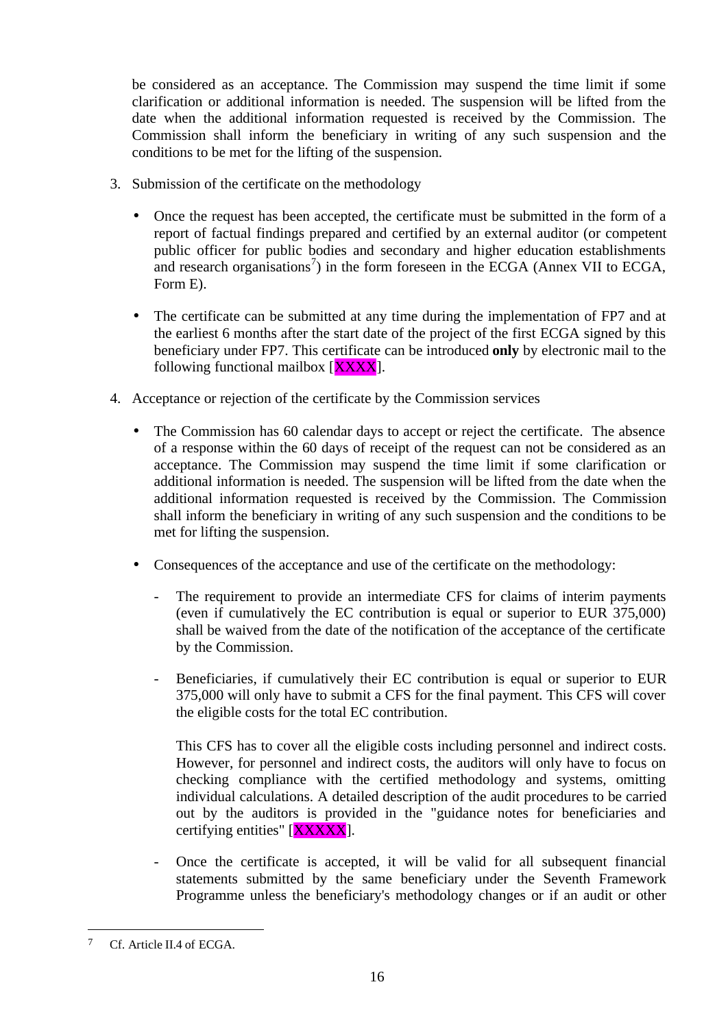be considered as an acceptance. The Commission may suspend the time limit if some clarification or additional information is needed. The suspension will be lifted from the date when the additional information requested is received by the Commission. The Commission shall inform the beneficiary in writing of any such suspension and the conditions to be met for the lifting of the suspension.

- 3. Submission of the certificate on the methodology
	- Once the request has been accepted, the certificate must be submitted in the form of a report of factual findings prepared and certified by an external auditor (or competent public officer for public bodies and secondary and higher education establishments and research organisations<sup>7</sup>) in the form foreseen in the ECGA (Annex VII to ECGA, Form E).
	- The certificate can be submitted at any time during the implementation of FP7 and at the earliest 6 months after the start date of the project of the first ECGA signed by this beneficiary under FP7. This certificate can be introduced **only** by electronic mail to the following functional mailbox  $[**XXX**]<sub>l</sub>$ .
- 4. Acceptance or rejection of the certificate by the Commission services
	- The Commission has 60 calendar days to accept or reject the certificate. The absence of a response within the 60 days of receipt of the request can not be considered as an acceptance. The Commission may suspend the time limit if some clarification or additional information is needed. The suspension will be lifted from the date when the additional information requested is received by the Commission. The Commission shall inform the beneficiary in writing of any such suspension and the conditions to be met for lifting the suspension.
	- Consequences of the acceptance and use of the certificate on the methodology:
		- The requirement to provide an intermediate CFS for claims of interim payments (even if cumulatively the EC contribution is equal or superior to EUR 375,000) shall be waived from the date of the notification of the acceptance of the certificate by the Commission.
		- Beneficiaries, if cumulatively their EC contribution is equal or superior to EUR 375,000 will only have to submit a CFS for the final payment. This CFS will cover the eligible costs for the total EC contribution.

This CFS has to cover all the eligible costs including personnel and indirect costs. However, for personnel and indirect costs, the auditors will only have to focus on checking compliance with the certified methodology and systems, omitting individual calculations. A detailed description of the audit procedures to be carried out by the auditors is provided in the "guidance notes for beneficiaries and certifying entities" [XXXXX].

Once the certificate is accepted, it will be valid for all subsequent financial statements submitted by the same beneficiary under the Seventh Framework Programme unless the beneficiary's methodology changes or if an audit or other

 $\overline{a}$ 

<sup>7</sup> Cf. Article II.4 of ECGA.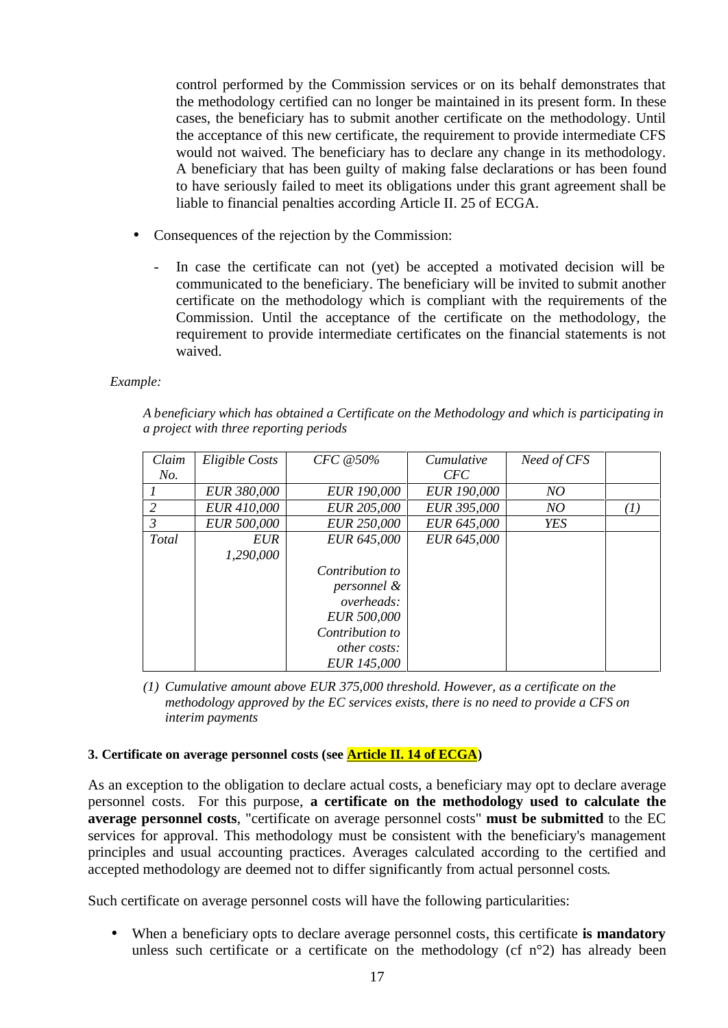control performed by the Commission services or on its behalf demonstrates that the methodology certified can no longer be maintained in its present form. In these cases, the beneficiary has to submit another certificate on the methodology. Until the acceptance of this new certificate, the requirement to provide intermediate CFS would not waived. The beneficiary has to declare any change in its methodology. A beneficiary that has been guilty of making false declarations or has been found to have seriously failed to meet its obligations under this grant agreement shall be liable to financial penalties according Article II. 25 of ECGA.

- Consequences of the rejection by the Commission:
	- In case the certificate can not (yet) be accepted a motivated decision will be communicated to the beneficiary. The beneficiary will be invited to submit another certificate on the methodology which is compliant with the requirements of the Commission. Until the acceptance of the certificate on the methodology, the requirement to provide intermediate certificates on the financial statements is not waived.

#### *Example:*

|                                        | A beneficiary which has obtained a Certificate on the Methodology and which is participating in |
|----------------------------------------|-------------------------------------------------------------------------------------------------|
| a project with three reporting periods |                                                                                                 |

| Claim | Eligible Costs     | CFC @50%            | Cumulative         | Need of CFS |     |
|-------|--------------------|---------------------|--------------------|-------------|-----|
| No.   |                    |                     | <b>CFC</b>         |             |     |
|       | <b>EUR 380,000</b> | <b>EUR 190,000</b>  | <b>EUR 190,000</b> | NO          |     |
| 2     | EUR 410,000        | <b>EUR 205,000</b>  | EUR 395,000        | NO          | (I) |
| 3     | <b>EUR 500,000</b> | <b>EUR 250,000</b>  | EUR 645,000        | YES         |     |
| Total | <i>EUR</i>         | EUR 645,000         | EUR 645,000        |             |     |
|       | 1,290,000          |                     |                    |             |     |
|       |                    | Contribution to     |                    |             |     |
|       |                    | personnel &         |                    |             |     |
|       |                    | overheads:          |                    |             |     |
|       |                    | <b>EUR 500,000</b>  |                    |             |     |
|       |                    | Contribution to     |                    |             |     |
|       |                    | <i>other costs:</i> |                    |             |     |
|       |                    | <b>EUR 145,000</b>  |                    |             |     |

*(1) Cumulative amount above EUR 375,000 threshold. However, as a certificate on the methodology approved by the EC services exists, there is no need to provide a CFS on interim payments*

#### **3. Certificate on average personnel costs (see Article II. 14 of ECGA)**

As an exception to the obligation to declare actual costs, a beneficiary may opt to declare average personnel costs. For this purpose, **a certificate on the methodology used to calculate the average personnel costs**, "certificate on average personnel costs" **must be submitted** to the EC services for approval. This methodology must be consistent with the beneficiary's management principles and usual accounting practices. Averages calculated according to the certified and accepted methodology are deemed not to differ significantly from actual personnel costs.

Such certificate on average personnel costs will have the following particularities:

• When a beneficiary opts to declare average personnel costs, this certificate **is mandatory** unless such certificate or a certificate on the methodology (cf n°2) has already been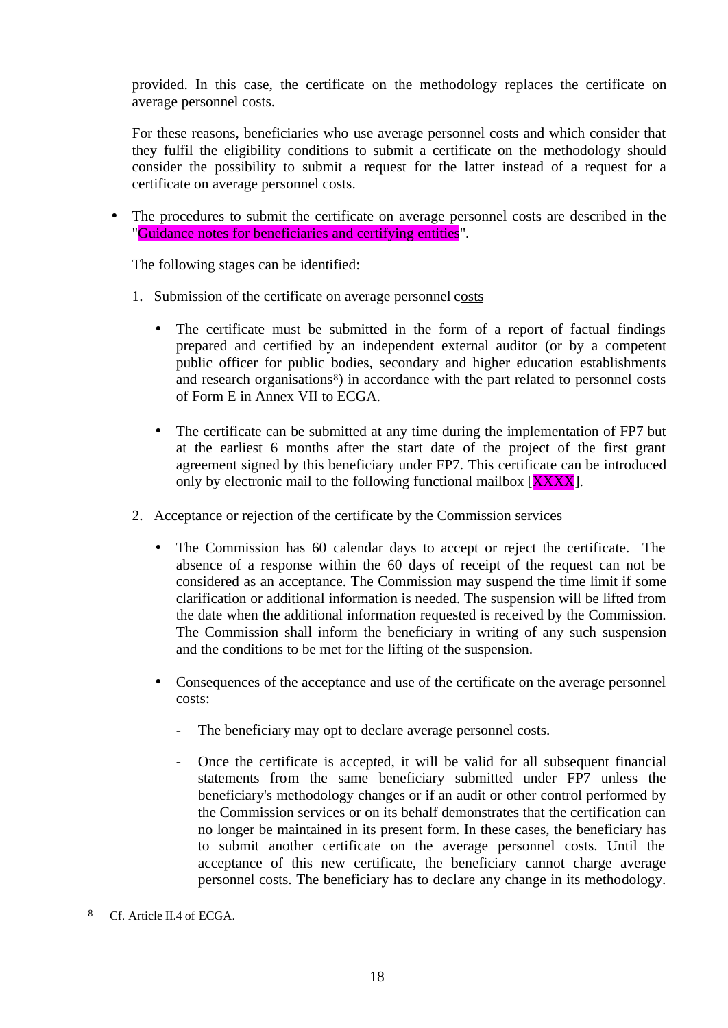provided. In this case, the certificate on the methodology replaces the certificate on average personnel costs.

For these reasons, beneficiaries who use average personnel costs and which consider that they fulfil the eligibility conditions to submit a certificate on the methodology should consider the possibility to submit a request for the latter instead of a request for a certificate on average personnel costs.

• The procedures to submit the certificate on average personnel costs are described in the "Guidance notes for beneficiaries and certifying entities".

The following stages can be identified:

- 1. Submission of the certificate on average personnel costs
	- The certificate must be submitted in the form of a report of factual findings prepared and certified by an independent external auditor (or by a competent public officer for public bodies, secondary and higher education establishments and research organisations<sup>8</sup>) in accordance with the part related to personnel costs of Form E in Annex VII to ECGA.
	- The certificate can be submitted at any time during the implementation of FP7 but at the earliest 6 months after the start date of the project of the first grant agreement signed by this beneficiary under FP7. This certificate can be introduced only by electronic mail to the following functional mailbox [XXXX].
- 2. Acceptance or rejection of the certificate by the Commission services
	- The Commission has 60 calendar days to accept or reject the certificate. The absence of a response within the 60 days of receipt of the request can not be considered as an acceptance. The Commission may suspend the time limit if some clarification or additional information is needed. The suspension will be lifted from the date when the additional information requested is received by the Commission. The Commission shall inform the beneficiary in writing of any such suspension and the conditions to be met for the lifting of the suspension.
	- Consequences of the acceptance and use of the certificate on the average personnel costs:
		- The beneficiary may opt to declare average personnel costs.
		- Once the certificate is accepted, it will be valid for all subsequent financial statements from the same beneficiary submitted under FP7 unless the beneficiary's methodology changes or if an audit or other control performed by the Commission services or on its behalf demonstrates that the certification can no longer be maintained in its present form. In these cases, the beneficiary has to submit another certificate on the average personnel costs. Until the acceptance of this new certificate, the beneficiary cannot charge average personnel costs. The beneficiary has to declare any change in its methodology.

 $\overline{a}$ 

<sup>8</sup> Cf. Article II.4 of ECGA.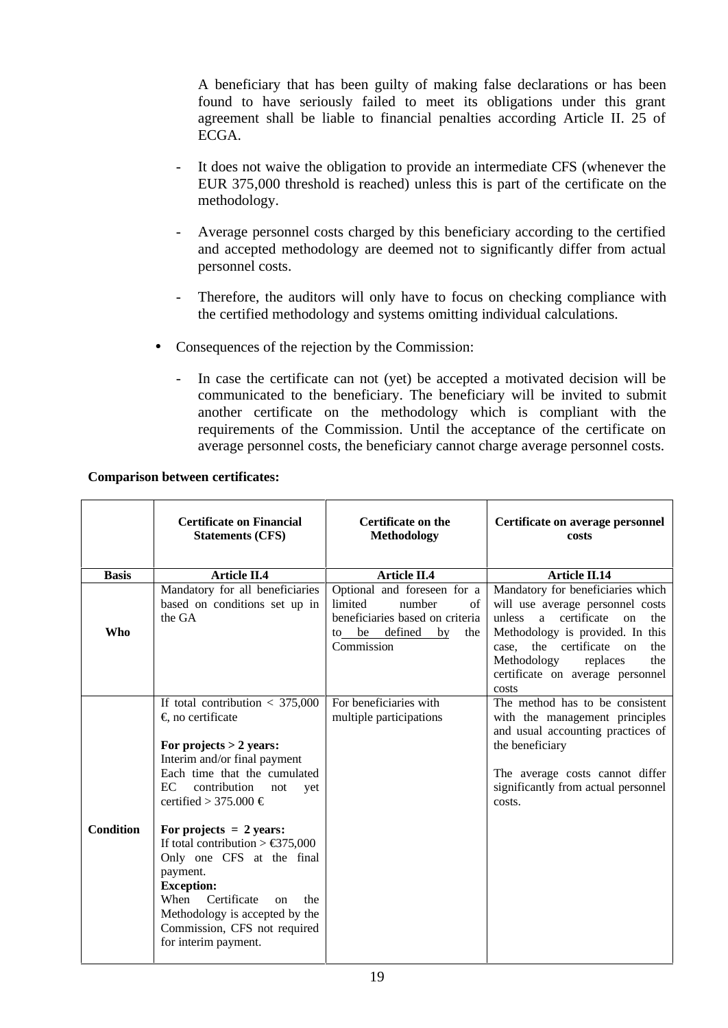A beneficiary that has been guilty of making false declarations or has been found to have seriously failed to meet its obligations under this grant agreement shall be liable to financial penalties according Article II. 25 of ECGA.

- It does not waive the obligation to provide an intermediate CFS (whenever the EUR 375,000 threshold is reached) unless this is part of the certificate on the methodology.
- Average personnel costs charged by this beneficiary according to the certified and accepted methodology are deemed not to significantly differ from actual personnel costs.
- Therefore, the auditors will only have to focus on checking compliance with the certified methodology and systems omitting individual calculations.
- Consequences of the rejection by the Commission:
	- In case the certificate can not (yet) be accepted a motivated decision will be communicated to the beneficiary. The beneficiary will be invited to submit another certificate on the methodology which is compliant with the requirements of the Commission. Until the acceptance of the certificate on average personnel costs, the beneficiary cannot charge average personnel costs.

#### **Comparison between certificates:**

|                  | <b>Certificate on Financial</b><br><b>Statements (CFS)</b>                                                                                                                                                                                                                                                                                                                                                                                                                                                  | <b>Certificate on the</b><br><b>Methodology</b>                                                                                       | Certificate on average personnel<br>costs                                                                                                                                                                                                                                       |
|------------------|-------------------------------------------------------------------------------------------------------------------------------------------------------------------------------------------------------------------------------------------------------------------------------------------------------------------------------------------------------------------------------------------------------------------------------------------------------------------------------------------------------------|---------------------------------------------------------------------------------------------------------------------------------------|---------------------------------------------------------------------------------------------------------------------------------------------------------------------------------------------------------------------------------------------------------------------------------|
| <b>Basis</b>     | <b>Article II.4</b>                                                                                                                                                                                                                                                                                                                                                                                                                                                                                         | <b>Article II.4</b>                                                                                                                   | <b>Article II.14</b>                                                                                                                                                                                                                                                            |
| <b>Who</b>       | Mandatory for all beneficiaries<br>based on conditions set up in<br>the GA                                                                                                                                                                                                                                                                                                                                                                                                                                  | Optional and foreseen for a<br>limited<br>number<br>of<br>beneficiaries based on criteria<br>to be defined<br>by<br>the<br>Commission | Mandatory for beneficiaries which<br>will use average personnel costs<br>certificate<br>unless<br>a<br>$\alpha$<br>the<br>Methodology is provided. In this<br>the certificate on<br>case.<br>the<br>Methodology<br>the<br>replaces<br>certificate on average personnel<br>costs |
| <b>Condition</b> | If total contribution $<$ 375,000<br>$\epsilon$ no certificate<br>For projects $> 2$ years:<br>Interim and/or final payment<br>Each time that the cumulated<br>EC.<br>contribution<br>not<br>vet<br>certified > 375.000 €<br>For projects $= 2$ years:<br>If total contribution > $\text{\textsterling}375,000$<br>Only one CFS at the final<br>payment.<br><b>Exception:</b><br>When<br>Certificate<br>the<br>on<br>Methodology is accepted by the<br>Commission, CFS not required<br>for interim payment. | For beneficiaries with<br>multiple participations                                                                                     | The method has to be consistent<br>with the management principles<br>and usual accounting practices of<br>the beneficiary<br>The average costs cannot differ<br>significantly from actual personnel<br>costs.                                                                   |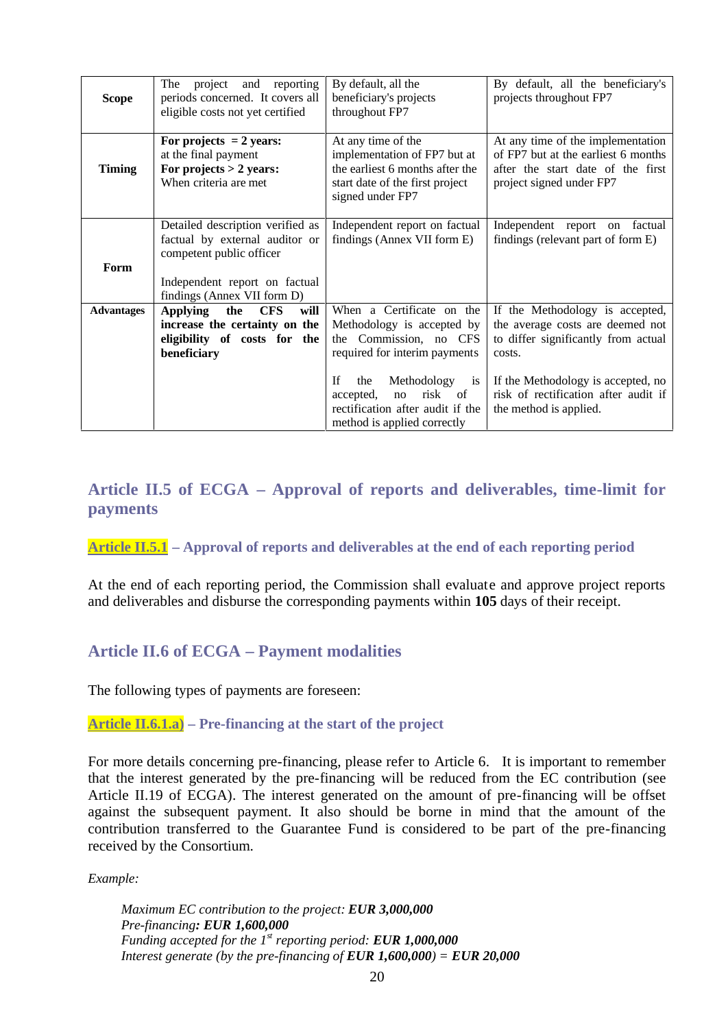| <b>Scope</b>      | The<br>reporting<br>project<br>and<br>periods concerned. It covers all<br>eligible costs not yet certified                                                     | By default, all the<br>beneficiary's projects<br>throughout FP7                                                                                                                           | By default, all the beneficiary's<br>projects throughout FP7                                                                                                                                       |
|-------------------|----------------------------------------------------------------------------------------------------------------------------------------------------------------|-------------------------------------------------------------------------------------------------------------------------------------------------------------------------------------------|----------------------------------------------------------------------------------------------------------------------------------------------------------------------------------------------------|
| <b>Timing</b>     | For projects $= 2$ years:<br>at the final payment<br>For projects $> 2$ years:<br>When criteria are met                                                        | At any time of the<br>implementation of FP7 but at<br>the earliest 6 months after the<br>start date of the first project<br>signed under FP7                                              | At any time of the implementation<br>of FP7 but at the earliest 6 months<br>after the start date of the first<br>project signed under FP7                                                          |
| Form              | Detailed description verified as<br>factual by external auditor or<br>competent public officer<br>Independent report on factual<br>findings (Annex VII form D) | Independent report on factual<br>findings (Annex VII form E)                                                                                                                              | Independent report on factual<br>findings (relevant part of form E)                                                                                                                                |
| <b>Advantages</b> | <b>CFS</b><br>will<br><b>Applying</b><br>the<br>increase the certainty on the<br>eligibility of costs for the<br>beneficiary                                   | When a Certificate on the<br>Methodology is accepted by<br>the Commission, no CFS<br>required for interim payments<br>Methodology is<br><b>If</b><br>the<br>risk<br>of<br>accepted,<br>no | If the Methodology is accepted,<br>the average costs are deemed not<br>to differ significantly from actual<br>costs.<br>If the Methodology is accepted, no<br>risk of rectification after audit if |
|                   |                                                                                                                                                                | rectification after audit if the<br>method is applied correctly                                                                                                                           | the method is applied.                                                                                                                                                                             |

## **Article II.5 of ECGA – Approval of reports and deliverables, time-limit for payments**

### **Article II.5.1 – Approval of reports and deliverables at the end of each reporting period**

At the end of each reporting period, the Commission shall evaluate and approve project reports and deliverables and disburse the corresponding payments within **105** days of their receipt.

### **Article II.6 of ECGA – Payment modalities**

The following types of payments are foreseen:

#### **Article II.6.1.a) – Pre-financing at the start of the project**

For more details concerning pre-financing, please refer to Article 6. It is important to remember that the interest generated by the pre-financing will be reduced from the EC contribution (see Article II.19 of ECGA). The interest generated on the amount of pre-financing will be offset against the subsequent payment. It also should be borne in mind that the amount of the contribution transferred to the Guarantee Fund is considered to be part of the pre-financing received by the Consortium.

*Example:* 

*Maximum EC contribution to the project: EUR 3,000,000 Pre-financing: EUR 1,600,000 Funding accepted for the 1st reporting period: EUR 1,000,000 Interest generate (by the pre-financing of <i>EUR 1,600,000)* = *EUR 20,000*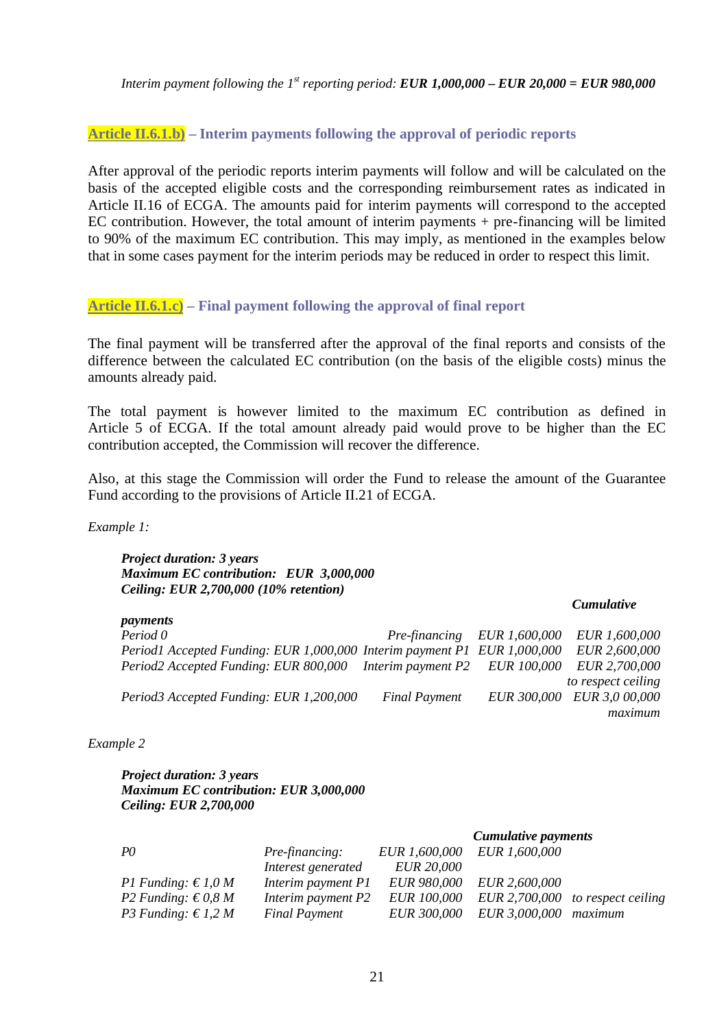*Interim payment following the 1<sup>st</sup> reporting period: EUR 1,000,000 – EUR 20,000 = EUR 980,000* 

#### **Article II.6.1.b) – Interim payments following the approval of periodic reports**

After approval of the periodic reports interim payments will follow and will be calculated on the basis of the accepted eligible costs and the corresponding reimbursement rates as indicated in Article II.16 of ECGA. The amounts paid for interim payments will correspond to the accepted EC contribution. However, the total amount of interim payments + pre-financing will be limited to 90% of the maximum EC contribution. This may imply, as mentioned in the examples below that in some cases payment for the interim periods may be reduced in order to respect this limit.

#### **Article II.6.1.c) – Final payment following the approval of final report**

The final payment will be transferred after the approval of the final reports and consists of the difference between the calculated EC contribution (on the basis of the eligible costs) minus the amounts already paid.

The total payment is however limited to the maximum EC contribution as defined in Article 5 of ECGA. If the total amount already paid would prove to be higher than the EC contribution accepted, the Commission will recover the difference.

Also, at this stage the Commission will order the Fund to release the amount of the Guarantee Fund according to the provisions of Article II.21 of ECGA.

*Example 1:*

*payments*

*Project duration: 3 years Maximum EC contribution: EUR 3,000,000 Ceiling: EUR 2,700,000 (10% retention)*

#### *Cumulative*

| риушешь                                                                  |                      |                             |                            |
|--------------------------------------------------------------------------|----------------------|-----------------------------|----------------------------|
| Period 0                                                                 |                      | Pre-financing EUR 1,600,000 | <i>EUR 1,600,000</i>       |
| Period1 Accepted Funding: EUR 1,000,000 Interim payment P1 EUR 1,000,000 |                      |                             | <i>EUR 2,600,000</i>       |
| Period2 Accepted Funding: EUR 800,000 Interim payment P2 EUR 100,000     |                      |                             | <i>EUR 2,700,000</i>       |
|                                                                          |                      |                             | to respect ceiling         |
| Period3 Accepted Funding: EUR 1,200,000                                  | <b>Final Payment</b> |                             | EUR 300,000 EUR 3,0 00,000 |
|                                                                          |                      |                             | maximum                    |

#### *Example 2*

*Project duration: 3 years Maximum EC contribution: EUR 3,000,000 Ceiling: EUR 2,700,000*

|                            |                       |                      | Cumulative payments  |                                    |
|----------------------------|-----------------------|----------------------|----------------------|------------------------------------|
| PQ                         | <i>Pre-financing:</i> | <i>EUR</i> 1,600,000 | EUR 1,600,000        |                                    |
|                            | Interest generated    | <i>EUR 20,000</i>    |                      |                                    |
| P1 Funding: $\in 1,0 M$    | Interim payment P1    | <i>EUR 980,000</i>   | <i>EUR 2,600,000</i> |                                    |
| P2 Funding: $\in 0.8 M$    | Interim payment P2    | <i>EUR 100,000</i>   |                      | EUR $2,700,000$ to respect ceiling |
| <i>P3 Funding:</i> € 1,2 M | <b>Final Payment</b>  | <i>EUR 300,000</i>   | <i>EUR 3,000,000</i> | maximum                            |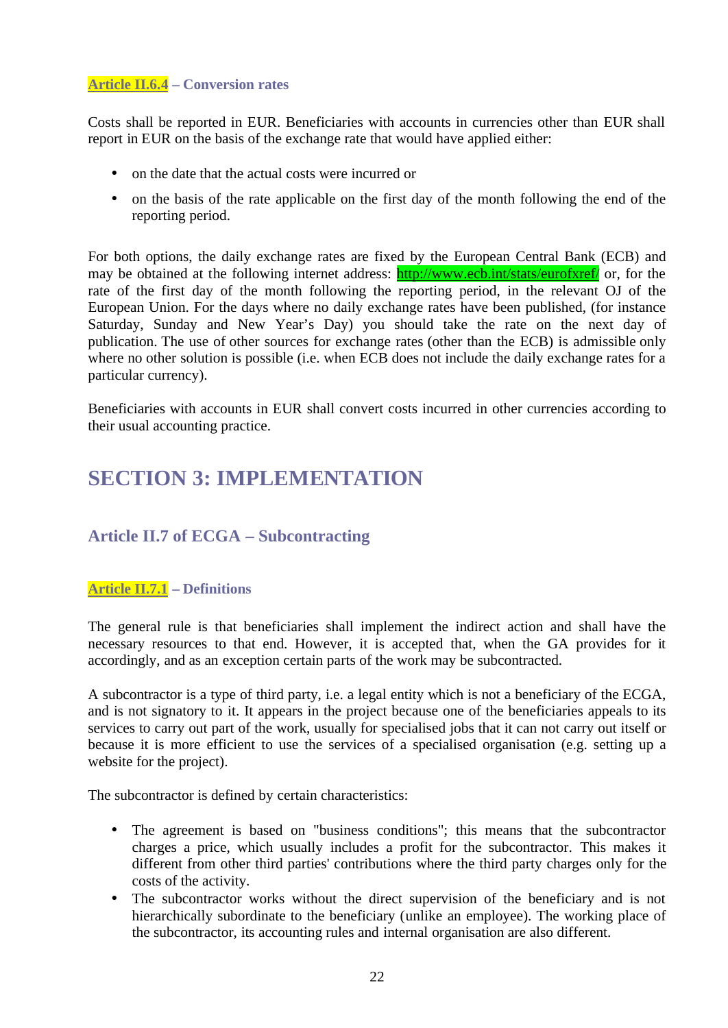#### **Article II.6.4 – Conversion rates**

Costs shall be reported in EUR. Beneficiaries with accounts in currencies other than EUR shall report in EUR on the basis of the exchange rate that would have applied either:

- on the date that the actual costs were incurred or
- on the basis of the rate applicable on the first day of the month following the end of the reporting period.

For both options, the daily exchange rates are fixed by the European Central Bank (ECB) and may be obtained at the following internet address: **http://www.ecb.int/stats/eurofxref/** or, for the rate of the first day of the month following the reporting period, in the relevant OJ of the European Union. For the days where no daily exchange rates have been published, (for instance Saturday, Sunday and New Year's Day) you should take the rate on the next day of publication. The use of other sources for exchange rates (other than the ECB) is admissible only where no other solution is possible (i.e. when ECB does not include the daily exchange rates for a particular currency).

Beneficiaries with accounts in EUR shall convert costs incurred in other currencies according to their usual accounting practice.

## **SECTION 3: IMPLEMENTATION**

### **Article II.7 of ECGA – Subcontracting**

#### **Article II.7.1 – Definitions**

The general rule is that beneficiaries shall implement the indirect action and shall have the necessary resources to that end. However, it is accepted that, when the GA provides for it accordingly, and as an exception certain parts of the work may be subcontracted.

A subcontractor is a type of third party, i.e. a legal entity which is not a beneficiary of the ECGA, and is not signatory to it. It appears in the project because one of the beneficiaries appeals to its services to carry out part of the work, usually for specialised jobs that it can not carry out itself or because it is more efficient to use the services of a specialised organisation (e.g. setting up a website for the project).

The subcontractor is defined by certain characteristics:

- The agreement is based on "business conditions"; this means that the subcontractor charges a price, which usually includes a profit for the subcontractor. This makes it different from other third parties' contributions where the third party charges only for the costs of the activity.
- The subcontractor works without the direct supervision of the beneficiary and is not hierarchically subordinate to the beneficiary (unlike an employee). The working place of the subcontractor, its accounting rules and internal organisation are also different.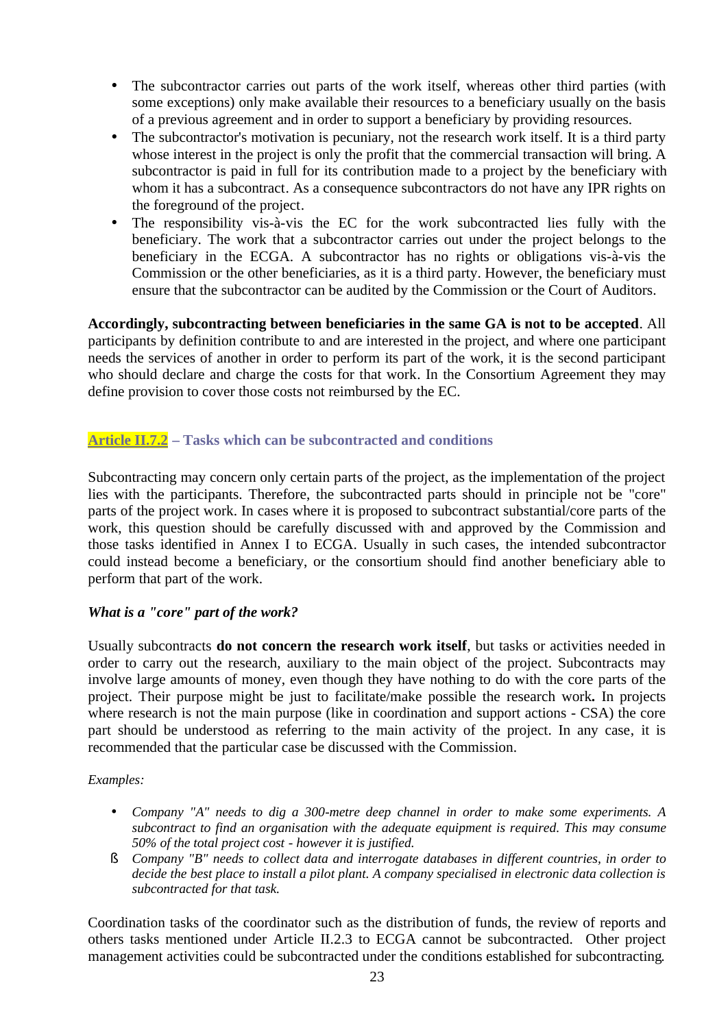- The subcontractor carries out parts of the work itself, whereas other third parties (with some exceptions) only make available their resources to a beneficiary usually on the basis of a previous agreement and in order to support a beneficiary by providing resources.
- The subcontractor's motivation is pecuniary, not the research work itself. It is a third party whose interest in the project is only the profit that the commercial transaction will bring. A subcontractor is paid in full for its contribution made to a project by the beneficiary with whom it has a subcontract. As a consequence subcontractors do not have any IPR rights on the foreground of the project.
- The responsibility vis-à-vis the EC for the work subcontracted lies fully with the beneficiary. The work that a subcontractor carries out under the project belongs to the beneficiary in the ECGA. A subcontractor has no rights or obligations vis-à-vis the Commission or the other beneficiaries, as it is a third party. However, the beneficiary must ensure that the subcontractor can be audited by the Commission or the Court of Auditors.

**Accordingly, subcontracting between beneficiaries in the same GA is not to be accepted**. All participants by definition contribute to and are interested in the project, and where one participant needs the services of another in order to perform its part of the work, it is the second participant who should declare and charge the costs for that work. In the Consortium Agreement they may define provision to cover those costs not reimbursed by the EC.

### **Article II.7.2 – Tasks which can be subcontracted and conditions**

Subcontracting may concern only certain parts of the project, as the implementation of the project lies with the participants. Therefore, the subcontracted parts should in principle not be "core" parts of the project work. In cases where it is proposed to subcontract substantial/core parts of the work, this question should be carefully discussed with and approved by the Commission and those tasks identified in Annex I to ECGA. Usually in such cases, the intended subcontractor could instead become a beneficiary, or the consortium should find another beneficiary able to perform that part of the work.

#### *What is a "core" part of the work?*

Usually subcontracts **do not concern the research work itself**, but tasks or activities needed in order to carry out the research, auxiliary to the main object of the project. Subcontracts may involve large amounts of money, even though they have nothing to do with the core parts of the project. Their purpose might be just to facilitate/make possible the research work**.** In projects where research is not the main purpose (like in coordination and support actions - CSA) the core part should be understood as referring to the main activity of the project. In any case, it is recommended that the particular case be discussed with the Commission.

#### *Examples:*

- *Company "A" needs to dig a 300-metre deep channel in order to make some experiments. A subcontract to find an organisation with the adequate equipment is required. This may consume 50% of the total project cost - however it is justified.*
- § *Company "B" needs to collect data and interrogate databases in different countries, in order to decide the best place to install a pilot plant. A company specialised in electronic data collection is subcontracted for that task.*

Coordination tasks of the coordinator such as the distribution of funds, the review of reports and others tasks mentioned under Article II.2.3 to ECGA cannot be subcontracted. Other project management activities could be subcontracted under the conditions established for subcontracting.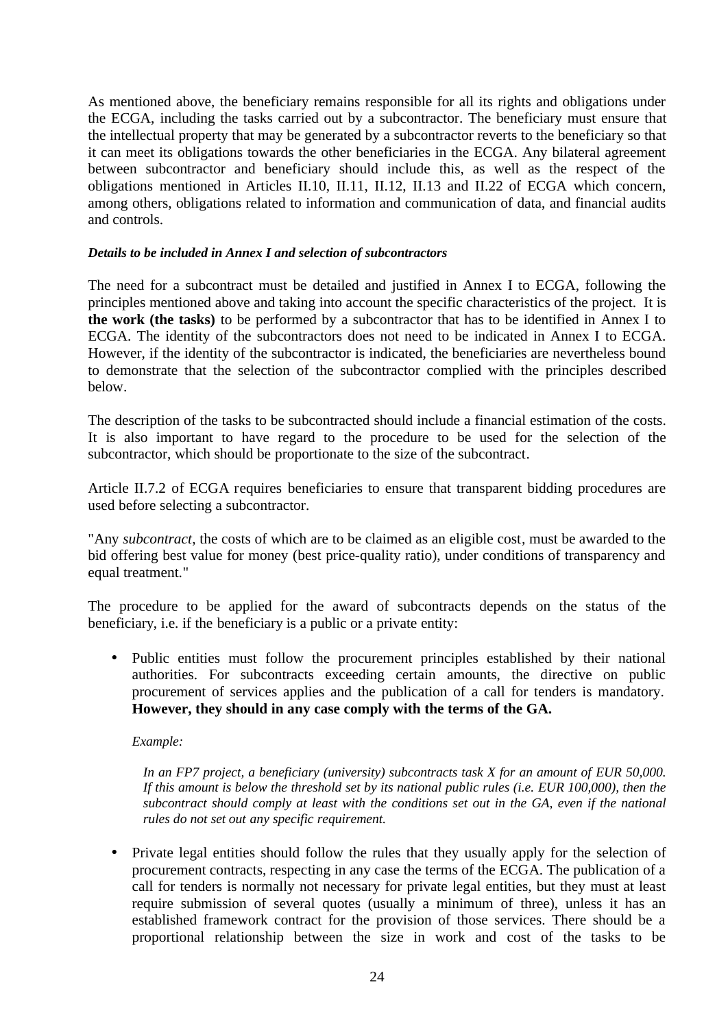As mentioned above, the beneficiary remains responsible for all its rights and obligations under the ECGA, including the tasks carried out by a subcontractor. The beneficiary must ensure that the intellectual property that may be generated by a subcontractor reverts to the beneficiary so that it can meet its obligations towards the other beneficiaries in the ECGA. Any bilateral agreement between subcontractor and beneficiary should include this, as well as the respect of the obligations mentioned in Articles II.10, II.11, II.12, II.13 and II.22 of ECGA which concern, among others, obligations related to information and communication of data, and financial audits and controls.

#### *Details to be included in Annex I and selection of subcontractors*

The need for a subcontract must be detailed and justified in Annex I to ECGA, following the principles mentioned above and taking into account the specific characteristics of the project. It is **the work (the tasks)** to be performed by a subcontractor that has to be identified in Annex I to ECGA. The identity of the subcontractors does not need to be indicated in Annex I to ECGA. However, if the identity of the subcontractor is indicated, the beneficiaries are nevertheless bound to demonstrate that the selection of the subcontractor complied with the principles described below.

The description of the tasks to be subcontracted should include a financial estimation of the costs. It is also important to have regard to the procedure to be used for the selection of the subcontractor, which should be proportionate to the size of the subcontract.

Article II.7.2 of ECGA requires beneficiaries to ensure that transparent bidding procedures are used before selecting a subcontractor.

"Any *subcontract*, the costs of which are to be claimed as an eligible cost*,* must be awarded to the bid offering best value for money (best price-quality ratio), under conditions of transparency and equal treatment."

The procedure to be applied for the award of subcontracts depends on the status of the beneficiary, i.e. if the beneficiary is a public or a private entity:

• Public entities must follow the procurement principles established by their national authorities. For subcontracts exceeding certain amounts, the directive on public procurement of services applies and the publication of a call for tenders is mandatory. **However, they should in any case comply with the terms of the GA.**

*Example:* 

*In an FP7 project, a beneficiary (university) subcontracts task X for an amount of EUR 50,000. If this amount is below the threshold set by its national public rules (i.e. EUR 100,000), then the subcontract should comply at least with the conditions set out in the GA, even if the national rules do not set out any specific requirement.*

• Private legal entities should follow the rules that they usually apply for the selection of procurement contracts, respecting in any case the terms of the ECGA. The publication of a call for tenders is normally not necessary for private legal entities, but they must at least require submission of several quotes (usually a minimum of three), unless it has an established framework contract for the provision of those services. There should be a proportional relationship between the size in work and cost of the tasks to be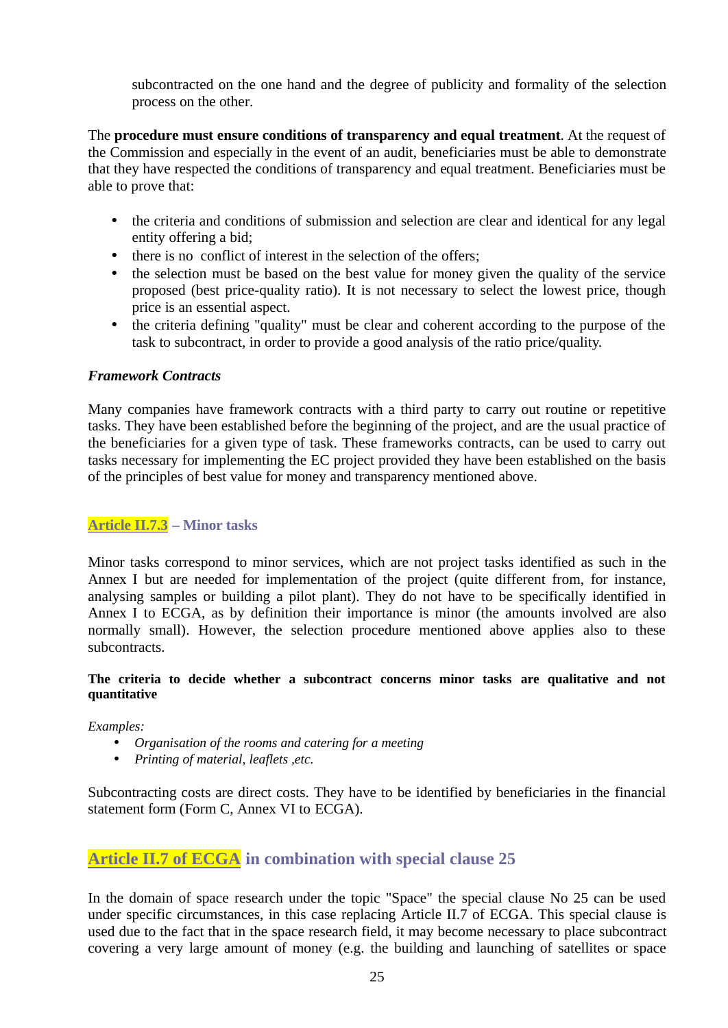subcontracted on the one hand and the degree of publicity and formality of the selection process on the other.

The **procedure must ensure conditions of transparency and equal treatment**. At the request of the Commission and especially in the event of an audit, beneficiaries must be able to demonstrate that they have respected the conditions of transparency and equal treatment. Beneficiaries must be able to prove that:

- the criteria and conditions of submission and selection are clear and identical for any legal entity offering a bid;
- there is no conflict of interest in the selection of the offers;
- the selection must be based on the best value for money given the quality of the service proposed (best price-quality ratio). It is not necessary to select the lowest price, though price is an essential aspect.
- the criteria defining "quality" must be clear and coherent according to the purpose of the task to subcontract, in order to provide a good analysis of the ratio price/quality.

#### *Framework Contracts*

Many companies have framework contracts with a third party to carry out routine or repetitive tasks. They have been established before the beginning of the project, and are the usual practice of the beneficiaries for a given type of task. These frameworks contracts, can be used to carry out tasks necessary for implementing the EC project provided they have been established on the basis of the principles of best value for money and transparency mentioned above.

#### **Article II.7.3 – Minor tasks**

Minor tasks correspond to minor services, which are not project tasks identified as such in the Annex I but are needed for implementation of the project (quite different from, for instance, analysing samples or building a pilot plant). They do not have to be specifically identified in Annex I to ECGA, as by definition their importance is minor (the amounts involved are also normally small). However, the selection procedure mentioned above applies also to these subcontracts.

#### **The criteria to decide whether a subcontract concerns minor tasks are qualitative and not quantitative**

#### *Examples:*

- *Organisation of the rooms and catering for a meeting*
- *Printing of material, leaflets ,etc.*

Subcontracting costs are direct costs. They have to be identified by beneficiaries in the financial statement form (Form C, Annex VI to ECGA).

### **Article II.7 of ECGA in combination with special clause 25**

In the domain of space research under the topic "Space" the special clause No 25 can be used under specific circumstances, in this case replacing Article II.7 of ECGA. This special clause is used due to the fact that in the space research field, it may become necessary to place subcontract covering a very large amount of money (e.g. the building and launching of satellites or space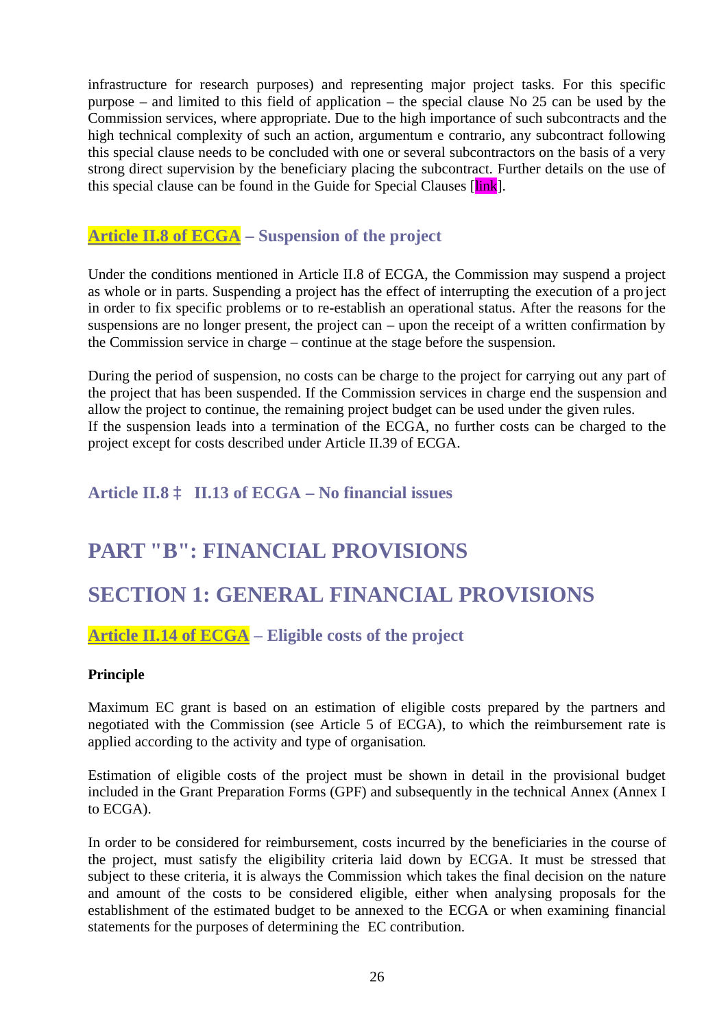infrastructure for research purposes) and representing major project tasks. For this specific purpose – and limited to this field of application – the special clause No 25 can be used by the Commission services, where appropriate. Due to the high importance of such subcontracts and the high technical complexity of such an action, argumentum e contrario, any subcontract following this special clause needs to be concluded with one or several subcontractors on the basis of a very strong direct supervision by the beneficiary placing the subcontract. Further details on the use of this special clause can be found in the Guide for Special Clauses [link].

### **Article II.8 of ECGA – Suspension of the project**

Under the conditions mentioned in Article II.8 of ECGA, the Commission may suspend a project as whole or in parts. Suspending a project has the effect of interrupting the execution of a pro ject in order to fix specific problems or to re-establish an operational status. After the reasons for the suspensions are no longer present, the project can – upon the receipt of a written confirmation by the Commission service in charge – continue at the stage before the suspension.

During the period of suspension, no costs can be charge to the project for carrying out any part of the project that has been suspended. If the Commission services in charge end the suspension and allow the project to continue, the remaining project budget can be used under the given rules. If the suspension leads into a termination of the ECGA, no further costs can be charged to the project except for costs described under Article II.39 of ECGA.

## **Article II.8** à **II.13 of ECGA – No financial issues**

## **PART "B": FINANCIAL PROVISIONS**

## **SECTION 1: GENERAL FINANCIAL PROVISIONS**

### **Article II.14 of ECGA – Eligible costs of the project**

#### **Principle**

Maximum EC grant is based on an estimation of eligible costs prepared by the partners and negotiated with the Commission (see Article 5 of ECGA), to which the reimbursement rate is applied according to the activity and type of organisation.

Estimation of eligible costs of the project must be shown in detail in the provisional budget included in the Grant Preparation Forms (GPF) and subsequently in the technical Annex (Annex I to ECGA).

In order to be considered for reimbursement, costs incurred by the beneficiaries in the course of the project, must satisfy the eligibility criteria laid down by ECGA. It must be stressed that subject to these criteria, it is always the Commission which takes the final decision on the nature and amount of the costs to be considered eligible, either when analysing proposals for the establishment of the estimated budget to be annexed to the ECGA or when examining financial statements for the purposes of determining the EC contribution.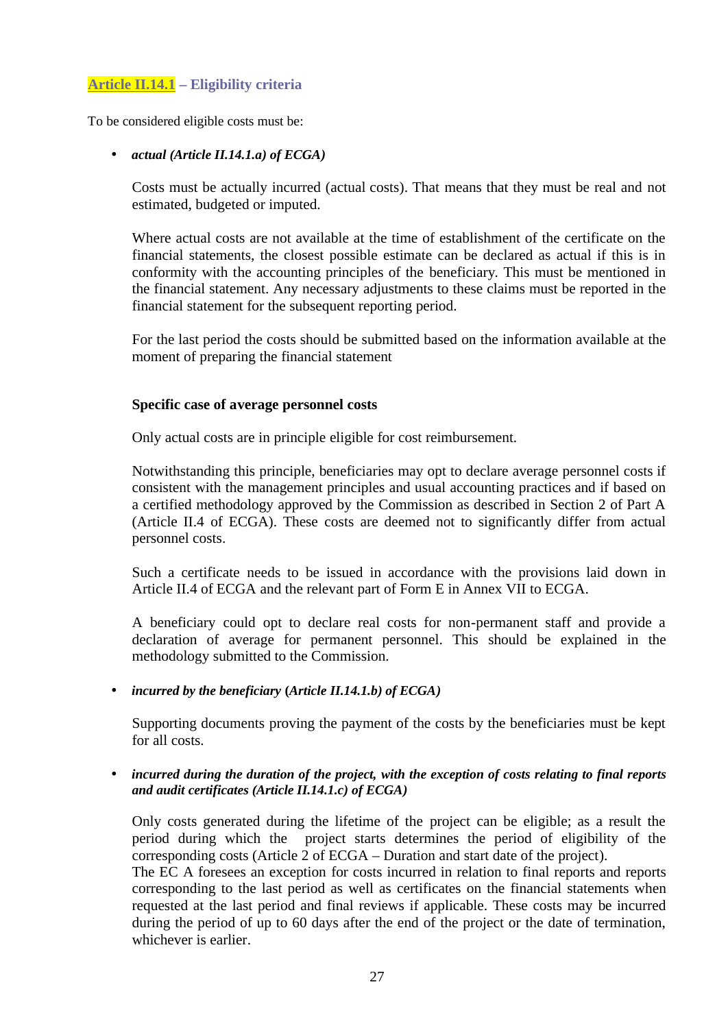#### **Article II.14.1 – Eligibility criteria**

To be considered eligible costs must be:

• *actual (Article II.14.1.a) of ECGA)*

Costs must be actually incurred (actual costs). That means that they must be real and not estimated, budgeted or imputed.

Where actual costs are not available at the time of establishment of the certificate on the financial statements, the closest possible estimate can be declared as actual if this is in conformity with the accounting principles of the beneficiary. This must be mentioned in the financial statement. Any necessary adjustments to these claims must be reported in the financial statement for the subsequent reporting period.

For the last period the costs should be submitted based on the information available at the moment of preparing the financial statement

#### **Specific case of average personnel costs**

Only actual costs are in principle eligible for cost reimbursement.

Notwithstanding this principle, beneficiaries may opt to declare average personnel costs if consistent with the management principles and usual accounting practices and if based on a certified methodology approved by the Commission as described in Section 2 of Part A (Article II.4 of ECGA). These costs are deemed not to significantly differ from actual personnel costs.

Such a certificate needs to be issued in accordance with the provisions laid down in Article II.4 of ECGA and the relevant part of Form E in Annex VII to ECGA.

A beneficiary could opt to declare real costs for non-permanent staff and provide a declaration of average for permanent personnel. This should be explained in the methodology submitted to the Commission.

• *incurred by the beneficiary* **(***Article II.14.1.b) of ECGA)* 

Supporting documents proving the payment of the costs by the beneficiaries must be kept for all costs.

• *incurred during the duration of the project, with the exception of costs relating to final reports and audit certificates (Article II.14.1.c) of ECGA)*

Only costs generated during the lifetime of the project can be eligible; as a result the period during which the project starts determines the period of eligibility of the corresponding costs (Article 2 of ECGA – Duration and start date of the project).

The EC A foresees an exception for costs incurred in relation to final reports and reports corresponding to the last period as well as certificates on the financial statements when requested at the last period and final reviews if applicable. These costs may be incurred during the period of up to 60 days after the end of the project or the date of termination, whichever is earlier.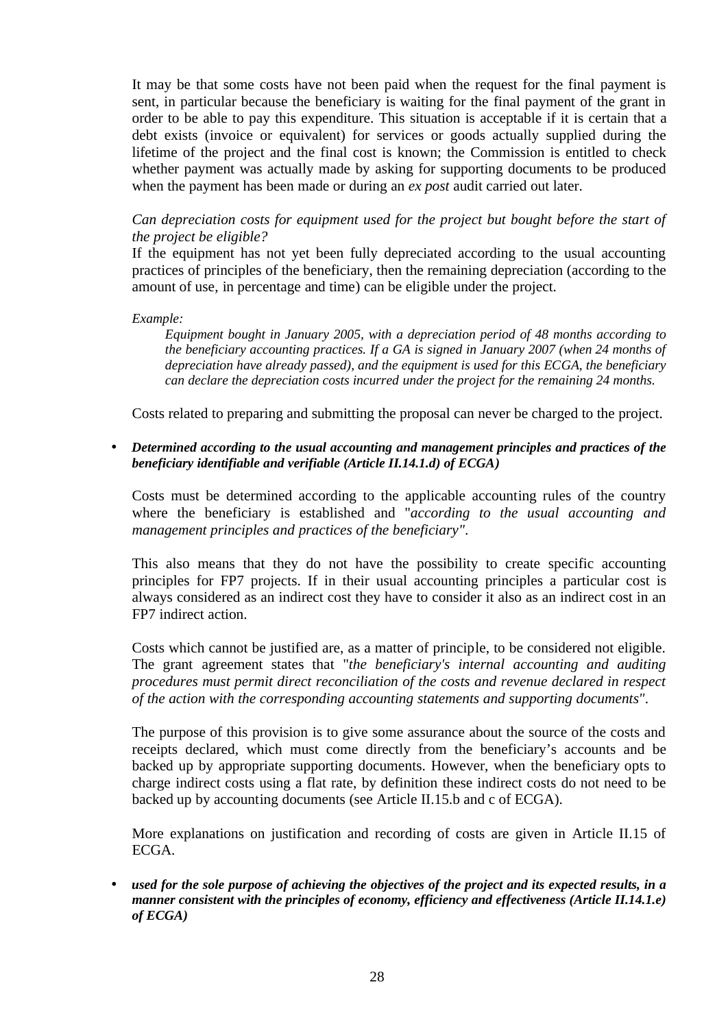It may be that some costs have not been paid when the request for the final payment is sent, in particular because the beneficiary is waiting for the final payment of the grant in order to be able to pay this expenditure. This situation is acceptable if it is certain that a debt exists (invoice or equivalent) for services or goods actually supplied during the lifetime of the project and the final cost is known; the Commission is entitled to check whether payment was actually made by asking for supporting documents to be produced when the payment has been made or during an *ex post* audit carried out later.

*Can depreciation costs for equipment used for the project but bought before the start of the project be eligible?*

If the equipment has not yet been fully depreciated according to the usual accounting practices of principles of the beneficiary, then the remaining depreciation (according to the amount of use, in percentage and time) can be eligible under the project.

#### *Example:*

*Equipment bought in January 2005, with a depreciation period of 48 months according to the beneficiary accounting practices. If a GA is signed in January 2007 (when 24 months of depreciation have already passed), and the equipment is used for this ECGA, the beneficiary can declare the depreciation costs incurred under the project for the remaining 24 months.*

Costs related to preparing and submitting the proposal can never be charged to the project.

• *Determined according to the usual accounting and management principles and practices of the beneficiary identifiable and verifiable (Article II.14.1.d) of ECGA)*

Costs must be determined according to the applicable accounting rules of the country where the beneficiary is established and "*according to the usual accounting and management principles and practices of the beneficiary"*.

This also means that they do not have the possibility to create specific accounting principles for FP7 projects. If in their usual accounting principles a particular cost is always considered as an indirect cost they have to consider it also as an indirect cost in an FP7 indirect action.

Costs which cannot be justified are, as a matter of principle, to be considered not eligible. The grant agreement states that "*the beneficiary's internal accounting and auditing procedures must permit direct reconciliation of the costs and revenue declared in respect of the action with the corresponding accounting statements and supporting documents"*.

The purpose of this provision is to give some assurance about the source of the costs and receipts declared, which must come directly from the beneficiary's accounts and be backed up by appropriate supporting documents. However, when the beneficiary opts to charge indirect costs using a flat rate, by definition these indirect costs do not need to be backed up by accounting documents (see Article II.15.b and c of ECGA).

More explanations on justification and recording of costs are given in Article II.15 of ECGA.

• *used for the sole purpose of achieving the objectives of the project and its expected results, in a manner consistent with the principles of economy, efficiency and effectiveness (Article II.14.1.e) of ECGA)*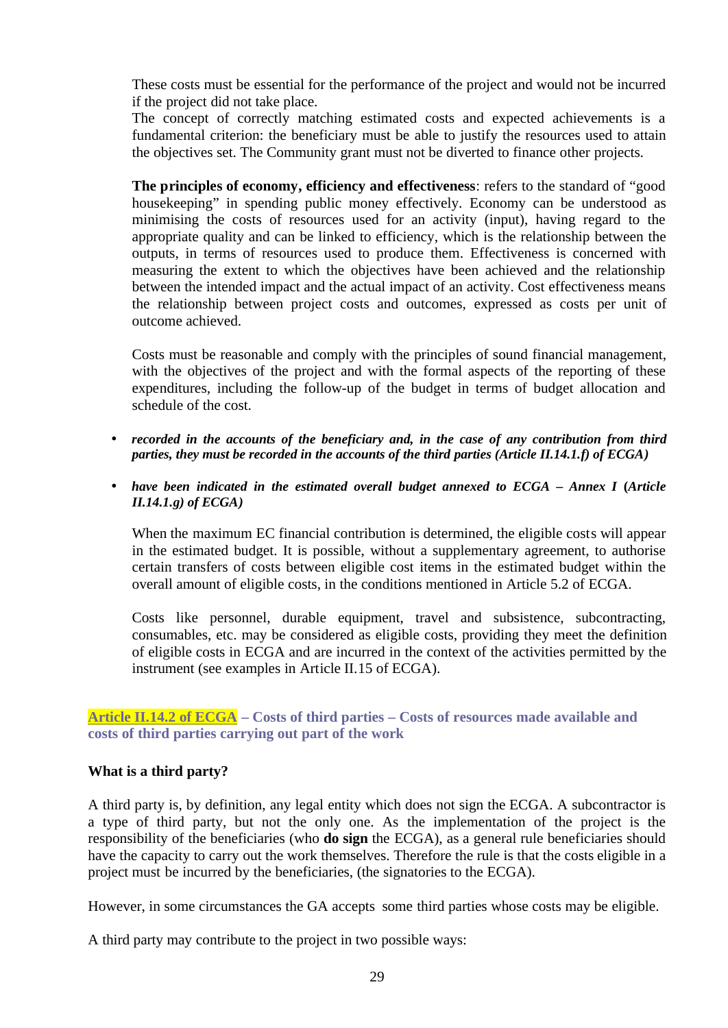These costs must be essential for the performance of the project and would not be incurred if the project did not take place.

The concept of correctly matching estimated costs and expected achievements is a fundamental criterion: the beneficiary must be able to justify the resources used to attain the objectives set. The Community grant must not be diverted to finance other projects.

**The principles of economy, efficiency and effectiveness**: refers to the standard of "good housekeeping" in spending public money effectively. Economy can be understood as minimising the costs of resources used for an activity (input), having regard to the appropriate quality and can be linked to efficiency, which is the relationship between the outputs, in terms of resources used to produce them. Effectiveness is concerned with measuring the extent to which the objectives have been achieved and the relationship between the intended impact and the actual impact of an activity. Cost effectiveness means the relationship between project costs and outcomes, expressed as costs per unit of outcome achieved.

Costs must be reasonable and comply with the principles of sound financial management, with the objectives of the project and with the formal aspects of the reporting of these expenditures, including the follow-up of the budget in terms of budget allocation and schedule of the cost.

- *recorded in the accounts of the beneficiary and, in the case of any contribution from third parties, they must be recorded in the accounts of the third parties (Article II.14.1.f) of ECGA)*
- *have been indicated in the estimated overall budget annexed to ECGA Annex I* **(***Article II.14.1.g) of ECGA)*

When the maximum EC financial contribution is determined, the eligible costs will appear in the estimated budget. It is possible, without a supplementary agreement, to authorise certain transfers of costs between eligible cost items in the estimated budget within the overall amount of eligible costs, in the conditions mentioned in Article 5.2 of ECGA.

Costs like personnel, durable equipment, travel and subsistence, subcontracting, consumables, etc. may be considered as eligible costs, providing they meet the definition of eligible costs in ECGA and are incurred in the context of the activities permitted by the instrument (see examples in Article II.15 of ECGA).

**Article II.14.2 of ECGA – Costs of third parties – Costs of resources made available and costs of third parties carrying out part of the work**

#### **What is a third party?**

A third party is, by definition, any legal entity which does not sign the ECGA. A subcontractor is a type of third party, but not the only one. As the implementation of the project is the responsibility of the beneficiaries (who **do sign** the ECGA), as a general rule beneficiaries should have the capacity to carry out the work themselves. Therefore the rule is that the costs eligible in a project must be incurred by the beneficiaries, (the signatories to the ECGA).

However, in some circumstances the GA accepts some third parties whose costs may be eligible.

A third party may contribute to the project in two possible ways: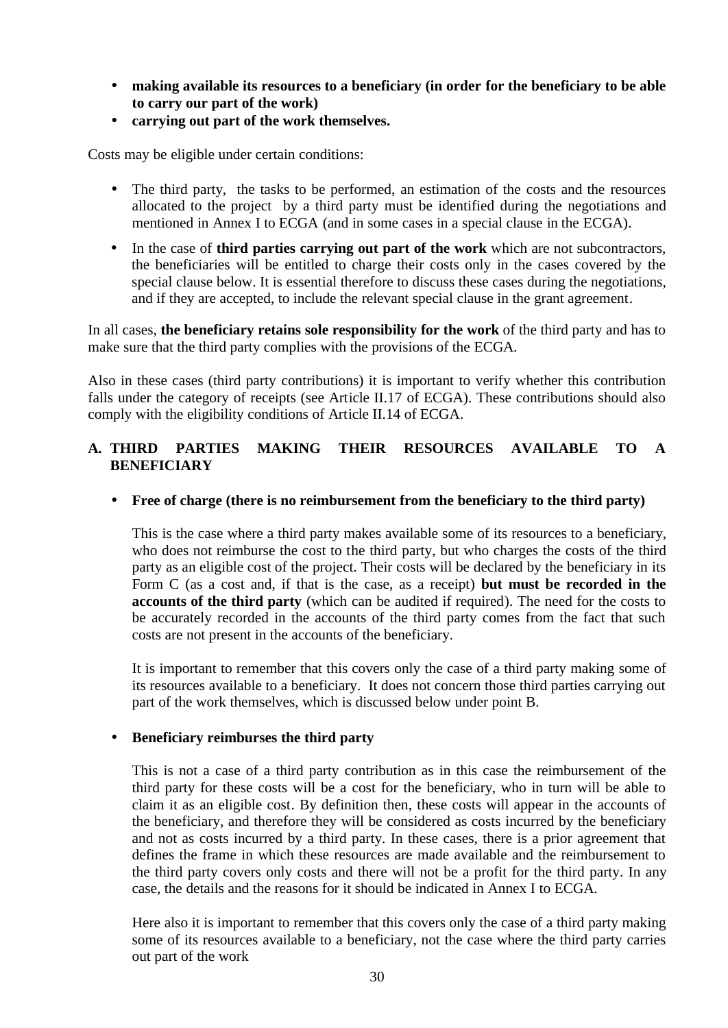- **making available its resources to a beneficiary (in order for the beneficiary to be able to carry our part of the work)**
- **carrying out part of the work themselves.**

Costs may be eligible under certain conditions:

- The third party, the tasks to be performed, an estimation of the costs and the resources allocated to the project by a third party must be identified during the negotiations and mentioned in Annex I to ECGA (and in some cases in a special clause in the ECGA).
- In the case of **third parties carrying out part of the work** which are not subcontractors, the beneficiaries will be entitled to charge their costs only in the cases covered by the special clause below. It is essential therefore to discuss these cases during the negotiations, and if they are accepted, to include the relevant special clause in the grant agreement.

In all cases, **the beneficiary retains sole responsibility for the work** of the third party and has to make sure that the third party complies with the provisions of the ECGA.

Also in these cases (third party contributions) it is important to verify whether this contribution falls under the category of receipts (see Article II.17 of ECGA). These contributions should also comply with the eligibility conditions of Article II.14 of ECGA.

#### **A. THIRD PARTIES MAKING THEIR RESOURCES AVAILABLE TO A BENEFICIARY**

#### • **Free of charge (there is no reimbursement from the beneficiary to the third party)**

This is the case where a third party makes available some of its resources to a beneficiary, who does not reimburse the cost to the third party, but who charges the costs of the third party as an eligible cost of the project. Their costs will be declared by the beneficiary in its Form C (as a cost and, if that is the case, as a receipt) **but must be recorded in the accounts of the third party** (which can be audited if required). The need for the costs to be accurately recorded in the accounts of the third party comes from the fact that such costs are not present in the accounts of the beneficiary.

It is important to remember that this covers only the case of a third party making some of its resources available to a beneficiary. It does not concern those third parties carrying out part of the work themselves, which is discussed below under point B.

#### • **Beneficiary reimburses the third party**

This is not a case of a third party contribution as in this case the reimbursement of the third party for these costs will be a cost for the beneficiary, who in turn will be able to claim it as an eligible cost. By definition then, these costs will appear in the accounts of the beneficiary, and therefore they will be considered as costs incurred by the beneficiary and not as costs incurred by a third party. In these cases, there is a prior agreement that defines the frame in which these resources are made available and the reimbursement to the third party covers only costs and there will not be a profit for the third party. In any case, the details and the reasons for it should be indicated in Annex I to ECGA.

Here also it is important to remember that this covers only the case of a third party making some of its resources available to a beneficiary, not the case where the third party carries out part of the work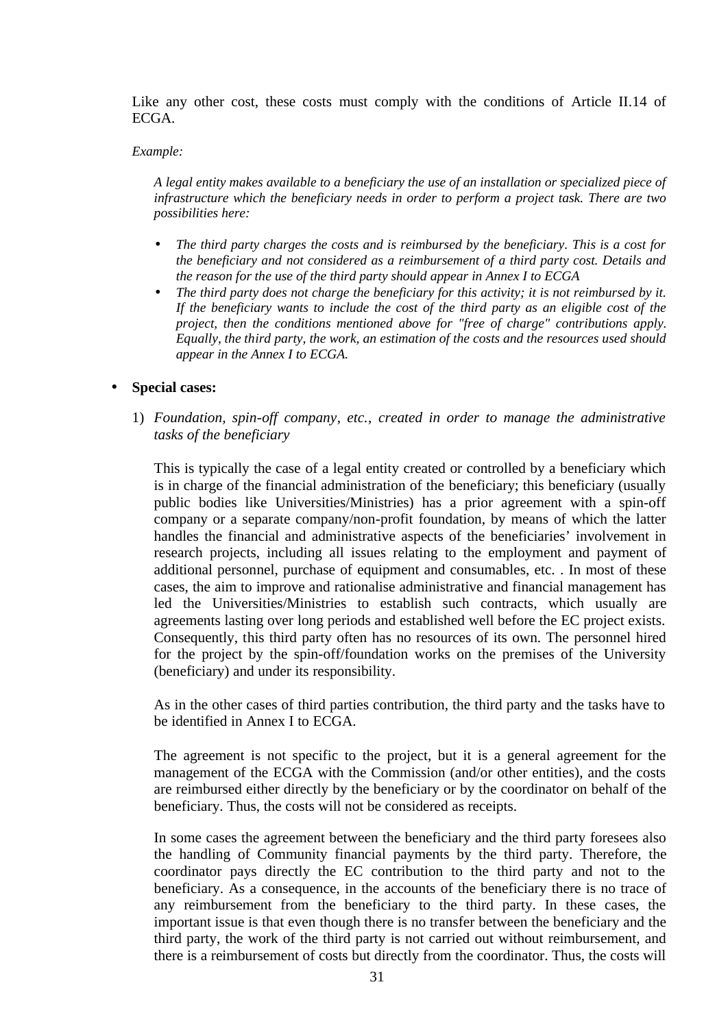Like any other cost, these costs must comply with the conditions of Article II.14 of ECGA.

#### *Example:*

*A legal entity makes available to a beneficiary the use of an installation or specialized piece of infrastructure which the beneficiary needs in order to perform a project task. There are two possibilities here:*

- *The third party charges the costs and is reimbursed by the beneficiary. This is a cost for the beneficiary and not considered as a reimbursement of a third party cost. Details and the reason for the use of the third party should appear in Annex I to ECGA*
- *The third party does not charge the beneficiary for this activity; it is not reimbursed by it. If the beneficiary wants to include the cost of the third party as an eligible cost of the project, then the conditions mentioned above for "free of charge" contributions apply. Equally, the third party, the work, an estimation of the costs and the resources used should appear in the Annex I to ECGA.*

#### • **Special cases:**

1) *Foundation, spin-off company, etc., created in order to manage the administrative tasks of the beneficiary*

This is typically the case of a legal entity created or controlled by a beneficiary which is in charge of the financial administration of the beneficiary; this beneficiary (usually public bodies like Universities/Ministries) has a prior agreement with a spin-off company or a separate company/non-profit foundation, by means of which the latter handles the financial and administrative aspects of the beneficiaries' involvement in research projects, including all issues relating to the employment and payment of additional personnel, purchase of equipment and consumables, etc. . In most of these cases, the aim to improve and rationalise administrative and financial management has led the Universities/Ministries to establish such contracts, which usually are agreements lasting over long periods and established well before the EC project exists. Consequently, this third party often has no resources of its own. The personnel hired for the project by the spin-off/foundation works on the premises of the University (beneficiary) and under its responsibility.

As in the other cases of third parties contribution, the third party and the tasks have to be identified in Annex I to ECGA.

The agreement is not specific to the project, but it is a general agreement for the management of the ECGA with the Commission (and/or other entities), and the costs are reimbursed either directly by the beneficiary or by the coordinator on behalf of the beneficiary. Thus, the costs will not be considered as receipts.

In some cases the agreement between the beneficiary and the third party foresees also the handling of Community financial payments by the third party. Therefore, the coordinator pays directly the EC contribution to the third party and not to the beneficiary. As a consequence, in the accounts of the beneficiary there is no trace of any reimbursement from the beneficiary to the third party. In these cases, the important issue is that even though there is no transfer between the beneficiary and the third party, the work of the third party is not carried out without reimbursement, and there is a reimbursement of costs but directly from the coordinator. Thus, the costs will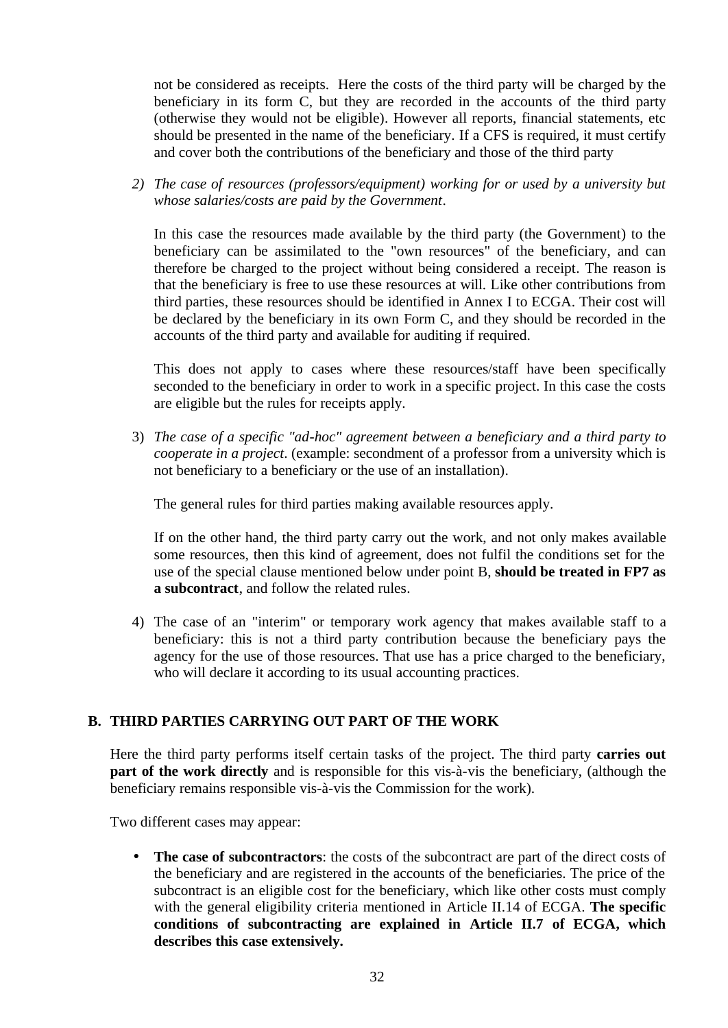not be considered as receipts. Here the costs of the third party will be charged by the beneficiary in its form C, but they are recorded in the accounts of the third party (otherwise they would not be eligible). However all reports, financial statements, etc should be presented in the name of the beneficiary. If a CFS is required, it must certify and cover both the contributions of the beneficiary and those of the third party

*2) The case of resources (professors/equipment) working for or used by a university but whose salaries/costs are paid by the Government*.

In this case the resources made available by the third party (the Government) to the beneficiary can be assimilated to the "own resources" of the beneficiary, and can therefore be charged to the project without being considered a receipt. The reason is that the beneficiary is free to use these resources at will. Like other contributions from third parties, these resources should be identified in Annex I to ECGA. Their cost will be declared by the beneficiary in its own Form C, and they should be recorded in the accounts of the third party and available for auditing if required.

This does not apply to cases where these resources/staff have been specifically seconded to the beneficiary in order to work in a specific project. In this case the costs are eligible but the rules for receipts apply.

3) *The case of a specific "ad-hoc" agreement between a beneficiary and a third party to cooperate in a project*. (example: secondment of a professor from a university which is not beneficiary to a beneficiary or the use of an installation).

The general rules for third parties making available resources apply.

If on the other hand, the third party carry out the work, and not only makes available some resources, then this kind of agreement, does not fulfil the conditions set for the use of the special clause mentioned below under point B, **should be treated in FP7 as a subcontract**, and follow the related rules.

4) The case of an "interim" or temporary work agency that makes available staff to a beneficiary: this is not a third party contribution because the beneficiary pays the agency for the use of those resources. That use has a price charged to the beneficiary, who will declare it according to its usual accounting practices.

#### **B. THIRD PARTIES CARRYING OUT PART OF THE WORK**

Here the third party performs itself certain tasks of the project. The third party **carries out part of the work directly** and is responsible for this vis-à-vis the beneficiary, (although the beneficiary remains responsible vis-à-vis the Commission for the work).

Two different cases may appear:

• **The case of subcontractors**: the costs of the subcontract are part of the direct costs of the beneficiary and are registered in the accounts of the beneficiaries. The price of the subcontract is an eligible cost for the beneficiary, which like other costs must comply with the general eligibility criteria mentioned in Article II.14 of ECGA. **The specific conditions of subcontracting are explained in Article II.7 of ECGA, which describes this case extensively.**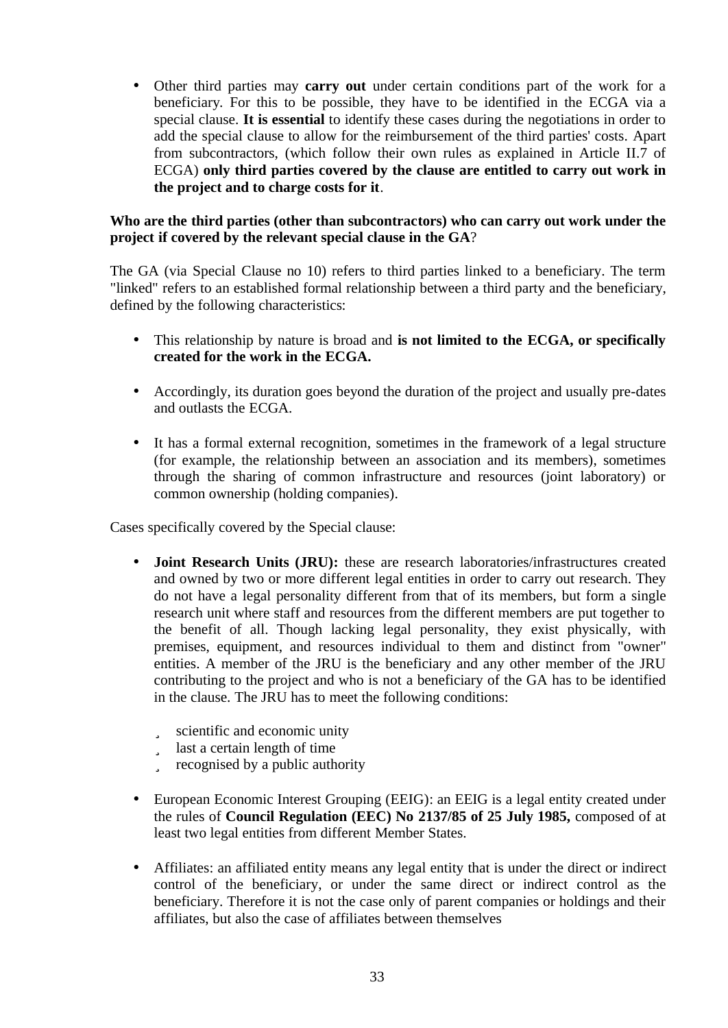• Other third parties may **carry out** under certain conditions part of the work for a beneficiary. For this to be possible, they have to be identified in the ECGA via a special clause. **It is essential** to identify these cases during the negotiations in order to add the special clause to allow for the reimbursement of the third parties' costs. Apart from subcontractors, (which follow their own rules as explained in Article II.7 of ECGA) **only third parties covered by the clause are entitled to carry out work in the project and to charge costs for it**.

#### **Who are the third parties (other than subcontractors) who can carry out work under the project if covered by the relevant special clause in the GA**?

The GA (via Special Clause no 10) refers to third parties linked to a beneficiary. The term "linked" refers to an established formal relationship between a third party and the beneficiary, defined by the following characteristics:

- This relationship by nature is broad and **is not limited to the ECGA, or specifically created for the work in the ECGA.**
- Accordingly, its duration goes beyond the duration of the project and usually pre-dates and outlasts the ECGA.
- It has a formal external recognition, sometimes in the framework of a legal structure (for example, the relationship between an association and its members), sometimes through the sharing of common infrastructure and resources (joint laboratory) or common ownership (holding companies).

Cases specifically covered by the Special clause:

- **Joint Research Units (JRU):** these are research laboratories/infrastructures created and owned by two or more different legal entities in order to carry out research. They do not have a legal personality different from that of its members, but form a single research unit where staff and resources from the different members are put together to the benefit of all. Though lacking legal personality, they exist physically, with premises, equipment, and resources individual to them and distinct from "owner" entities. A member of the JRU is the beneficiary and any other member of the JRU contributing to the project and who is not a beneficiary of the GA has to be identified in the clause. The JRU has to meet the following conditions:
	- ü scientific and economic unity
	- ü last a certain length of time
	- ü recognised by a public authority
- European Economic Interest Grouping (EEIG): an EEIG is a legal entity created under the rules of **Council Regulation (EEC) No 2137/85 of 25 July 1985,** composed of at least two legal entities from different Member States.
- Affiliates: an affiliated entity means any legal entity that is under the direct or indirect control of the beneficiary, or under the same direct or indirect control as the beneficiary. Therefore it is not the case only of parent companies or holdings and their affiliates, but also the case of affiliates between themselves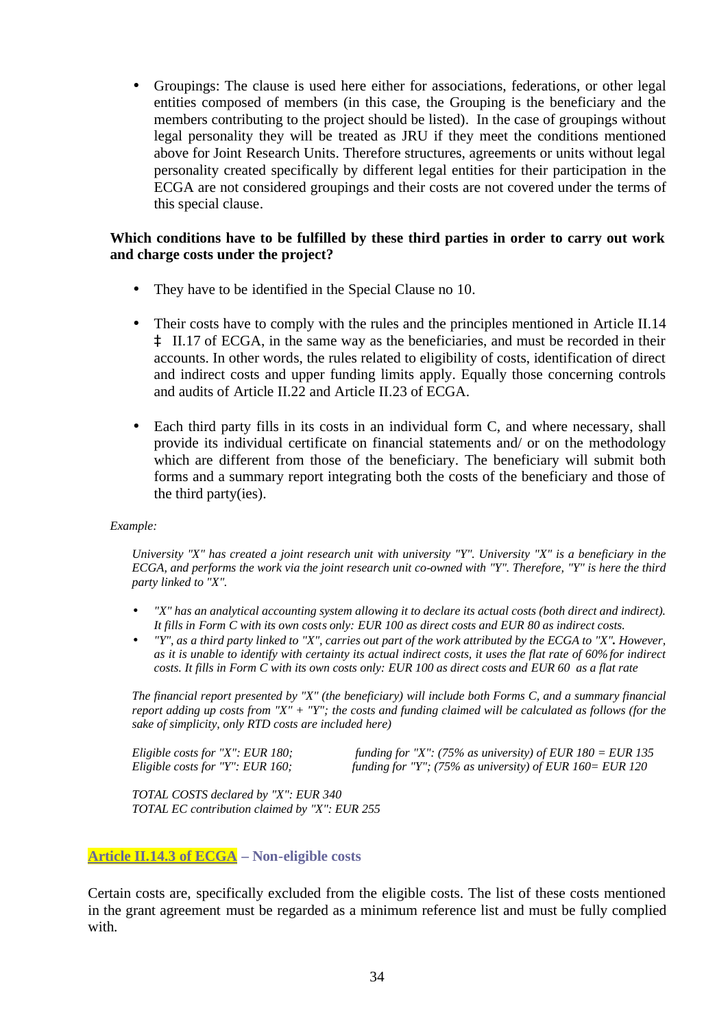• Groupings: The clause is used here either for associations, federations, or other legal entities composed of members (in this case, the Grouping is the beneficiary and the members contributing to the project should be listed). In the case of groupings without legal personality they will be treated as JRU if they meet the conditions mentioned above for Joint Research Units. Therefore structures, agreements or units without legal personality created specifically by different legal entities for their participation in the ECGA are not considered groupings and their costs are not covered under the terms of this special clause.

#### **Which conditions have to be fulfilled by these third parties in order to carry out work and charge costs under the project?**

- They have to be identified in the Special Clause no 10.
- Their costs have to comply with the rules and the principles mentioned in Article II.14 à II.17 of ECGA, in the same way as the beneficiaries, and must be recorded in their accounts. In other words, the rules related to eligibility of costs, identification of direct and indirect costs and upper funding limits apply. Equally those concerning controls and audits of Article II.22 and Article II.23 of ECGA.
- Each third party fills in its costs in an individual form C, and where necessary, shall provide its individual certificate on financial statements and/ or on the methodology which are different from those of the beneficiary. The beneficiary will submit both forms and a summary report integrating both the costs of the beneficiary and those of the third party(ies).

#### *Example:*

*University "X" has created a joint research unit with university "Y". University "X" is a beneficiary in the ECGA, and performs the work via the joint research unit co-owned with "Y". Therefore, "Y" is here the third party linked to "X".*

- *"X" has an analytical accounting system allowing it to declare its actual costs (both direct and indirect). It fills in Form C with its own costs only: EUR 100 as direct costs and EUR 80 as indirect costs.*
- *"Y", as a third party linked to "X", carries out part of the work attributed by the ECGA to "X". However, as it is unable to identify with certainty its actual indirect costs, it uses the flat rate of 60% for indirect costs. It fills in Form C with its own costs only: EUR 100 as direct costs and EUR 60 as a flat rate*

*The financial report presented by "X" (the beneficiary) will include both Forms C, and a summary financial report adding up costs from "X" + "Y"; the costs and funding claimed will be calculated as follows (for the sake of simplicity, only RTD costs are included here)*

*Eligible costs for "X": EUR 180; funding for "X": (75% as university) of EUR 180 = EUR 135 Eligible costs for "Y": EUR 160; funding for "Y"; (75% as university) of EUR 160= EUR 120* 

*TOTAL COSTS declared by "X": EUR 340 TOTAL EC contribution claimed by "X": EUR 255*

#### **Article II.14.3 of ECGA – Non-eligible costs**

Certain costs are, specifically excluded from the eligible costs. The list of these costs mentioned in the grant agreement must be regarded as a minimum reference list and must be fully complied with.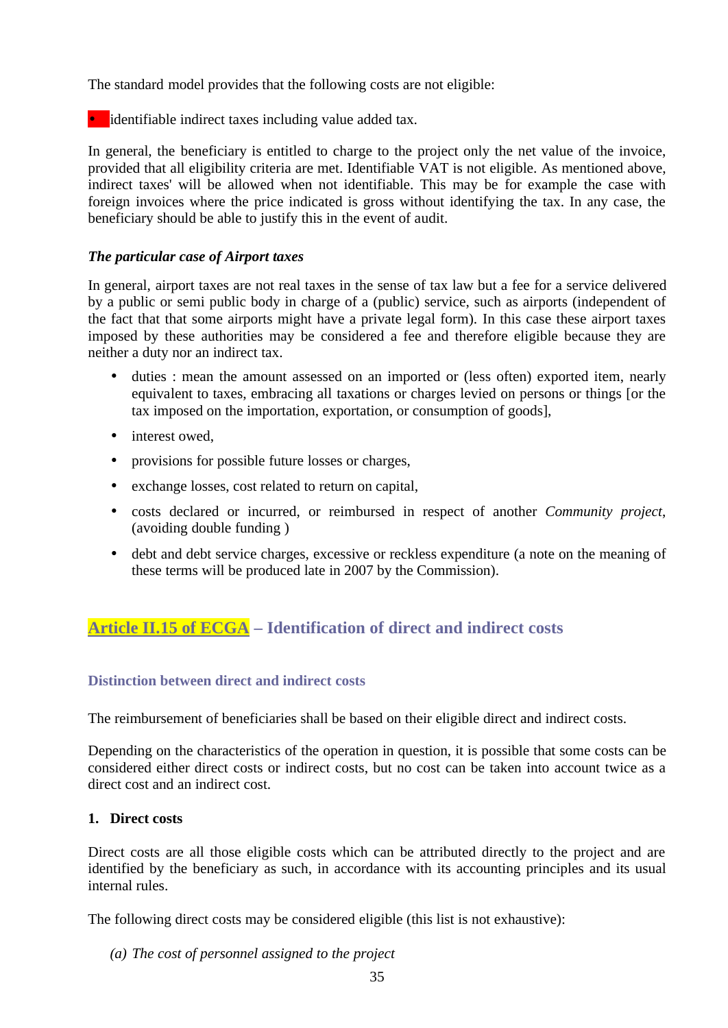The standard model provides that the following costs are not eligible:

• identifiable indirect taxes including value added tax.

In general, the beneficiary is entitled to charge to the project only the net value of the invoice, provided that all eligibility criteria are met. Identifiable VAT is not eligible. As mentioned above, indirect taxes' will be allowed when not identifiable. This may be for example the case with foreign invoices where the price indicated is gross without identifying the tax. In any case, the beneficiary should be able to justify this in the event of audit.

#### *The particular case of Airport taxes*

In general, airport taxes are not real taxes in the sense of tax law but a fee for a service delivered by a public or semi public body in charge of a (public) service, such as airports (independent of the fact that that some airports might have a private legal form). In this case these airport taxes imposed by these authorities may be considered a fee and therefore eligible because they are neither a duty nor an indirect tax.

- duties : mean the amount assessed on an imported or (less often) exported item, nearly equivalent to taxes, embracing all taxations or charges levied on persons or things [or the tax imposed on the importation, exportation, or consumption of goods],
- interest owed.
- provisions for possible future losses or charges,
- exchange losses, cost related to return on capital,
- costs declared or incurred, or reimbursed in respect of another *Community project*, (avoiding double funding )
- debt and debt service charges, excessive or reckless expenditure (a note on the meaning of these terms will be produced late in 2007 by the Commission).

## **Article II.15 of ECGA – Identification of direct and indirect costs**

#### **Distinction between direct and indirect costs**

The reimbursement of beneficiaries shall be based on their eligible direct and indirect costs.

Depending on the characteristics of the operation in question, it is possible that some costs can be considered either direct costs or indirect costs, but no cost can be taken into account twice as a direct cost and an indirect cost.

#### **1. Direct costs**

Direct costs are all those eligible costs which can be attributed directly to the project and are identified by the beneficiary as such, in accordance with its accounting principles and its usual internal rules.

The following direct costs may be considered eligible (this list is not exhaustive):

*(a) The cost of personnel assigned to the project*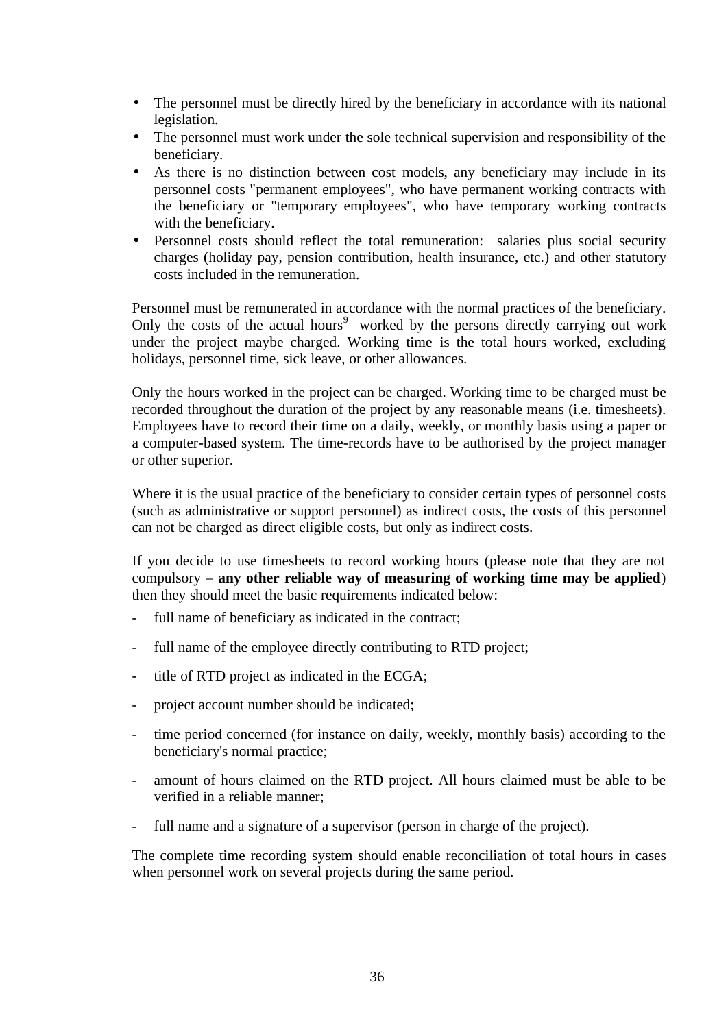- The personnel must be directly hired by the beneficiary in accordance with its national legislation.
- The personnel must work under the sole technical supervision and responsibility of the beneficiary.
- As there is no distinction between cost models, any beneficiary may include in its personnel costs "permanent employees", who have permanent working contracts with the beneficiary or "temporary employees", who have temporary working contracts with the beneficiary.
- Personnel costs should reflect the total remuneration: salaries plus social security charges (holiday pay, pension contribution, health insurance, etc.) and other statutory costs included in the remuneration.

Personnel must be remunerated in accordance with the normal practices of the beneficiary. Only the costs of the actual hours<sup>9</sup> worked by the persons directly carrying out work under the project maybe charged. Working time is the total hours worked, excluding holidays, personnel time, sick leave, or other allowances.

Only the hours worked in the project can be charged. Working time to be charged must be recorded throughout the duration of the project by any reasonable means (i.e. timesheets). Employees have to record their time on a daily, weekly, or monthly basis using a paper or a computer-based system. The time-records have to be authorised by the project manager or other superior.

Where it is the usual practice of the beneficiary to consider certain types of personnel costs (such as administrative or support personnel) as indirect costs, the costs of this personnel can not be charged as direct eligible costs, but only as indirect costs.

If you decide to use timesheets to record working hours (please note that they are not compulsory – **any other reliable way of measuring of working time may be applied**) then they should meet the basic requirements indicated below:

- full name of beneficiary as indicated in the contract;
- full name of the employee directly contributing to RTD project;
- title of RTD project as indicated in the ECGA;
- project account number should be indicated;

 $\overline{a}$ 

- time period concerned (for instance on daily, weekly, monthly basis) according to the beneficiary's normal practice;
- amount of hours claimed on the RTD project. All hours claimed must be able to be verified in a reliable manner;
- full name and a signature of a supervisor (person in charge of the project).

The complete time recording system should enable reconciliation of total hours in cases when personnel work on several projects during the same period.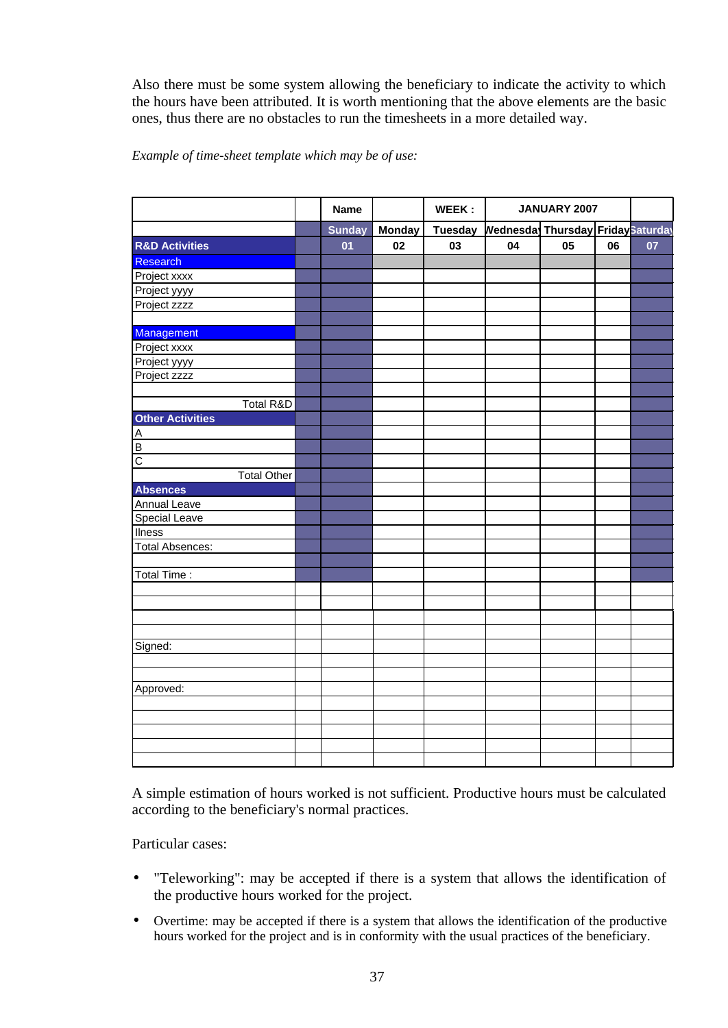Also there must be some system allowing the beneficiary to indicate the activity to which the hours have been attributed. It is worth mentioning that the above elements are the basic ones, thus there are no obstacles to run the timesheets in a more detailed way.

#### *Example of time-sheet template which may be of use:*

|                           | <b>Name</b>   |               | WEEK:          |                                  | JANUARY 2007 |    |    |
|---------------------------|---------------|---------------|----------------|----------------------------------|--------------|----|----|
|                           | <b>Sunday</b> | <b>Monday</b> | <b>Tuesday</b> | Wednesda Thursday FridaySaturday |              |    |    |
| <b>R&amp;D Activities</b> | 01            | 02            | 03             | 04                               | 05           | 06 | 07 |
| Research                  |               |               |                |                                  |              |    |    |
| Project xxxx              |               |               |                |                                  |              |    |    |
| Project yyyy              |               |               |                |                                  |              |    |    |
| Project zzzz              |               |               |                |                                  |              |    |    |
|                           |               |               |                |                                  |              |    |    |
| Management                |               |               |                |                                  |              |    |    |
| Project xxxx              |               |               |                |                                  |              |    |    |
| Project yyyy              |               |               |                |                                  |              |    |    |
| Project zzzz              |               |               |                |                                  |              |    |    |
|                           |               |               |                |                                  |              |    |    |
| Total R&D                 |               |               |                |                                  |              |    |    |
| <b>Other Activities</b>   |               |               |                |                                  |              |    |    |
|                           |               |               |                |                                  |              |    |    |
| $\leq  \Delta $           |               |               |                |                                  |              |    |    |
| $\overline{c}$            |               |               |                |                                  |              |    |    |
| <b>Total Other</b>        |               |               |                |                                  |              |    |    |
| <b>Absences</b>           |               |               |                |                                  |              |    |    |
| Annual Leave              |               |               |                |                                  |              |    |    |
| <b>Special Leave</b>      |               |               |                |                                  |              |    |    |
| <b>Ilness</b>             |               |               |                |                                  |              |    |    |
| <b>Total Absences:</b>    |               |               |                |                                  |              |    |    |
|                           |               |               |                |                                  |              |    |    |
| Total Time:               |               |               |                |                                  |              |    |    |
|                           |               |               |                |                                  |              |    |    |
|                           |               |               |                |                                  |              |    |    |
|                           |               |               |                |                                  |              |    |    |
|                           |               |               |                |                                  |              |    |    |
| Signed:                   |               |               |                |                                  |              |    |    |
|                           |               |               |                |                                  |              |    |    |
|                           |               |               |                |                                  |              |    |    |
| Approved:                 |               |               |                |                                  |              |    |    |
|                           |               |               |                |                                  |              |    |    |
|                           |               |               |                |                                  |              |    |    |
|                           |               |               |                |                                  |              |    |    |
|                           |               |               |                |                                  |              |    |    |
|                           |               |               |                |                                  |              |    |    |

A simple estimation of hours worked is not sufficient. Productive hours must be calculated according to the beneficiary's normal practices.

Particular cases:

- "Teleworking": may be accepted if there is a system that allows the identification of the productive hours worked for the project.
- Overtime: may be accepted if there is a system that allows the identification of the productive hours worked for the project and is in conformity with the usual practices of the beneficiary.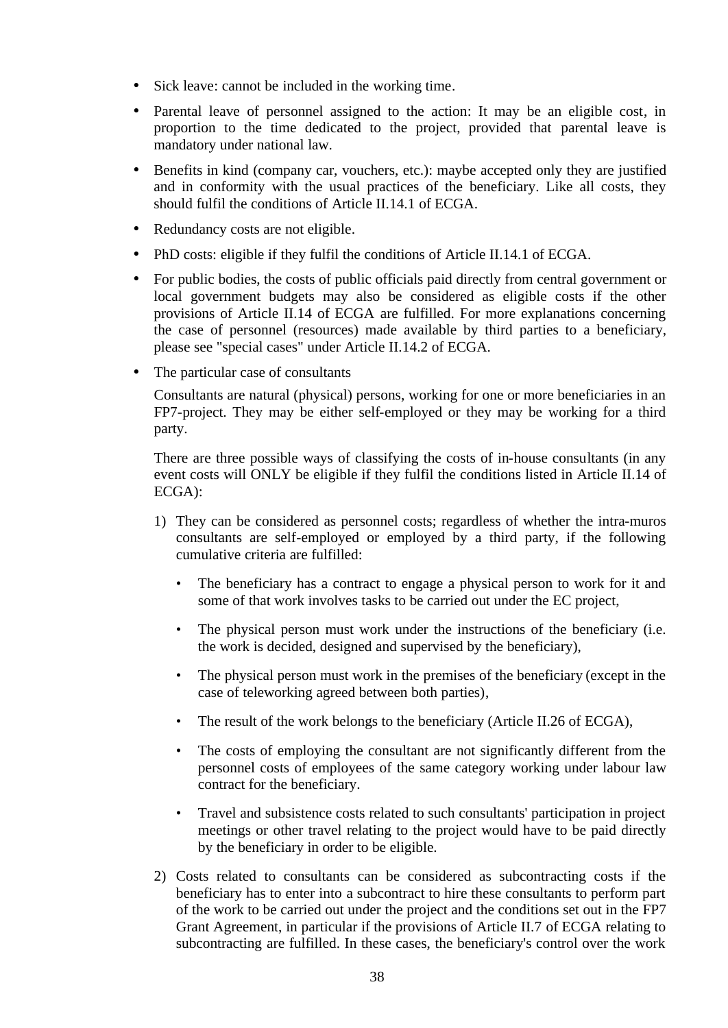- Sick leave: cannot be included in the working time.
- Parental leave of personnel assigned to the action: It may be an eligible cost, in proportion to the time dedicated to the project, provided that parental leave is mandatory under national law.
- Benefits in kind (company car, vouchers, etc.): maybe accepted only they are justified and in conformity with the usual practices of the beneficiary. Like all costs, they should fulfil the conditions of Article II.14.1 of ECGA.
- Redundancy costs are not eligible.
- PhD costs: eligible if they fulfil the conditions of Article II.14.1 of ECGA.
- For public bodies, the costs of public officials paid directly from central government or local government budgets may also be considered as eligible costs if the other provisions of Article II.14 of ECGA are fulfilled. For more explanations concerning the case of personnel (resources) made available by third parties to a beneficiary, please see "special cases" under Article II.14.2 of ECGA.
- The particular case of consultants

Consultants are natural (physical) persons, working for one or more beneficiaries in an FP7-project. They may be either self-employed or they may be working for a third party.

There are three possible ways of classifying the costs of in-house consultants (in any event costs will ONLY be eligible if they fulfil the conditions listed in Article II.14 of ECGA):

- 1) They can be considered as personnel costs; regardless of whether the intra-muros consultants are self-employed or employed by a third party, if the following cumulative criteria are fulfilled:
	- The beneficiary has a contract to engage a physical person to work for it and some of that work involves tasks to be carried out under the EC project,
	- The physical person must work under the instructions of the beneficiary (i.e. the work is decided, designed and supervised by the beneficiary),
	- The physical person must work in the premises of the beneficiary (except in the case of teleworking agreed between both parties),
	- The result of the work belongs to the beneficiary (Article II.26 of ECGA),
	- The costs of employing the consultant are not significantly different from the personnel costs of employees of the same category working under labour law contract for the beneficiary.
	- Travel and subsistence costs related to such consultants' participation in project meetings or other travel relating to the project would have to be paid directly by the beneficiary in order to be eligible.
- 2) Costs related to consultants can be considered as subcontracting costs if the beneficiary has to enter into a subcontract to hire these consultants to perform part of the work to be carried out under the project and the conditions set out in the FP7 Grant Agreement, in particular if the provisions of Article II.7 of ECGA relating to subcontracting are fulfilled. In these cases, the beneficiary's control over the work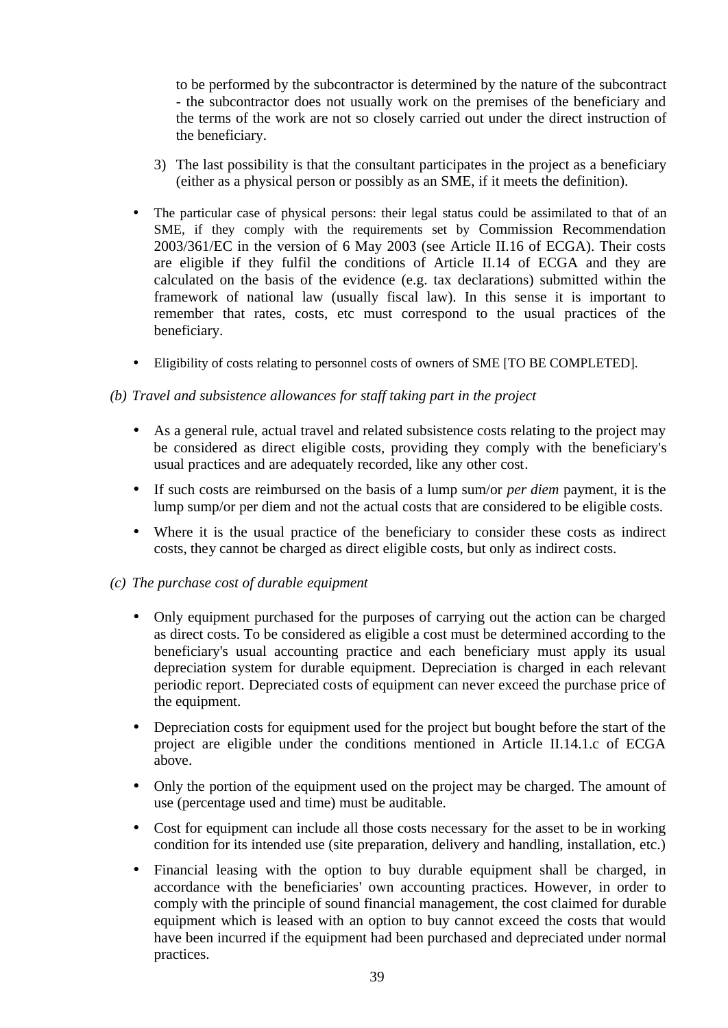to be performed by the subcontractor is determined by the nature of the subcontract - the subcontractor does not usually work on the premises of the beneficiary and the terms of the work are not so closely carried out under the direct instruction of the beneficiary.

- 3) The last possibility is that the consultant participates in the project as a beneficiary (either as a physical person or possibly as an SME, if it meets the definition).
- The particular case of physical persons: their legal status could be assimilated to that of an SME, if they comply with the requirements set by Commission Recommendation 2003/361/EC in the version of 6 May 2003 (see Article II.16 of ECGA). Their costs are eligible if they fulfil the conditions of Article II.14 of ECGA and they are calculated on the basis of the evidence (e.g. tax declarations) submitted within the framework of national law (usually fiscal law). In this sense it is important to remember that rates, costs, etc must correspond to the usual practices of the beneficiary.
- Eligibility of costs relating to personnel costs of owners of SME [TO BE COMPLETED].

#### *(b) Travel and subsistence allowances for staff taking part in the project*

- As a general rule, actual travel and related subsistence costs relating to the project may be considered as direct eligible costs, providing they comply with the beneficiary's usual practices and are adequately recorded, like any other cost.
- If such costs are reimbursed on the basis of a lump sum/or *per diem* payment, it is the lump sump/or per diem and not the actual costs that are considered to be eligible costs.
- Where it is the usual practice of the beneficiary to consider these costs as indirect costs, they cannot be charged as direct eligible costs, but only as indirect costs.

#### *(c) The purchase cost of durable equipment*

- Only equipment purchased for the purposes of carrying out the action can be charged as direct costs. To be considered as eligible a cost must be determined according to the beneficiary's usual accounting practice and each beneficiary must apply its usual depreciation system for durable equipment. Depreciation is charged in each relevant periodic report. Depreciated costs of equipment can never exceed the purchase price of the equipment.
- Depreciation costs for equipment used for the project but bought before the start of the project are eligible under the conditions mentioned in Article II.14.1.c of ECGA above.
- Only the portion of the equipment used on the project may be charged. The amount of use (percentage used and time) must be auditable.
- Cost for equipment can include all those costs necessary for the asset to be in working condition for its intended use (site preparation, delivery and handling, installation, etc.)
- Financial leasing with the option to buy durable equipment shall be charged, in accordance with the beneficiaries' own accounting practices. However, in order to comply with the principle of sound financial management, the cost claimed for durable equipment which is leased with an option to buy cannot exceed the costs that would have been incurred if the equipment had been purchased and depreciated under normal practices.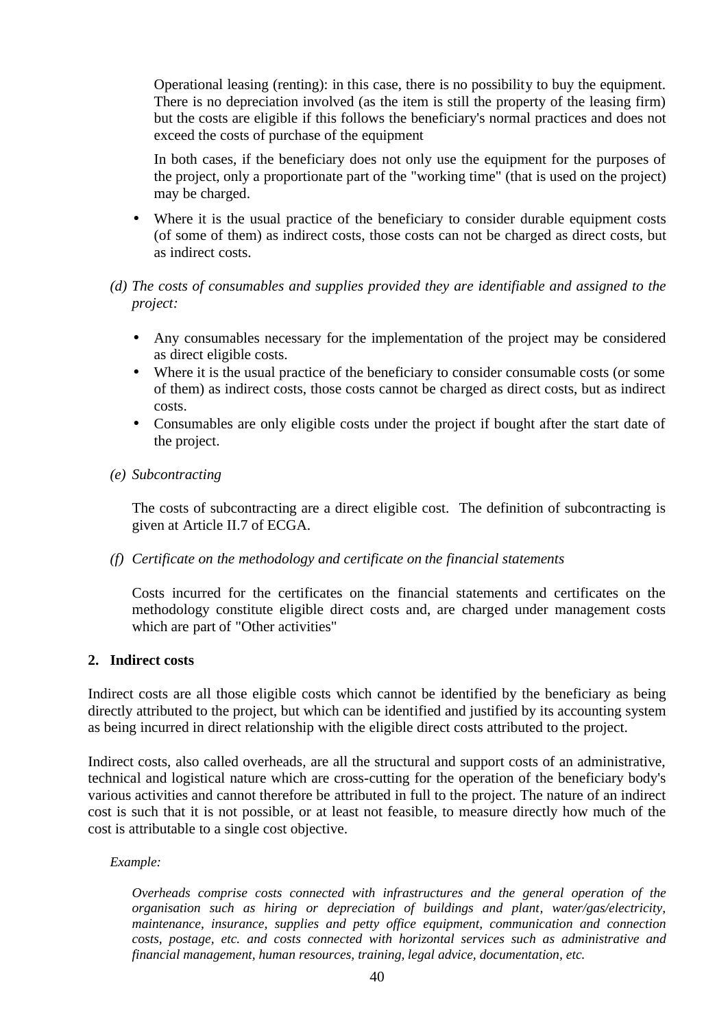Operational leasing (renting): in this case, there is no possibility to buy the equipment. There is no depreciation involved (as the item is still the property of the leasing firm) but the costs are eligible if this follows the beneficiary's normal practices and does not exceed the costs of purchase of the equipment

In both cases, if the beneficiary does not only use the equipment for the purposes of the project, only a proportionate part of the "working time" (that is used on the project) may be charged.

Where it is the usual practice of the beneficiary to consider durable equipment costs (of some of them) as indirect costs, those costs can not be charged as direct costs, but as indirect costs.

#### *(d) The costs of consumables and supplies provided they are identifiable and assigned to the project:*

- Any consumables necessary for the implementation of the project may be considered as direct eligible costs.
- Where it is the usual practice of the beneficiary to consider consumable costs (or some of them) as indirect costs, those costs cannot be charged as direct costs, but as indirect costs.
- Consumables are only eligible costs under the project if bought after the start date of the project.

#### *(e) Subcontracting*

The costs of subcontracting are a direct eligible cost. The definition of subcontracting is given at Article II.7 of ECGA.

#### *(f) Certificate on the methodology and certificate on the financial statements*

Costs incurred for the certificates on the financial statements and certificates on the methodology constitute eligible direct costs and, are charged under management costs which are part of "Other activities"

#### **2. Indirect costs**

Indirect costs are all those eligible costs which cannot be identified by the beneficiary as being directly attributed to the project, but which can be identified and justified by its accounting system as being incurred in direct relationship with the eligible direct costs attributed to the project.

Indirect costs, also called overheads, are all the structural and support costs of an administrative, technical and logistical nature which are cross-cutting for the operation of the beneficiary body's various activities and cannot therefore be attributed in full to the project. The nature of an indirect cost is such that it is not possible, or at least not feasible, to measure directly how much of the cost is attributable to a single cost objective.

#### *Example:*

*Overheads comprise costs connected with infrastructures and the general operation of the organisation such as hiring or depreciation of buildings and plant, water/gas/electricity, maintenance, insurance, supplies and petty office equipment, communication and connection costs, postage, etc. and costs connected with horizontal services such as administrative and financial management, human resources, training, legal advice, documentation, etc.*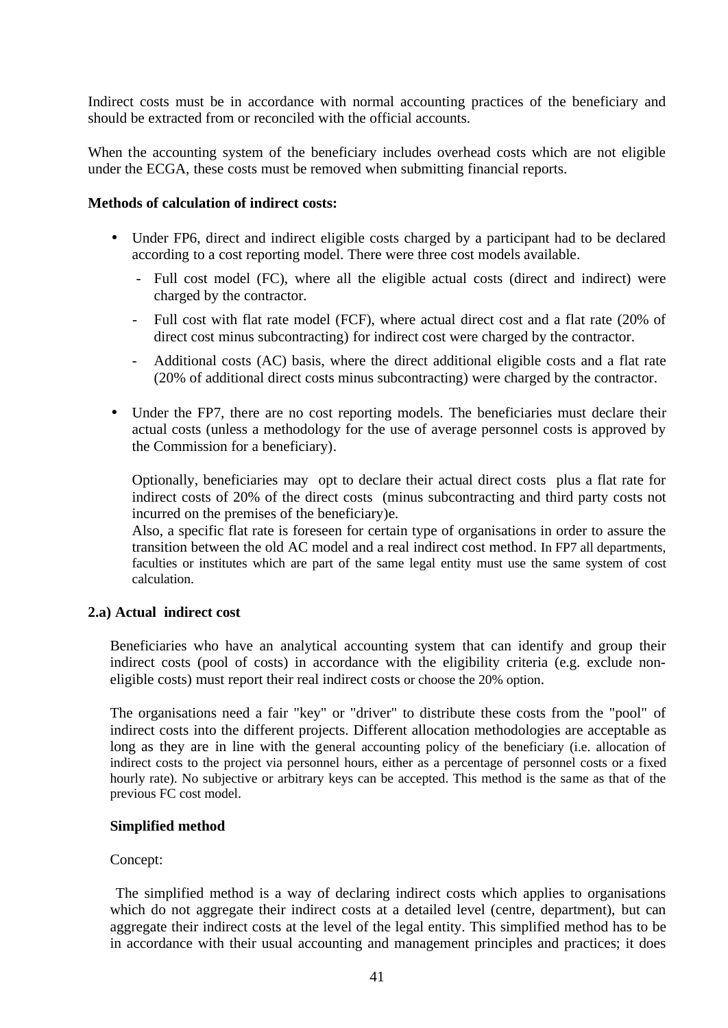Indirect costs must be in accordance with normal accounting practices of the beneficiary and should be extracted from or reconciled with the official accounts.

When the accounting system of the beneficiary includes overhead costs which are not eligible under the ECGA, these costs must be removed when submitting financial reports.

#### **Methods of calculation of indirect costs:**

- Under FP6, direct and indirect eligible costs charged by a participant had to be declared according to a cost reporting model. There were three cost models available.
	- Full cost model (FC), where all the eligible actual costs (direct and indirect) were charged by the contractor.
	- Full cost with flat rate model (FCF), where actual direct cost and a flat rate (20% of direct cost minus subcontracting) for indirect cost were charged by the contractor.
	- Additional costs (AC) basis, where the direct additional eligible costs and a flat rate (20% of additional direct costs minus subcontracting) were charged by the contractor.
- Under the FP7, there are no cost reporting models. The beneficiaries must declare their actual costs (unless a methodology for the use of average personnel costs is approved by the Commission for a beneficiary).

Optionally, beneficiaries may opt to declare their actual direct costs plus a flat rate for indirect costs of 20% of the direct costs (minus subcontracting and third party costs not incurred on the premises of the beneficiary)e.

Also, a specific flat rate is foreseen for certain type of organisations in order to assure the transition between the old AC model and a real indirect cost method. In FP7 all departments, faculties or institutes which are part of the same legal entity must use the same system of cost calculation.

#### **2.a) Actual indirect cost**

Beneficiaries who have an analytical accounting system that can identify and group their indirect costs (pool of costs) in accordance with the eligibility criteria (e.g. exclude noneligible costs) must report their real indirect costs or choose the 20% option.

The organisations need a fair "key" or "driver" to distribute these costs from the "pool" of indirect costs into the different projects. Different allocation methodologies are acceptable as long as they are in line with the general accounting policy of the beneficiary (i.e. allocation of indirect costs to the project via personnel hours, either as a percentage of personnel costs or a fixed hourly rate). No subjective or arbitrary keys can be accepted. This method is the same as that of the previous FC cost model.

#### **Simplified method**

#### Concept:

 The simplified method is a way of declaring indirect costs which applies to organisations which do not aggregate their indirect costs at a detailed level (centre, department), but can aggregate their indirect costs at the level of the legal entity. This simplified method has to be in accordance with their usual accounting and management principles and practices; it does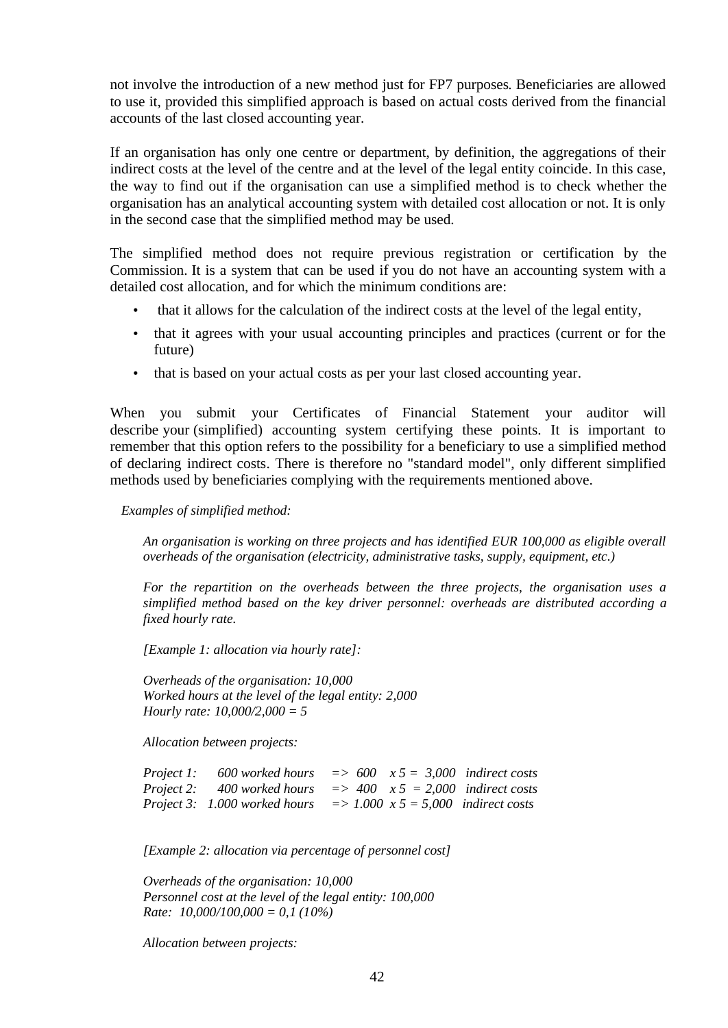not involve the introduction of a new method just for FP7 purposes. Beneficiaries are allowed to use it, provided this simplified approach is based on actual costs derived from the financial accounts of the last closed accounting year.

If an organisation has only one centre or department, by definition, the aggregations of their indirect costs at the level of the centre and at the level of the legal entity coincide. In this case, the way to find out if the organisation can use a simplified method is to check whether the organisation has an analytical accounting system with detailed cost allocation or not. It is only in the second case that the simplified method may be used.

The simplified method does not require previous registration or certification by the Commission. It is a system that can be used if you do not have an accounting system with a detailed cost allocation, and for which the minimum conditions are:

- that it allows for the calculation of the indirect costs at the level of the legal entity,
- that it agrees with your usual accounting principles and practices (current or for the future)
- that is based on your actual costs as per your last closed accounting year.

When you submit your Certificates of Financial Statement your auditor will describe your (simplified) accounting system certifying these points. It is important to remember that this option refers to the possibility for a beneficiary to use a simplified method of declaring indirect costs. There is therefore no "standard model", only different simplified methods used by beneficiaries complying with the requirements mentioned above.

#### *Examples of simplified method:*

*An organisation is working on three projects and has identified EUR 100,000 as eligible overall overheads of the organisation (electricity, administrative tasks, supply, equipment, etc.)*

*For the repartition on the overheads between the three projects, the organisation uses a simplified method based on the key driver personnel: overheads are distributed according a fixed hourly rate.*

*[Example 1: allocation via hourly rate]:* 

*Overheads of the organisation: 10,000 Worked hours at the level of the legal entity: 2,000 Hourly rate: 10,000/2,000 = 5*

*Allocation between projects:*

| Project 1: 600 worked hours   |  | $\Rightarrow$ 600 $x 5 = 3,000$ indirect costs |
|-------------------------------|--|------------------------------------------------|
| Project 2: 400 worked hours   |  | $\Rightarrow$ 400 $x 5 = 2.000$ indirect costs |
| Project 3: 1.000 worked hours |  | $\Rightarrow$ 1.000 x 5 = 5,000 indirect costs |

*[Example 2: allocation via percentage of personnel cost]*

*Overheads of the organisation: 10,000 Personnel cost at the level of the legal entity: 100,000 Rate: 10,000/100,000 = 0,1 (10%)*

*Allocation between projects:*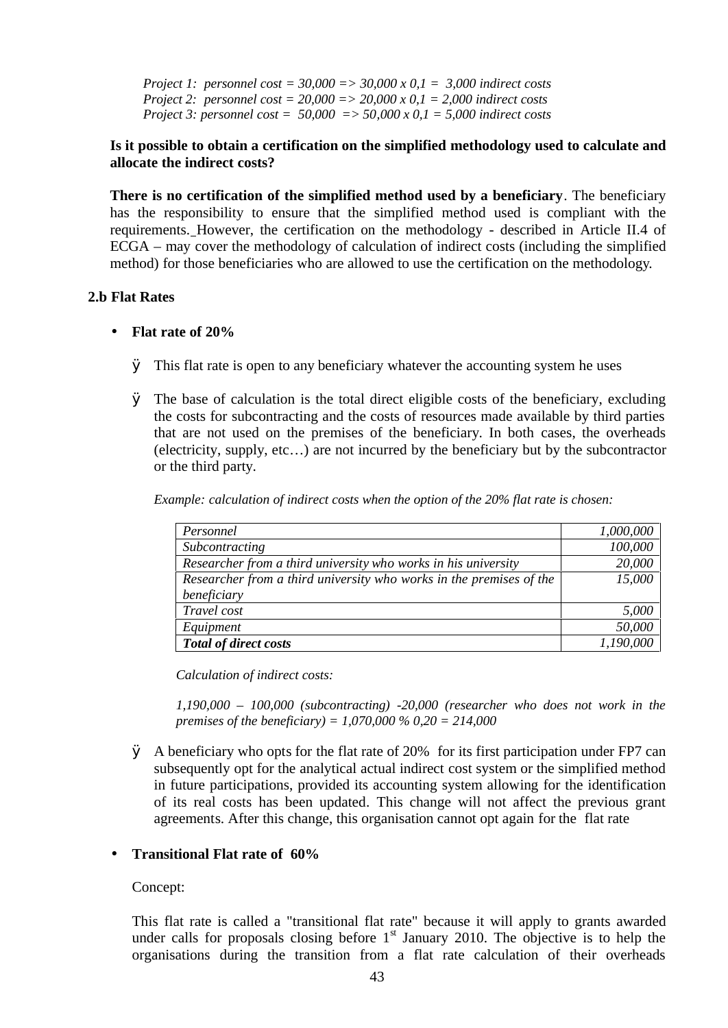*Project 1: personnel cost = 30,000 => 30,000 x 0,1 = 3,000 indirect costs Project 2: personnel cost = 20,000 => 20,000 x 0,1 = 2,000 indirect costs Project 3: personnel cost = 50,000 => 50,000 x 0,1 = 5,000 indirect costs*

#### **Is it possible to obtain a certification on the simplified methodology used to calculate and allocate the indirect costs?**

**There is no certification of the simplified method used by a beneficiary**. The beneficiary has the responsibility to ensure that the simplified method used is compliant with the requirements. However, the certification on the methodology - described in Article II.4 of ECGA – may cover the methodology of calculation of indirect costs (including the simplified method) for those beneficiaries who are allowed to use the certification on the methodology.

#### **2.b Flat Rates**

#### • **Flat rate of 20%**

- Ø This flat rate is open to any beneficiary whatever the accounting system he uses
- Ø The base of calculation is the total direct eligible costs of the beneficiary, excluding the costs for subcontracting and the costs of resources made available by third parties that are not used on the premises of the beneficiary. In both cases, the overheads (electricity, supply, etc…) are not incurred by the beneficiary but by the subcontractor or the third party.

*Example: calculation of indirect costs when the option of the 20% flat rate is chosen:*

| Personnel                                                           | 1,000,000 |
|---------------------------------------------------------------------|-----------|
| Subcontracting                                                      | 100,000   |
| Researcher from a third university who works in his university      | 20,000    |
| Researcher from a third university who works in the premises of the | 15,000    |
| beneficiary                                                         |           |
| Travel cost                                                         | 5,000     |
| Equipment                                                           | 50,000    |
| <b>Total of direct costs</b>                                        | 1,190,000 |

*Calculation of indirect costs:*

*1,190,000 – 100,000 (subcontracting) -20,000 (researcher who does not work in the premises of the beneficiary) = 1,070,000 % 0,20 = 214,000*

Ø A beneficiary who opts for the flat rate of 20% for its first participation under FP7 can subsequently opt for the analytical actual indirect cost system or the simplified method in future participations, provided its accounting system allowing for the identification of its real costs has been updated. This change will not affect the previous grant agreements. After this change, this organisation cannot opt again for the flat rate

#### • **Transitional Flat rate of 60%**

Concept:

This flat rate is called a "transitional flat rate" because it will apply to grants awarded under calls for proposals closing before  $1<sup>st</sup>$  January 2010. The objective is to help the organisations during the transition from a flat rate calculation of their overheads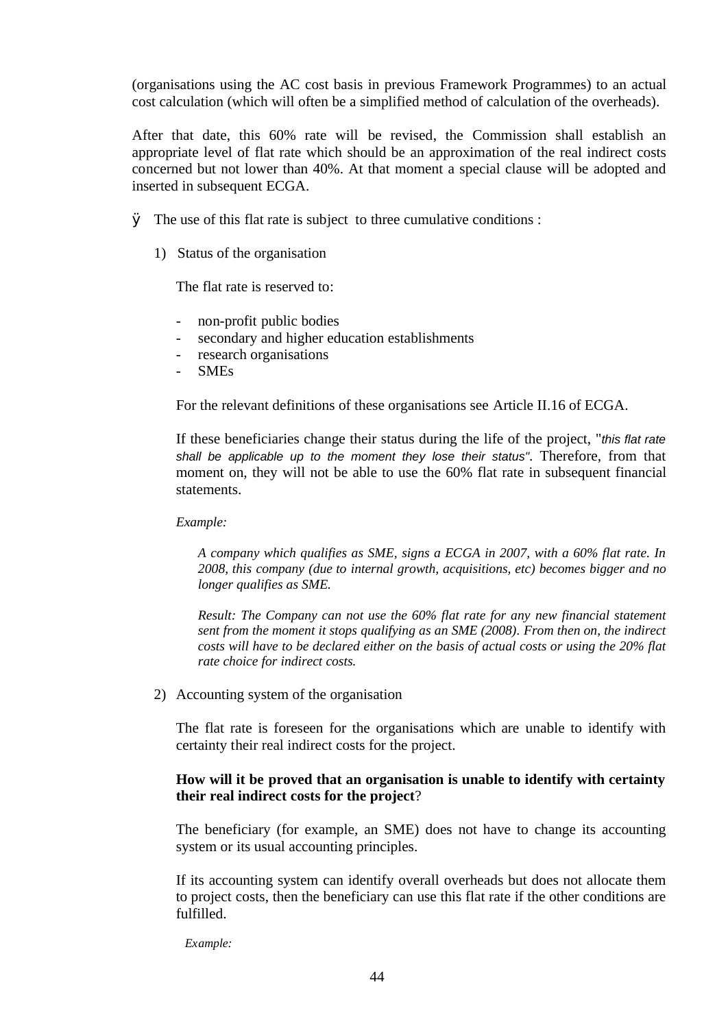(organisations using the AC cost basis in previous Framework Programmes) to an actual cost calculation (which will often be a simplified method of calculation of the overheads).

After that date, this 60% rate will be revised, the Commission shall establish an appropriate level of flat rate which should be an approximation of the real indirect costs concerned but not lower than 40%. At that moment a special clause will be adopted and inserted in subsequent ECGA.

- $\varnothing$  The use of this flat rate is subject to three cumulative conditions :
	- 1) Status of the organisation

The flat rate is reserved to:

- non-profit public bodies
- secondary and higher education establishments
- research organisations
- SMEs

For the relevant definitions of these organisations see Article II.16 of ECGA.

If these beneficiaries change their status during the life of the project, "*this flat rate shall be applicable up to the moment they lose their status"*. Therefore, from that moment on, they will not be able to use the 60% flat rate in subsequent financial statements.

*Example:* 

*A company which qualifies as SME, signs a ECGA in 2007, with a 60% flat rate. In 2008, this company (due to internal growth, acquisitions, etc) becomes bigger and no longer qualifies as SME.* 

*Result: The Company can not use the 60% flat rate for any new financial statement sent from the moment it stops qualifying as an SME (2008). From then on, the indirect costs will have to be declared either on the basis of actual costs or using the 20% flat rate choice for indirect costs.*

2) Accounting system of the organisation

The flat rate is foreseen for the organisations which are unable to identify with certainty their real indirect costs for the project.

#### **How will it be proved that an organisation is unable to identify with certainty their real indirect costs for the project**?

The beneficiary (for example, an SME) does not have to change its accounting system or its usual accounting principles.

If its accounting system can identify overall overheads but does not allocate them to project costs, then the beneficiary can use this flat rate if the other conditions are fulfilled.

 *Example:*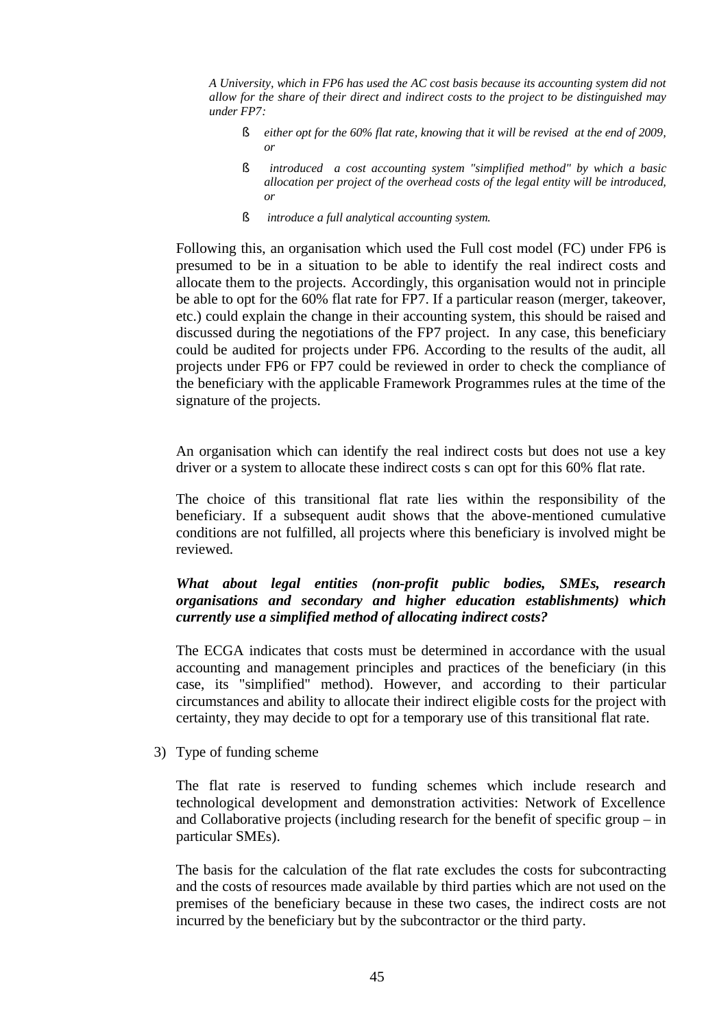*A University, which in FP6 has used the AC cost basis because its accounting system did not allow for the share of their direct and indirect costs to the project to be distinguished may under FP7:*

- § *either opt for the 60% flat rate, knowing that it will be revised at the end of 2009, or*
- § *introduced a cost accounting system "simplified method" by which a basic allocation per project of the overhead costs of the legal entity will be introduced, or*
- § *introduce a full analytical accounting system.*

Following this, an organisation which used the Full cost model (FC) under FP6 is presumed to be in a situation to be able to identify the real indirect costs and allocate them to the projects. Accordingly, this organisation would not in principle be able to opt for the 60% flat rate for FP7. If a particular reason (merger, takeover, etc.) could explain the change in their accounting system, this should be raised and discussed during the negotiations of the FP7 project. In any case, this beneficiary could be audited for projects under FP6. According to the results of the audit, all projects under FP6 or FP7 could be reviewed in order to check the compliance of the beneficiary with the applicable Framework Programmes rules at the time of the signature of the projects.

An organisation which can identify the real indirect costs but does not use a key driver or a system to allocate these indirect costs s can opt for this 60% flat rate.

The choice of this transitional flat rate lies within the responsibility of the beneficiary. If a subsequent audit shows that the above-mentioned cumulative conditions are not fulfilled, all projects where this beneficiary is involved might be reviewed.

#### *What about legal entities (non-profit public bodies, SMEs, research organisations and secondary and higher education establishments) which currently use a simplified method of allocating indirect costs?*

The ECGA indicates that costs must be determined in accordance with the usual accounting and management principles and practices of the beneficiary (in this case, its "simplified" method). However, and according to their particular circumstances and ability to allocate their indirect eligible costs for the project with certainty, they may decide to opt for a temporary use of this transitional flat rate.

3) Type of funding scheme

The flat rate is reserved to funding schemes which include research and technological development and demonstration activities: Network of Excellence and Collaborative projects (including research for the benefit of specific group – in particular SMEs).

The basis for the calculation of the flat rate excludes the costs for subcontracting and the costs of resources made available by third parties which are not used on the premises of the beneficiary because in these two cases, the indirect costs are not incurred by the beneficiary but by the subcontractor or the third party.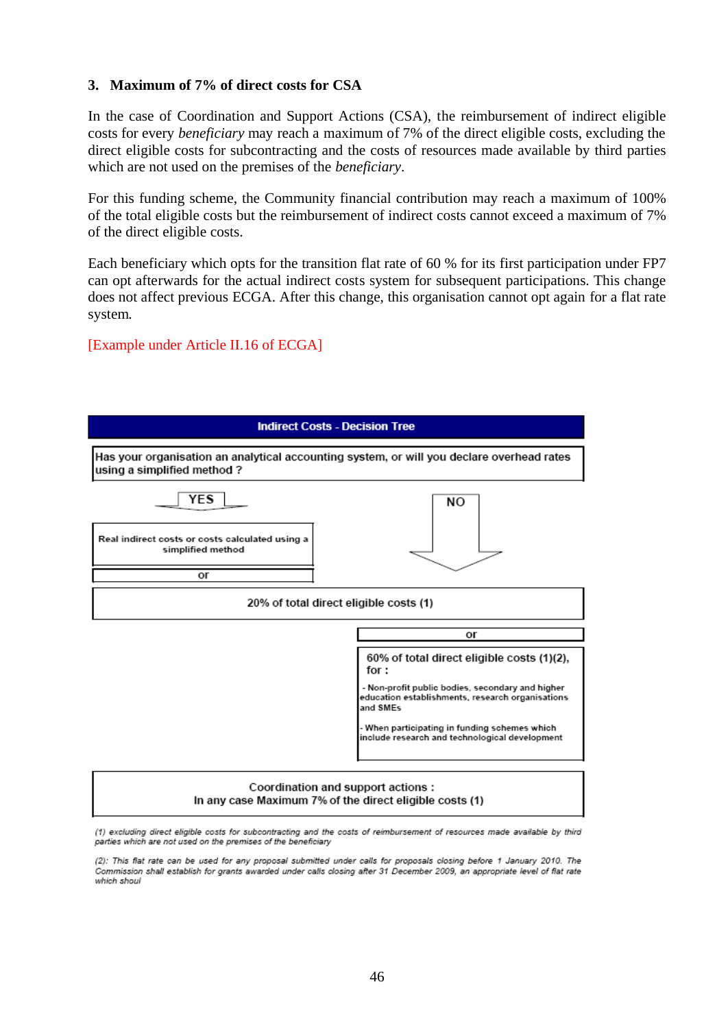#### **3. Maximum of 7% of direct costs for CSA**

In the case of Coordination and Support Actions (CSA), the reimbursement of indirect eligible costs for every *beneficiary* may reach a maximum of 7% of the direct eligible costs, excluding the direct eligible costs for subcontracting and the costs of resources made available by third parties which are not used on the premises of the *beneficiary*.

For this funding scheme, the Community financial contribution may reach a maximum of 100% of the total eligible costs but the reimbursement of indirect costs cannot exceed a maximum of 7% of the direct eligible costs.

Each beneficiary which opts for the transition flat rate of 60 % for its first participation under FP7 can opt afterwards for the actual indirect costs system for subsequent participations. This change does not affect previous ECGA. After this change, this organisation cannot opt again for a flat rate system.

#### [Example under Article II.16 of ECGA]



(1) excluding direct eligible costs for subcontracting and the costs of reimbursement of resources made available by third parties which are not used on the premises of the beneficiary

(2): This flat rate can be used for any proposal submitted under calls for proposals closing before 1 January 2010. The Commission shall establish for grants awarded under calls closing after 31 December 2009, an appropriate level of flat rate which shoul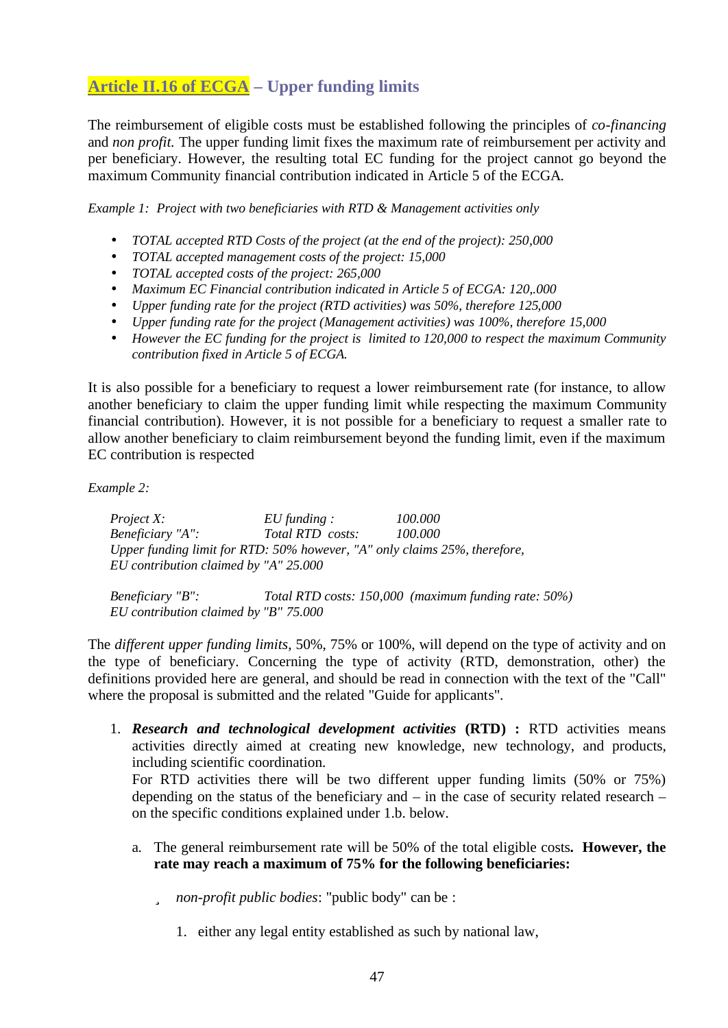## **Article II.16 of ECGA – Upper funding limits**

The reimbursement of eligible costs must be established following the principles of *co-financing* and *non profit.* The upper funding limit fixes the maximum rate of reimbursement per activity and per beneficiary. However, the resulting total EC funding for the project cannot go beyond the maximum Community financial contribution indicated in Article 5 of the ECGA.

*Example 1: Project with two beneficiaries with RTD & Management activities only*

- *TOTAL accepted RTD Costs of the project (at the end of the project): 250,000*
- *TOTAL accepted management costs of the project: 15,000*
- *TOTAL accepted costs of the project: 265,000*
- *Maximum EC Financial contribution indicated in Article 5 of ECGA: 120,.000*
- *Upper funding rate for the project (RTD activities) was 50%, therefore 125,000*
- *Upper funding rate for the project (Management activities) was 100%, therefore 15,000*
- *However the EC funding for the project is limited to 120,000 to respect the maximum Community contribution fixed in Article 5 of ECGA.*

It is also possible for a beneficiary to request a lower reimbursement rate (for instance, to allow another beneficiary to claim the upper funding limit while respecting the maximum Community financial contribution). However, it is not possible for a beneficiary to request a smaller rate to allow another beneficiary to claim reimbursement beyond the funding limit, even if the maximum EC contribution is respected

*Example 2:*

*Project X: EU funding : 100.000 Beneficiary "A": Total RTD costs: 100.000 Upper funding limit for RTD: 50% however, "A" only claims 25%, therefore, EU contribution claimed by "A" 25.000*

*Beneficiary "B": Total RTD costs: 150,000 (maximum funding rate: 50%) EU contribution claimed by "B" 75.000*

The *different upper funding limits*, 50%, 75% or 100%, will depend on the type of activity and on the type of beneficiary. Concerning the type of activity (RTD, demonstration, other) the definitions provided here are general, and should be read in connection with the text of the "Call" where the proposal is submitted and the related "Guide for applicants".

1. *Research and technological development activities* **(RTD) :** RTD activities means activities directly aimed at creating new knowledge, new technology, and products, including scientific coordination.

For RTD activities there will be two different upper funding limits (50% or 75%) depending on the status of the beneficiary and – in the case of security related research – on the specific conditions explained under 1.b. below.

- a. The general reimbursement rate will be 50% of the total eligible costs**. However, the rate may reach a maximum of 75% for the following beneficiaries:**
	- ü *non-profit public bodies*: "public body" can be :
		- 1. either any legal entity established as such by national law,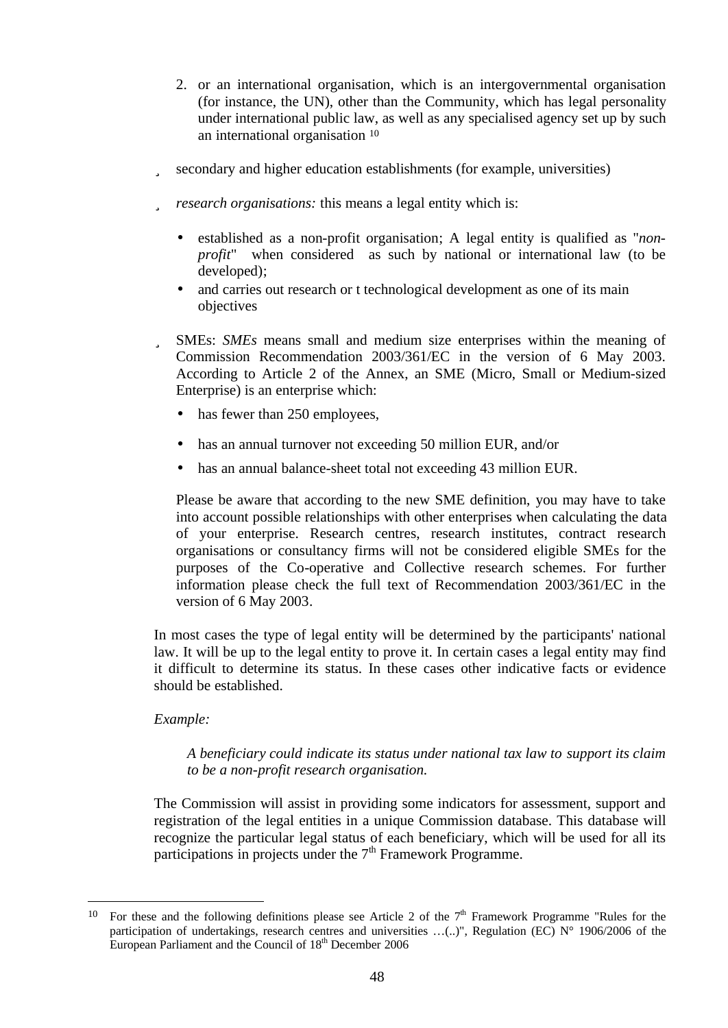- 2. or an international organisation, which is an intergovernmental organisation (for instance, the UN), other than the Community, which has legal personality under international public law, as well as any specialised agency set up by such an international organisation <sup>10</sup>
- ü secondary and higher education establishments (for example, universities)
- ü *research organisations:* this means a legal entity which is:
	- established as a non-profit organisation; A legal entity is qualified as "*nonprofit*" when considered as such by national or international law (to be developed);
	- and carries out research or t technological development as one of its main objectives
- ü SMEs: *SMEs* means small and medium size enterprises within the meaning of Commission Recommendation 2003/361/EC in the version of 6 May 2003. According to Article 2 of the Annex, an SME (Micro, Small or Medium-sized Enterprise) is an enterprise which:
	- has fewer than 250 employees,
	- has an annual turnover not exceeding 50 million EUR, and/or
	- has an annual balance-sheet total not exceeding 43 million EUR.

Please be aware that according to the new SME definition, you may have to take into account possible relationships with other enterprises when calculating the data of your enterprise. Research centres, research institutes, contract research organisations or consultancy firms will not be considered eligible SMEs for the purposes of the Co-operative and Collective research schemes. For further information please check the full text of Recommendation 2003/361/EC in the version of 6 May 2003.

In most cases the type of legal entity will be determined by the participants' national law. It will be up to the legal entity to prove it. In certain cases a legal entity may find it difficult to determine its status. In these cases other indicative facts or evidence should be established.

#### *Example:*

 $\overline{a}$ 

#### *A beneficiary could indicate its status under national tax law to support its claim to be a non-profit research organisation.*

The Commission will assist in providing some indicators for assessment, support and registration of the legal entities in a unique Commission database. This database will recognize the particular legal status of each beneficiary, which will be used for all its participations in projects under the  $7<sup>th</sup>$  Framework Programme.

<sup>&</sup>lt;sup>10</sup> For these and the following definitions please see Article 2 of the  $7<sup>th</sup>$  Framework Programme "Rules for the participation of undertakings, research centres and universities ...(..)", Regulation (EC) N° 1906/2006 of the European Parliament and the Council of 18<sup>th</sup> December 2006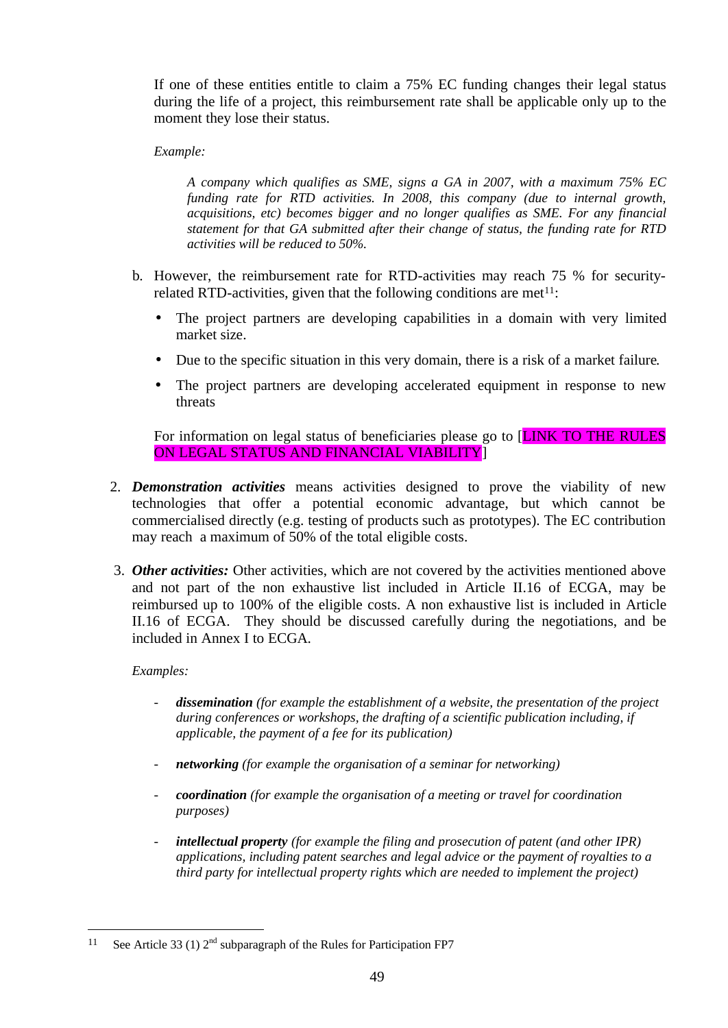If one of these entities entitle to claim a 75% EC funding changes their legal status during the life of a project, this reimbursement rate shall be applicable only up to the moment they lose their status.

#### *Example:*

*A company which qualifies as SME, signs a GA in 2007, with a maximum 75% EC funding rate for RTD activities. In 2008, this company (due to internal growth, acquisitions, etc) becomes bigger and no longer qualifies as SME. For any financial statement for that GA submitted after their change of status, the funding rate for RTD activities will be reduced to 50%.*

- b. However, the reimbursement rate for RTD-activities may reach 75 % for securityrelated RTD-activities, given that the following conditions are met $11$ :
	- The project partners are developing capabilities in a domain with very limited market size.
	- Due to the specific situation in this very domain, there is a risk of a market failure.
	- The project partners are developing accelerated equipment in response to new threats

For information on legal status of beneficiaries please go to [LINK TO THE RULES ON LEGAL STATUS AND FINANCIAL VIABILITY]

- 2. *Demonstration activities* means activities designed to prove the viability of new technologies that offer a potential economic advantage, but which cannot be commercialised directly (e.g. testing of products such as prototypes). The EC contribution may reach a maximum of 50% of the total eligible costs.
- 3. *Other activities:* Other activities, which are not covered by the activities mentioned above and not part of the non exhaustive list included in Article II.16 of ECGA, may be reimbursed up to 100% of the eligible costs. A non exhaustive list is included in Article II.16 of ECGA. They should be discussed carefully during the negotiations, and be included in Annex I to ECGA.

#### *Examples:*

 $\overline{a}$ 

- *dissemination (for example the establishment of a website, the presentation of the project during conferences or workshops, the drafting of a scientific publication including, if applicable, the payment of a fee for its publication)*
- *networking (for example the organisation of a seminar for networking)*
- *coordination (for example the organisation of a meeting or travel for coordination purposes)*
- intellectual property *(for example the filing and prosecution of patent (and other IPR) applications, including patent searches and legal advice or the payment of royalties to a third party for intellectual property rights which are needed to implement the project)*

<sup>&</sup>lt;sup>11</sup> See Article 33 (1)  $2<sup>nd</sup>$  subparagraph of the Rules for Participation FP7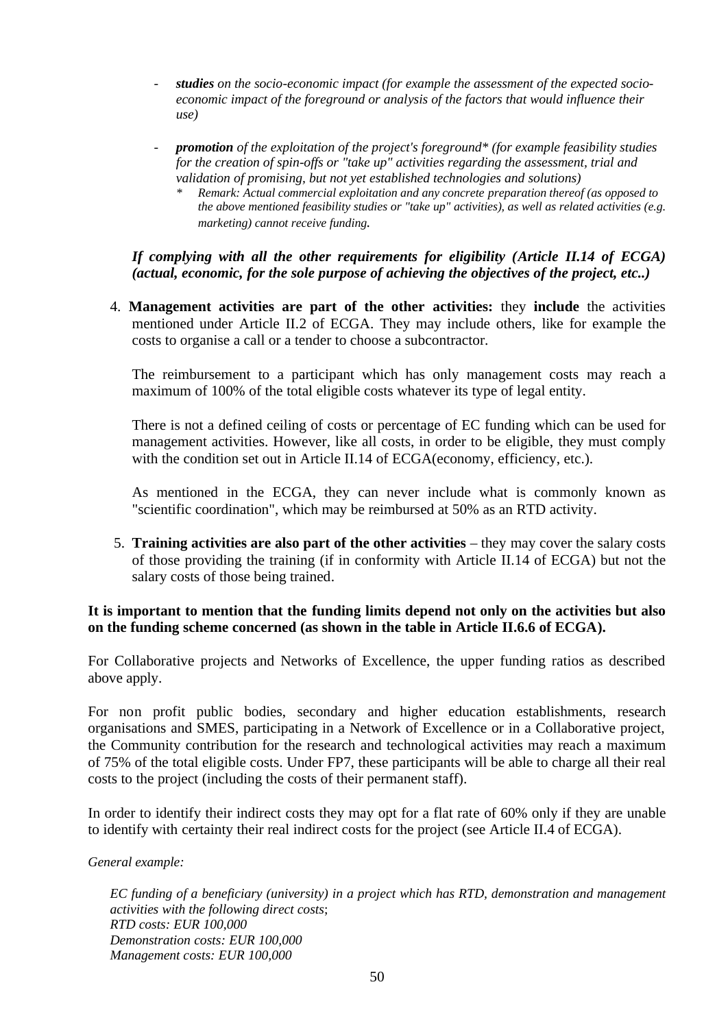- *studies on the socio-economic impact (for example the assessment of the expected socioeconomic impact of the foreground or analysis of the factors that would influence their use)*
- *promotion of the exploitation of the project's foreground\* (for example feasibility studies for the creation of spin-offs or "take up" activities regarding the assessment, trial and validation of promising, but not yet established technologies and solutions)* 
	- *\* Remark: Actual commercial exploitation and any concrete preparation thereof (as opposed to the above mentioned feasibility studies or "take up" activities), as well as related activities (e.g. marketing) cannot receive funding.*

*If complying with all the other requirements for eligibility (Article II.14 of ECGA) (actual, economic, for the sole purpose of achieving the objectives of the project, etc..)*

4. **Management activities are part of the other activities:** they **include** the activities mentioned under Article II.2 of ECGA. They may include others, like for example the costs to organise a call or a tender to choose a subcontractor.

The reimbursement to a participant which has only management costs may reach a maximum of 100% of the total eligible costs whatever its type of legal entity.

There is not a defined ceiling of costs or percentage of EC funding which can be used for management activities. However, like all costs, in order to be eligible, they must comply with the condition set out in Article II.14 of ECGA(economy, efficiency, etc.).

As mentioned in the ECGA, they can never include what is commonly known as "scientific coordination", which may be reimbursed at 50% as an RTD activity.

5. **Training activities are also part of the other activities** – they may cover the salary costs of those providing the training (if in conformity with Article II.14 of ECGA) but not the salary costs of those being trained.

#### **It is important to mention that the funding limits depend not only on the activities but also on the funding scheme concerned (as shown in the table in Article II.6.6 of ECGA).**

For Collaborative projects and Networks of Excellence, the upper funding ratios as described above apply.

For non profit public bodies, secondary and higher education establishments, research organisations and SMES, participating in a Network of Excellence or in a Collaborative project, the Community contribution for the research and technological activities may reach a maximum of 75% of the total eligible costs. Under FP7, these participants will be able to charge all their real costs to the project (including the costs of their permanent staff).

In order to identify their indirect costs they may opt for a flat rate of 60% only if they are unable to identify with certainty their real indirect costs for the project (see Article II.4 of ECGA).

*General example:* 

*EC funding of a beneficiary (university) in a project which has RTD, demonstration and management activities with the following direct costs*; *RTD costs: EUR 100,000 Demonstration costs: EUR 100,000 Management costs: EUR 100,000*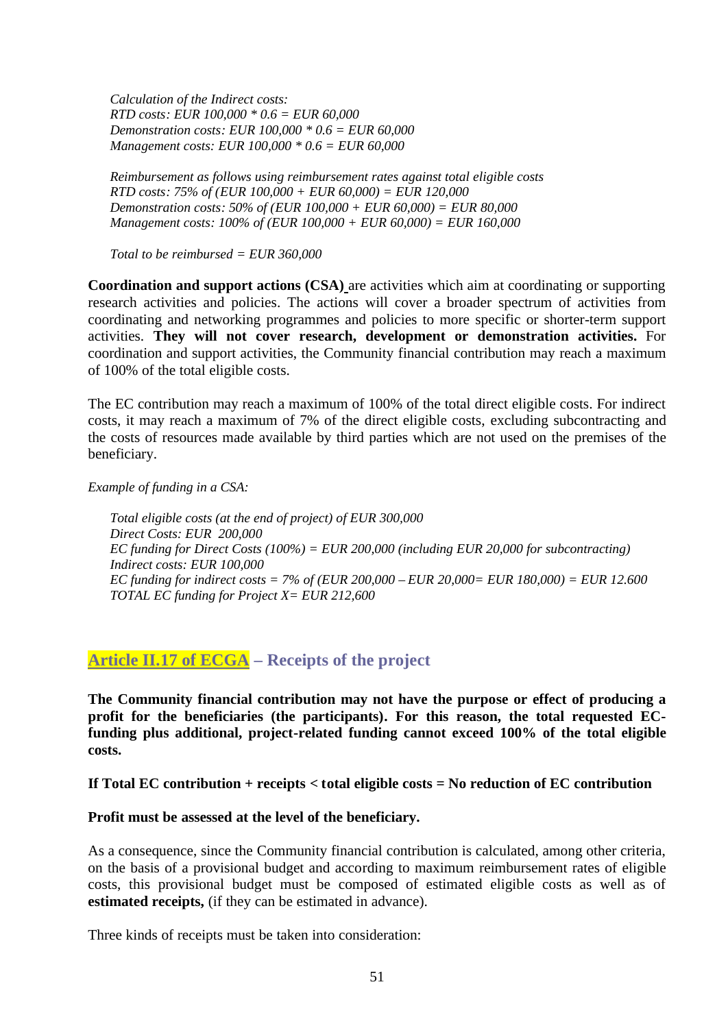*Calculation of the Indirect costs: RTD costs: EUR 100,000 \* 0.6 = EUR 60,000 Demonstration costs: EUR 100,000 \* 0.6 = EUR 60,000 Management costs: EUR 100,000 \* 0.6 = EUR 60,000*

*Reimbursement as follows using reimbursement rates against total eligible costs RTD costs: 75% of (EUR 100,000 + EUR 60,000) = EUR 120,000 Demonstration costs: 50% of (EUR 100,000 + EUR 60,000) = EUR 80,000 Management costs: 100% of (EUR 100,000 + EUR 60,000) = EUR 160,000*

*Total to be reimbursed = EUR 360,000*

**Coordination and support actions (CSA)** are activities which aim at coordinating or supporting research activities and policies. The actions will cover a broader spectrum of activities from coordinating and networking programmes and policies to more specific or shorter-term support activities. **They will not cover research, development or demonstration activities.** For coordination and support activities, the Community financial contribution may reach a maximum of 100% of the total eligible costs.

The EC contribution may reach a maximum of 100% of the total direct eligible costs. For indirect costs, it may reach a maximum of 7% of the direct eligible costs, excluding subcontracting and the costs of resources made available by third parties which are not used on the premises of the beneficiary.

*Example of funding in a CSA:* 

*Total eligible costs (at the end of project) of EUR 300,000 Direct Costs: EUR 200,000 EC funding for Direct Costs (100%) = EUR 200,000 (including EUR 20,000 for subcontracting) Indirect costs: EUR 100,000 EC funding for indirect costs = 7% of (EUR 200,000 – EUR 20,000= EUR 180,000) = EUR 12.600 TOTAL EC funding for Project X= EUR 212,600*

### **Article II.17 of ECGA – Receipts of the project**

**The Community financial contribution may not have the purpose or effect of producing a profit for the beneficiaries (the participants). For this reason, the total requested ECfunding plus additional, project-related funding cannot exceed 100% of the total eligible costs.** 

#### **If Total EC contribution + receipts < total eligible costs = No reduction of EC contribution**

#### **Profit must be assessed at the level of the beneficiary.**

As a consequence, since the Community financial contribution is calculated, among other criteria, on the basis of a provisional budget and according to maximum reimbursement rates of eligible costs, this provisional budget must be composed of estimated eligible costs as well as of **estimated receipts,** (if they can be estimated in advance).

Three kinds of receipts must be taken into consideration: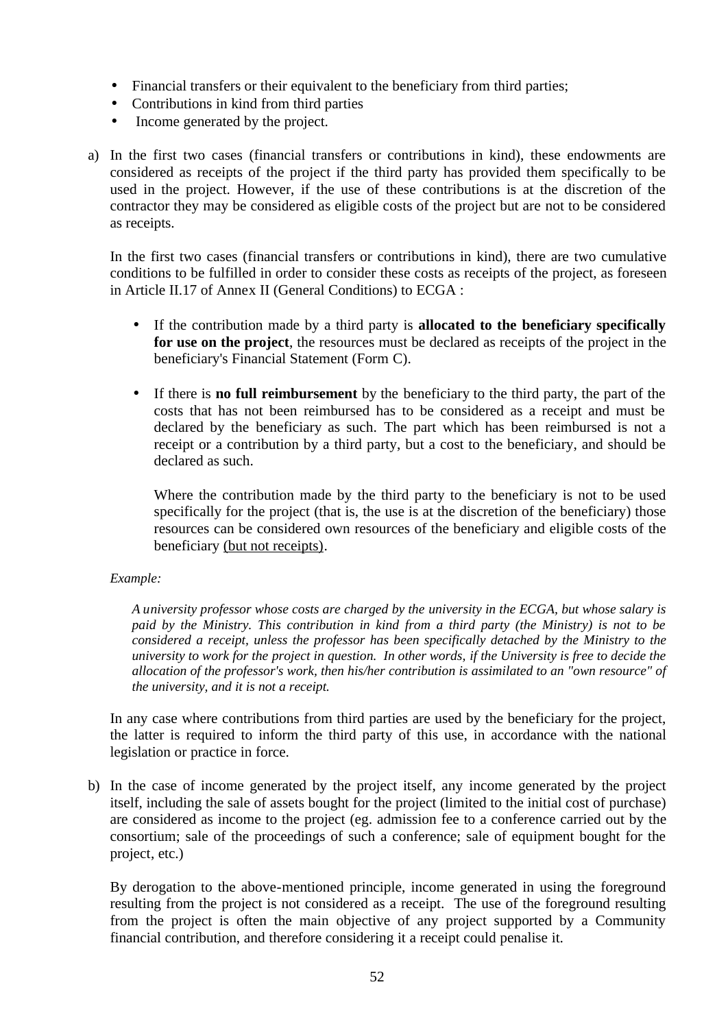- Financial transfers or their equivalent to the beneficiary from third parties;
- Contributions in kind from third parties
- Income generated by the project.
- a) In the first two cases (financial transfers or contributions in kind), these endowments are considered as receipts of the project if the third party has provided them specifically to be used in the project. However, if the use of these contributions is at the discretion of the contractor they may be considered as eligible costs of the project but are not to be considered as receipts.

In the first two cases (financial transfers or contributions in kind), there are two cumulative conditions to be fulfilled in order to consider these costs as receipts of the project, as foreseen in Article II.17 of Annex II (General Conditions) to ECGA :

- If the contribution made by a third party is **allocated to the beneficiary specifically for use on the project**, the resources must be declared as receipts of the project in the beneficiary's Financial Statement (Form C).
- If there is **no full reimbursement** by the beneficiary to the third party, the part of the costs that has not been reimbursed has to be considered as a receipt and must be declared by the beneficiary as such. The part which has been reimbursed is not a receipt or a contribution by a third party, but a cost to the beneficiary, and should be declared as such.

Where the contribution made by the third party to the beneficiary is not to be used specifically for the project (that is, the use is at the discretion of the beneficiary) those resources can be considered own resources of the beneficiary and eligible costs of the beneficiary (but not receipts).

#### *Example:*

*A university professor whose costs are charged by the university in the ECGA, but whose salary is paid by the Ministry. This contribution in kind from a third party (the Ministry) is not to be considered a receipt, unless the professor has been specifically detached by the Ministry to the university to work for the project in question. In other words, if the University is free to decide the allocation of the professor's work, then his/her contribution is assimilated to an "own resource" of the university, and it is not a receipt.*

In any case where contributions from third parties are used by the beneficiary for the project, the latter is required to inform the third party of this use, in accordance with the national legislation or practice in force.

b) In the case of income generated by the project itself, any income generated by the project itself, including the sale of assets bought for the project (limited to the initial cost of purchase) are considered as income to the project (eg. admission fee to a conference carried out by the consortium; sale of the proceedings of such a conference; sale of equipment bought for the project, etc.)

By derogation to the above-mentioned principle, income generated in using the foreground resulting from the project is not considered as a receipt. The use of the foreground resulting from the project is often the main objective of any project supported by a Community financial contribution, and therefore considering it a receipt could penalise it.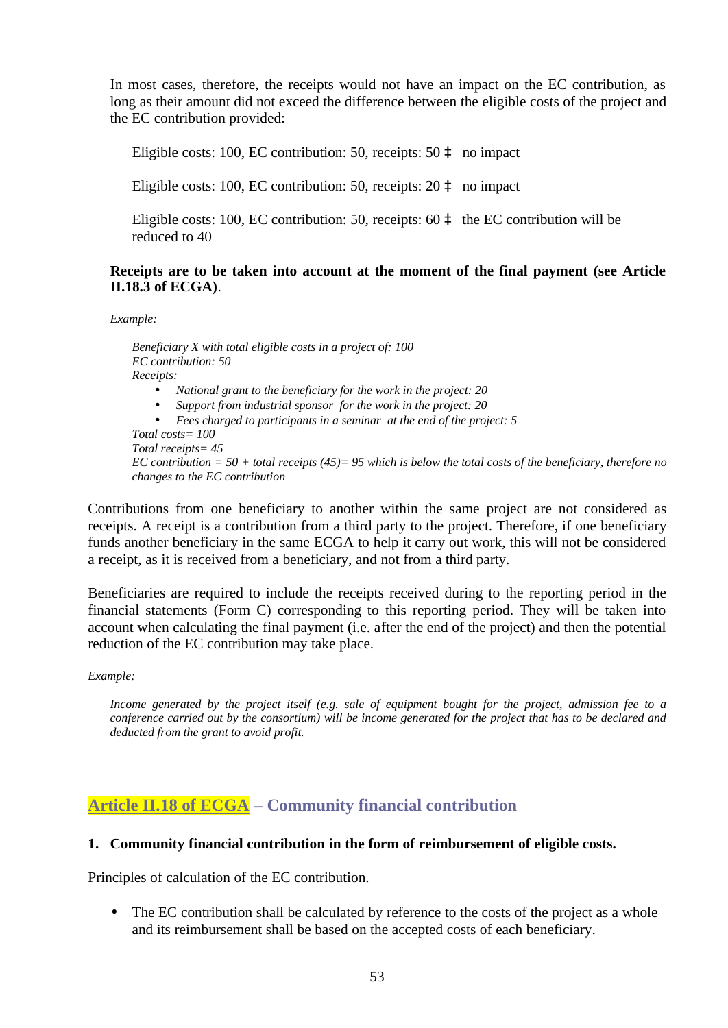In most cases, therefore, the receipts would not have an impact on the EC contribution, as long as their amount did not exceed the difference between the eligible costs of the project and the EC contribution provided:

Eligible costs: 100, EC contribution: 50, receipts: 50 à no impact

Eligible costs: 100, EC contribution: 50, receipts: 20 à no impact

Eligible costs: 100, EC contribution: 50, receipts: 60 à the EC contribution will be reduced to 40

#### **Receipts are to be taken into account at the moment of the final payment (see Article II.18.3 of ECGA)**.

*Example:*

*Beneficiary X with total eligible costs in a project of: 100 EC contribution: 50 Receipts:* • *National grant to the beneficiary for the work in the project: 20* • *Support from industrial sponsor for the work in the project: 20*

• *Fees charged to participants in a seminar at the end of the project: 5*

*Total costs= 100 Total receipts= 45 EC contribution = 50 + total receipts (45)= 95 which is below the total costs of the beneficiary, therefore no changes to the EC contribution*

Contributions from one beneficiary to another within the same project are not considered as receipts. A receipt is a contribution from a third party to the project. Therefore, if one beneficiary funds another beneficiary in the same ECGA to help it carry out work, this will not be considered a receipt, as it is received from a beneficiary, and not from a third party.

Beneficiaries are required to include the receipts received during to the reporting period in the financial statements (Form C) corresponding to this reporting period. They will be taken into account when calculating the final payment (i.e. after the end of the project) and then the potential reduction of the EC contribution may take place.

*Example:*

*Income generated by the project itself (e.g. sale of equipment bought for the project, admission fee to a conference carried out by the consortium) will be income generated for the project that has to be declared and deducted from the grant to avoid profit.*

## **Article II.18 of ECGA – Community financial contribution**

#### **1. Community financial contribution in the form of reimbursement of eligible costs.**

Principles of calculation of the EC contribution.

• The EC contribution shall be calculated by reference to the costs of the project as a whole and its reimbursement shall be based on the accepted costs of each beneficiary.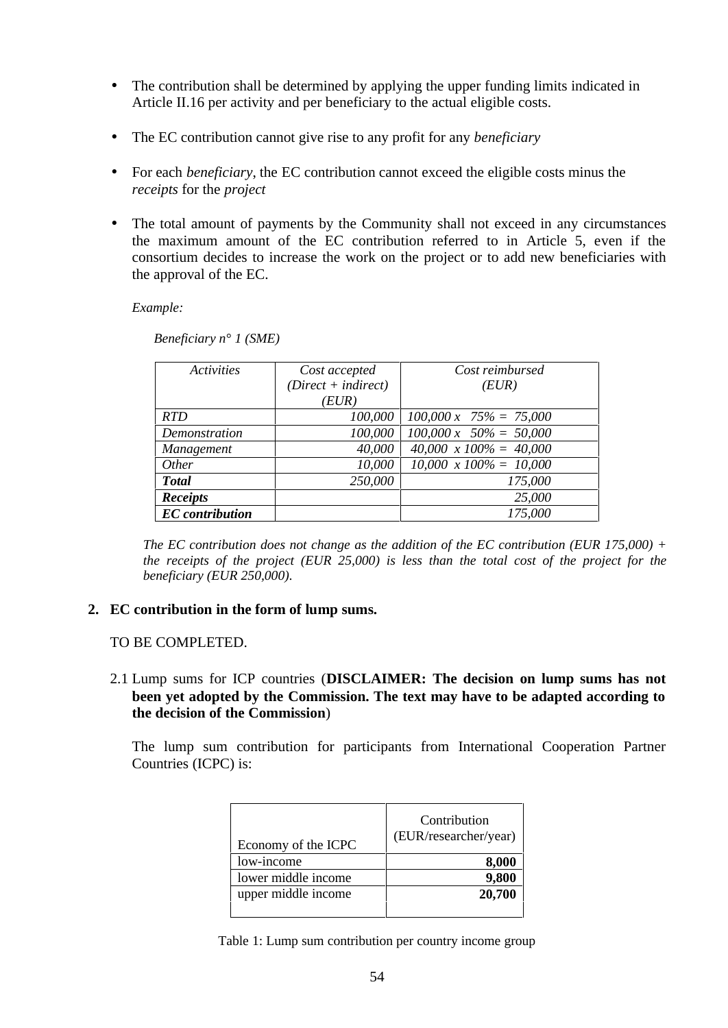- The contribution shall be determined by applying the upper funding limits indicated in Article II.16 per activity and per beneficiary to the actual eligible costs.
- The EC contribution cannot give rise to any profit for any *beneficiary*
- For each *beneficiary*, the EC contribution cannot exceed the eligible costs minus the *receipts* for the *project*
- The total amount of payments by the Community shall not exceed in any circumstances the maximum amount of the EC contribution referred to in Article 5, even if the consortium decides to increase the work on the project or to add new beneficiaries with the approval of the EC.

*Example:*

| <i><u><b>Activities</b></u></i> | Cost accepted         | Cost reimbursed                |
|---------------------------------|-----------------------|--------------------------------|
|                                 | $(Direct + indirect)$ | (EUR)                          |
|                                 | (EUR)                 |                                |
| <b>RTD</b>                      | 100,000               | $100,000 \times 75\% = 75,000$ |
| Demonstration                   | 100,000               | $100,000 \times 50\% = 50,000$ |
| Management                      | 40,000                | $40,000 \times 100\% = 40,000$ |
| <i>Other</i>                    | 10,000                | $10,000 \times 100\% = 10,000$ |
| <b>Total</b>                    | 250,000               | 175,000                        |
| <b>Receipts</b>                 |                       | 25,000                         |
| <b>EC</b> contribution          |                       | 175,000                        |

*Beneficiary n° 1 (SME)*

*The EC contribution does not change as the addition of the EC contribution (EUR 175,000) + the receipts of the project (EUR 25,000) is less than the total cost of the project for the beneficiary (EUR 250,000).*

#### **2. EC contribution in the form of lump sums.**

#### TO BE COMPLETED.

2.1 Lump sums for ICP countries (**DISCLAIMER: The decision on lump sums has not been yet adopted by the Commission. The text may have to be adapted according to the decision of the Commission**)

The lump sum contribution for participants from International Cooperation Partner Countries (ICPC) is:

| Economy of the ICPC | Contribution<br>(EUR/researcher/year) |
|---------------------|---------------------------------------|
| low-income          | 8,000                                 |
| lower middle income | 9,800                                 |
| upper middle income | 20,700                                |

Table 1: Lump sum contribution per country income group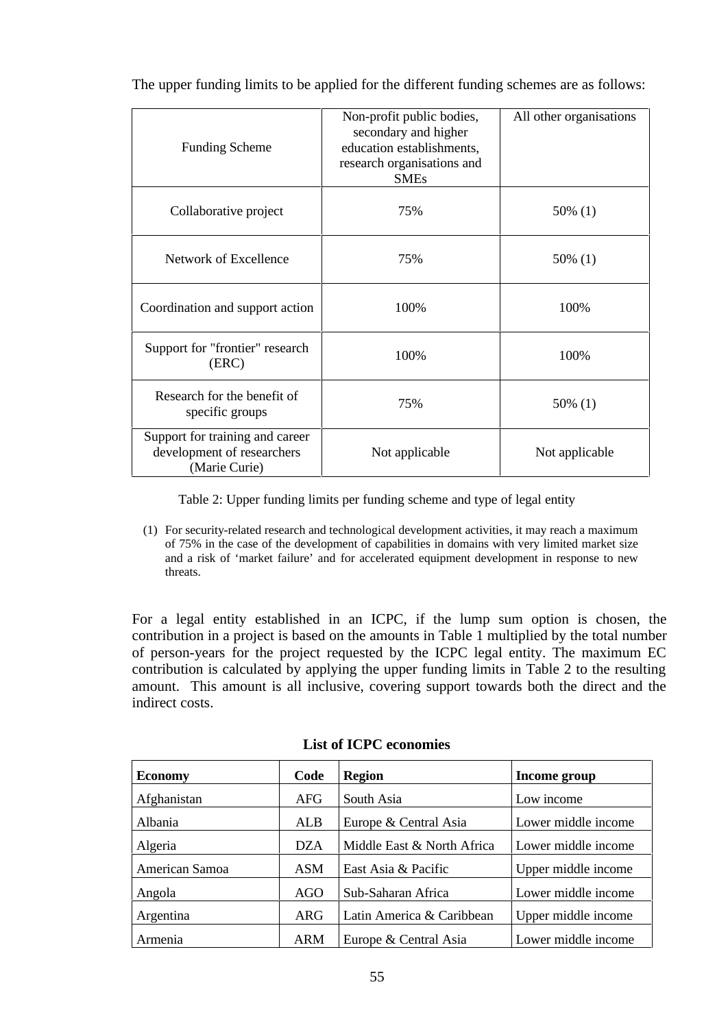| <b>Funding Scheme</b>                                                          | Non-profit public bodies,<br>secondary and higher<br>education establishments,<br>research organisations and<br><b>SMEs</b> | All other organisations |
|--------------------------------------------------------------------------------|-----------------------------------------------------------------------------------------------------------------------------|-------------------------|
| Collaborative project                                                          | 75%                                                                                                                         | 50% (1)                 |
| Network of Excellence                                                          | 75%                                                                                                                         | 50% (1)                 |
| Coordination and support action                                                | 100%                                                                                                                        | 100%                    |
| Support for "frontier" research<br>(ERC)                                       | 100%                                                                                                                        | 100%                    |
| Research for the benefit of<br>specific groups                                 | 75%                                                                                                                         | 50% (1)                 |
| Support for training and career<br>development of researchers<br>(Marie Curie) | Not applicable                                                                                                              | Not applicable          |

The upper funding limits to be applied for the different funding schemes are as follows:

Table 2: Upper funding limits per funding scheme and type of legal entity

(1) For security-related research and technological development activities, it may reach a maximum of 75% in the case of the development of capabilities in domains with very limited market size and a risk of 'market failure' and for accelerated equipment development in response to new threats.

For a legal entity established in an ICPC, if the lump sum option is chosen, the contribution in a project is based on the amounts in Table 1 multiplied by the total number of person-years for the project requested by the ICPC legal entity. The maximum EC contribution is calculated by applying the upper funding limits in Table 2 to the resulting amount. This amount is all inclusive, covering support towards both the direct and the indirect costs.

| <b>Economy</b> | Code       | <b>Region</b>              | Income group        |
|----------------|------------|----------------------------|---------------------|
| Afghanistan    | AFG        | South Asia                 | Low income          |
| Albania        | ALB        | Europe & Central Asia      | Lower middle income |
| Algeria        | <b>DZA</b> | Middle East & North Africa | Lower middle income |
| American Samoa | <b>ASM</b> | East Asia & Pacific        | Upper middle income |
| Angola         | AGO        | Sub-Saharan Africa         | Lower middle income |
| Argentina      | ARG        | Latin America & Caribbean  | Upper middle income |
| Armenia        | <b>ARM</b> | Europe & Central Asia      | Lower middle income |

#### **List of ICPC economies**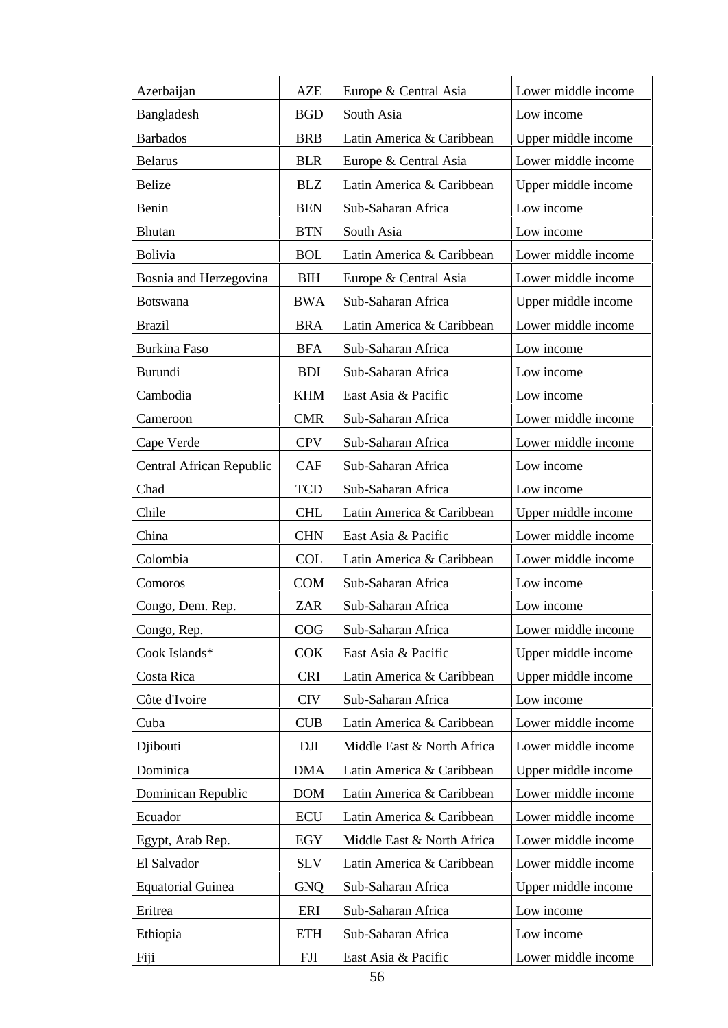| Azerbaijan               | <b>AZE</b> | Europe & Central Asia      | Lower middle income |
|--------------------------|------------|----------------------------|---------------------|
| Bangladesh               | <b>BGD</b> | South Asia                 | Low income          |
| <b>Barbados</b>          | <b>BRB</b> | Latin America & Caribbean  | Upper middle income |
| <b>Belarus</b>           | <b>BLR</b> | Europe & Central Asia      | Lower middle income |
| <b>Belize</b>            | <b>BLZ</b> | Latin America & Caribbean  | Upper middle income |
| Benin                    | <b>BEN</b> | Sub-Saharan Africa         | Low income          |
| <b>Bhutan</b>            | <b>BTN</b> | South Asia                 | Low income          |
| <b>Bolivia</b>           | <b>BOL</b> | Latin America & Caribbean  | Lower middle income |
| Bosnia and Herzegovina   | <b>BIH</b> | Europe & Central Asia      | Lower middle income |
| <b>Botswana</b>          | <b>BWA</b> | Sub-Saharan Africa         | Upper middle income |
| <b>Brazil</b>            | <b>BRA</b> | Latin America & Caribbean  | Lower middle income |
| <b>Burkina Faso</b>      | <b>BFA</b> | Sub-Saharan Africa         | Low income          |
| Burundi                  | <b>BDI</b> | Sub-Saharan Africa         | Low income          |
| Cambodia                 | <b>KHM</b> | East Asia & Pacific        | Low income          |
| Cameroon                 | <b>CMR</b> | Sub-Saharan Africa         | Lower middle income |
| Cape Verde               | <b>CPV</b> | Sub-Saharan Africa         | Lower middle income |
| Central African Republic | <b>CAF</b> | Sub-Saharan Africa         | Low income          |
| Chad                     | <b>TCD</b> | Sub-Saharan Africa         | Low income          |
| Chile                    | <b>CHL</b> | Latin America & Caribbean  | Upper middle income |
| China                    | <b>CHN</b> | East Asia & Pacific        | Lower middle income |
| Colombia                 | <b>COL</b> | Latin America & Caribbean  | Lower middle income |
| Comoros                  | <b>COM</b> | Sub-Saharan Africa         | Low income          |
| Congo, Dem. Rep.         | <b>ZAR</b> | Sub-Saharan Africa         | Low income          |
| Congo, Rep.              | COG        | Sub-Saharan Africa         | Lower middle income |
| Cook Islands*            | <b>COK</b> | East Asia & Pacific        | Upper middle income |
| Costa Rica               | <b>CRI</b> | Latin America & Caribbean  | Upper middle income |
| Côte d'Ivoire            | <b>CIV</b> | Sub-Saharan Africa         | Low income          |
| Cuba                     | <b>CUB</b> | Latin America & Caribbean  | Lower middle income |
| Djibouti                 | DJI        | Middle East & North Africa | Lower middle income |
| Dominica                 | <b>DMA</b> | Latin America & Caribbean  | Upper middle income |
| Dominican Republic       | <b>DOM</b> | Latin America & Caribbean  | Lower middle income |
| Ecuador                  | ECU        | Latin America & Caribbean  | Lower middle income |
| Egypt, Arab Rep.         | EGY        | Middle East & North Africa | Lower middle income |
| El Salvador              | <b>SLV</b> | Latin America & Caribbean  | Lower middle income |
| <b>Equatorial Guinea</b> | <b>GNQ</b> | Sub-Saharan Africa         | Upper middle income |
| Eritrea                  | ERI        | Sub-Saharan Africa         | Low income          |
| Ethiopia                 | <b>ETH</b> | Sub-Saharan Africa         | Low income          |
| Fiji                     | <b>FJI</b> | East Asia & Pacific        | Lower middle income |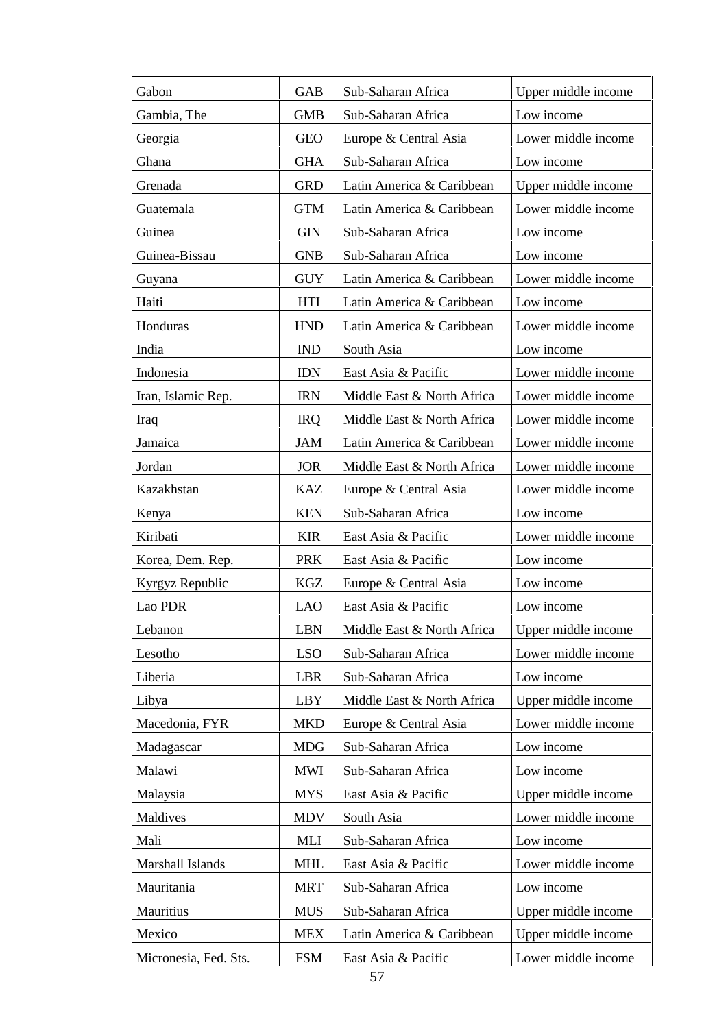| Gabon                 | <b>GAB</b> | Sub-Saharan Africa         | Upper middle income |
|-----------------------|------------|----------------------------|---------------------|
| Gambia, The           | <b>GMB</b> | Sub-Saharan Africa         | Low income          |
| Georgia               | <b>GEO</b> | Europe & Central Asia      | Lower middle income |
| Ghana                 | <b>GHA</b> | Sub-Saharan Africa         | Low income          |
| Grenada               | <b>GRD</b> | Latin America & Caribbean  | Upper middle income |
| Guatemala             | <b>GTM</b> | Latin America & Caribbean  | Lower middle income |
| Guinea                | <b>GIN</b> | Sub-Saharan Africa         | Low income          |
| Guinea-Bissau         | <b>GNB</b> | Sub-Saharan Africa         | Low income          |
| Guyana                | <b>GUY</b> | Latin America & Caribbean  | Lower middle income |
| Haiti                 | <b>HTI</b> | Latin America & Caribbean  | Low income          |
| Honduras              | <b>HND</b> | Latin America & Caribbean  | Lower middle income |
| India                 | <b>IND</b> | South Asia                 | Low income          |
| Indonesia             | <b>IDN</b> | East Asia & Pacific        | Lower middle income |
| Iran, Islamic Rep.    | <b>IRN</b> | Middle East & North Africa | Lower middle income |
| Iraq                  | <b>IRQ</b> | Middle East & North Africa | Lower middle income |
| Jamaica               | <b>JAM</b> | Latin America & Caribbean  | Lower middle income |
| Jordan                | <b>JOR</b> | Middle East & North Africa | Lower middle income |
| Kazakhstan            | <b>KAZ</b> | Europe & Central Asia      | Lower middle income |
| Kenya                 | <b>KEN</b> | Sub-Saharan Africa         | Low income          |
| Kiribati              | <b>KIR</b> | East Asia & Pacific        | Lower middle income |
| Korea, Dem. Rep.      | <b>PRK</b> | East Asia & Pacific        | Low income          |
| Kyrgyz Republic       | KGZ        | Europe & Central Asia      | Low income          |
| Lao PDR               | <b>LAO</b> | East Asia & Pacific        | Low income          |
| Lebanon               | <b>LBN</b> | Middle East & North Africa | Upper middle income |
| Lesotho               | <b>LSO</b> | Sub-Saharan Africa         | Lower middle income |
| Liberia               | <b>LBR</b> | Sub-Saharan Africa         | Low income          |
| Libya                 | LBY        | Middle East & North Africa | Upper middle income |
| Macedonia, FYR        | <b>MKD</b> | Europe & Central Asia      | Lower middle income |
| Madagascar            | <b>MDG</b> | Sub-Saharan Africa         | Low income          |
| Malawi                | <b>MWI</b> | Sub-Saharan Africa         | Low income          |
| Malaysia              | <b>MYS</b> | East Asia & Pacific        | Upper middle income |
| Maldives              | <b>MDV</b> | South Asia                 | Lower middle income |
| Mali                  | MLI        | Sub-Saharan Africa         | Low income          |
| Marshall Islands      | <b>MHL</b> | East Asia & Pacific        | Lower middle income |
| Mauritania            | <b>MRT</b> | Sub-Saharan Africa         | Low income          |
| Mauritius             | <b>MUS</b> | Sub-Saharan Africa         | Upper middle income |
| Mexico                | <b>MEX</b> | Latin America & Caribbean  | Upper middle income |
| Micronesia, Fed. Sts. | <b>FSM</b> | East Asia & Pacific        | Lower middle income |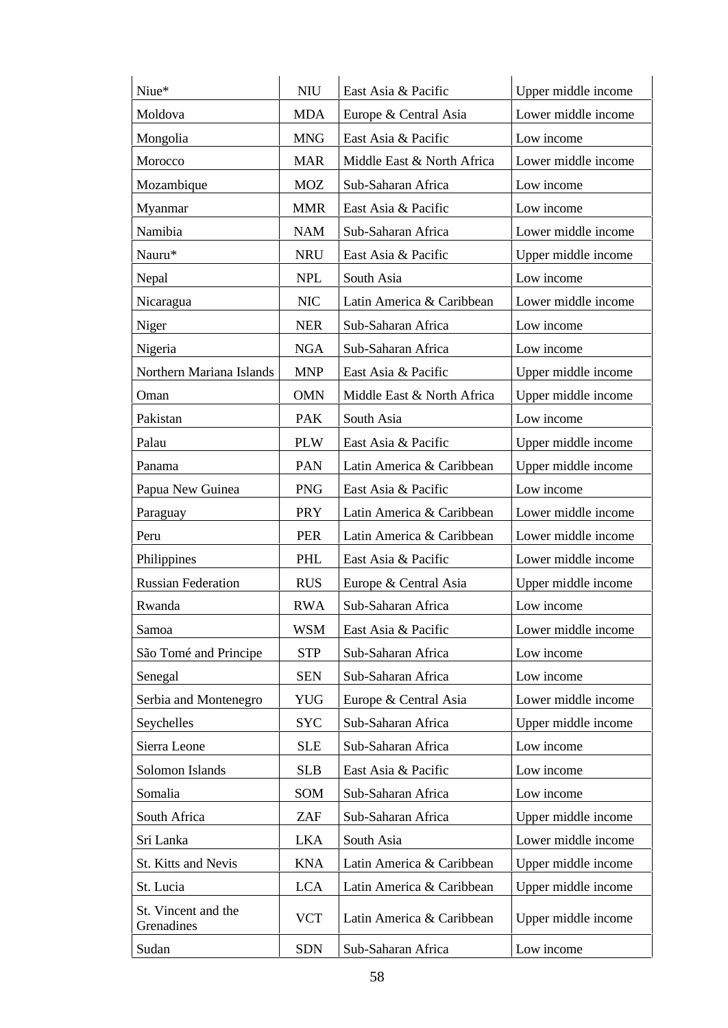| Niue*                             | <b>NIU</b> | East Asia & Pacific        | Upper middle income |
|-----------------------------------|------------|----------------------------|---------------------|
| Moldova                           | <b>MDA</b> | Europe & Central Asia      | Lower middle income |
| Mongolia                          | <b>MNG</b> | East Asia & Pacific        | Low income          |
| Morocco                           | <b>MAR</b> | Middle East & North Africa | Lower middle income |
| Mozambique                        | <b>MOZ</b> | Sub-Saharan Africa         | Low income          |
| Myanmar                           | <b>MMR</b> | East Asia & Pacific        | Low income          |
| Namibia                           | <b>NAM</b> | Sub-Saharan Africa         | Lower middle income |
| Nauru*                            | <b>NRU</b> | East Asia & Pacific        | Upper middle income |
| Nepal                             | <b>NPL</b> | South Asia                 | Low income          |
| Nicaragua                         | <b>NIC</b> | Latin America & Caribbean  | Lower middle income |
| Niger                             | <b>NER</b> | Sub-Saharan Africa         | Low income          |
| Nigeria                           | <b>NGA</b> | Sub-Saharan Africa         | Low income          |
| Northern Mariana Islands          | <b>MNP</b> | East Asia & Pacific        | Upper middle income |
| Oman                              | <b>OMN</b> | Middle East & North Africa | Upper middle income |
| Pakistan                          | <b>PAK</b> | South Asia                 | Low income          |
| Palau                             | <b>PLW</b> | East Asia & Pacific        | Upper middle income |
| Panama                            | PAN        | Latin America & Caribbean  | Upper middle income |
| Papua New Guinea                  | <b>PNG</b> | East Asia & Pacific        | Low income          |
| Paraguay                          | <b>PRY</b> | Latin America & Caribbean  | Lower middle income |
| Peru                              | <b>PER</b> | Latin America & Caribbean  | Lower middle income |
| Philippines                       | PHL        | East Asia & Pacific        | Lower middle income |
| <b>Russian Federation</b>         | <b>RUS</b> | Europe & Central Asia      | Upper middle income |
| Rwanda                            | <b>RWA</b> | Sub-Saharan Africa         | Low income          |
| Samoa                             | WSM        | East Asia & Pacific        | Lower middle income |
| São Tomé and Principe             | <b>STP</b> | Sub-Saharan Africa         | Low income          |
| Senegal                           | <b>SEN</b> | Sub-Saharan Africa         | Low income          |
| Serbia and Montenegro             | <b>YUG</b> | Europe & Central Asia      | Lower middle income |
| Seychelles                        | <b>SYC</b> | Sub-Saharan Africa         | Upper middle income |
| Sierra Leone                      | <b>SLE</b> | Sub-Saharan Africa         | Low income          |
| Solomon Islands                   | <b>SLB</b> | East Asia & Pacific        | Low income          |
| Somalia                           | SOM        | Sub-Saharan Africa         | Low income          |
| South Africa                      | ZAF        | Sub-Saharan Africa         | Upper middle income |
| Sri Lanka                         | <b>LKA</b> | South Asia                 | Lower middle income |
| St. Kitts and Nevis               | <b>KNA</b> | Latin America & Caribbean  | Upper middle income |
| St. Lucia                         | <b>LCA</b> | Latin America & Caribbean  | Upper middle income |
| St. Vincent and the<br>Grenadines | <b>VCT</b> | Latin America & Caribbean  | Upper middle income |
| Sudan                             | <b>SDN</b> | Sub-Saharan Africa         | Low income          |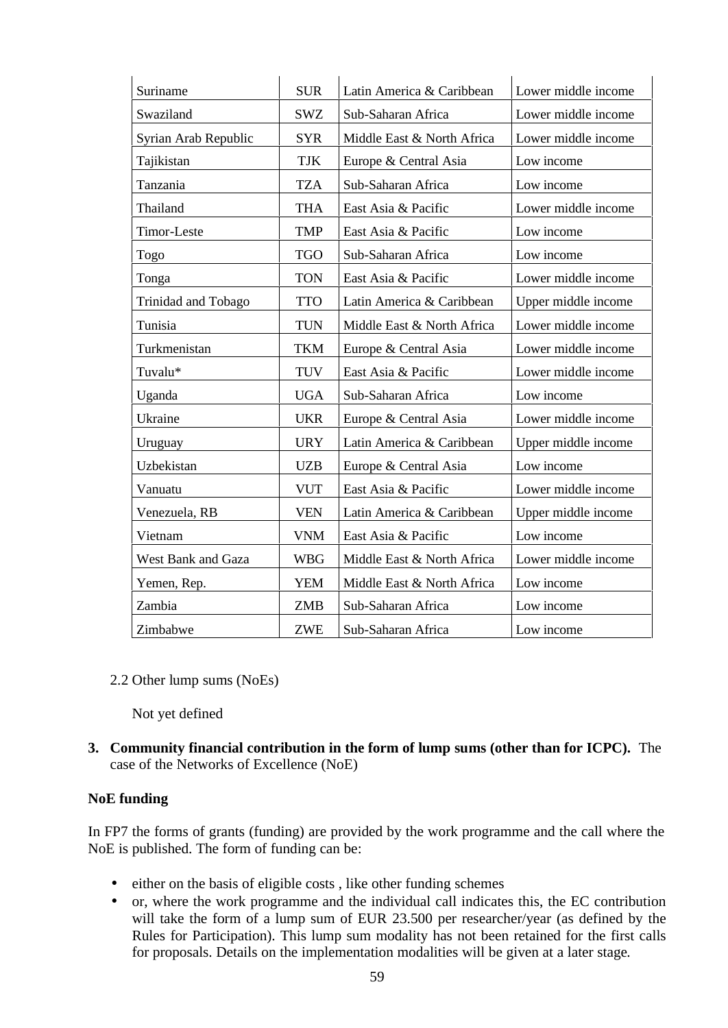| Suriname                  | <b>SUR</b> | Latin America & Caribbean  | Lower middle income |
|---------------------------|------------|----------------------------|---------------------|
| Swaziland                 | <b>SWZ</b> | Sub-Saharan Africa         | Lower middle income |
| Syrian Arab Republic      | <b>SYR</b> | Middle East & North Africa | Lower middle income |
| Tajikistan                | <b>TJK</b> | Europe & Central Asia      | Low income          |
| Tanzania                  | <b>TZA</b> | Sub-Saharan Africa         | Low income          |
| Thailand                  | <b>THA</b> | East Asia & Pacific        | Lower middle income |
| Timor-Leste               | <b>TMP</b> | East Asia & Pacific        | Low income          |
| Togo                      | <b>TGO</b> | Sub-Saharan Africa         | Low income          |
| Tonga                     | <b>TON</b> | East Asia & Pacific        | Lower middle income |
| Trinidad and Tobago       | <b>TTO</b> | Latin America & Caribbean  | Upper middle income |
| Tunisia                   | <b>TUN</b> | Middle East & North Africa | Lower middle income |
| Turkmenistan              | <b>TKM</b> | Europe & Central Asia      | Lower middle income |
| Tuvalu*                   | <b>TUV</b> | East Asia & Pacific        | Lower middle income |
| Uganda                    | <b>UGA</b> | Sub-Saharan Africa         | Low income          |
| Ukraine                   | <b>UKR</b> | Europe & Central Asia      | Lower middle income |
| Uruguay                   | <b>URY</b> | Latin America & Caribbean  | Upper middle income |
| Uzbekistan                | <b>UZB</b> | Europe & Central Asia      | Low income          |
| Vanuatu                   | <b>VUT</b> | East Asia & Pacific        | Lower middle income |
| Venezuela, RB             | <b>VEN</b> | Latin America & Caribbean  | Upper middle income |
| Vietnam                   | <b>VNM</b> | East Asia & Pacific        | Low income          |
| <b>West Bank and Gaza</b> | <b>WBG</b> | Middle East & North Africa | Lower middle income |
| Yemen, Rep.               | <b>YEM</b> | Middle East & North Africa | Low income          |
| Zambia                    | <b>ZMB</b> | Sub-Saharan Africa         | Low income          |
| Zimbabwe                  | <b>ZWE</b> | Sub-Saharan Africa         | Low income          |

2.2 Other lump sums (NoEs)

Not yet defined

**3. Community financial contribution in the form of lump sums (other than for ICPC).** The case of the Networks of Excellence (NoE)

#### **NoE funding**

In FP7 the forms of grants (funding) are provided by the work programme and the call where the NoE is published. The form of funding can be:

- either on the basis of eligible costs , like other funding schemes
- or, where the work programme and the individual call indicates this, the EC contribution will take the form of a lump sum of EUR 23.500 per researcher/year (as defined by the Rules for Participation). This lump sum modality has not been retained for the first calls for proposals. Details on the implementation modalities will be given at a later stage.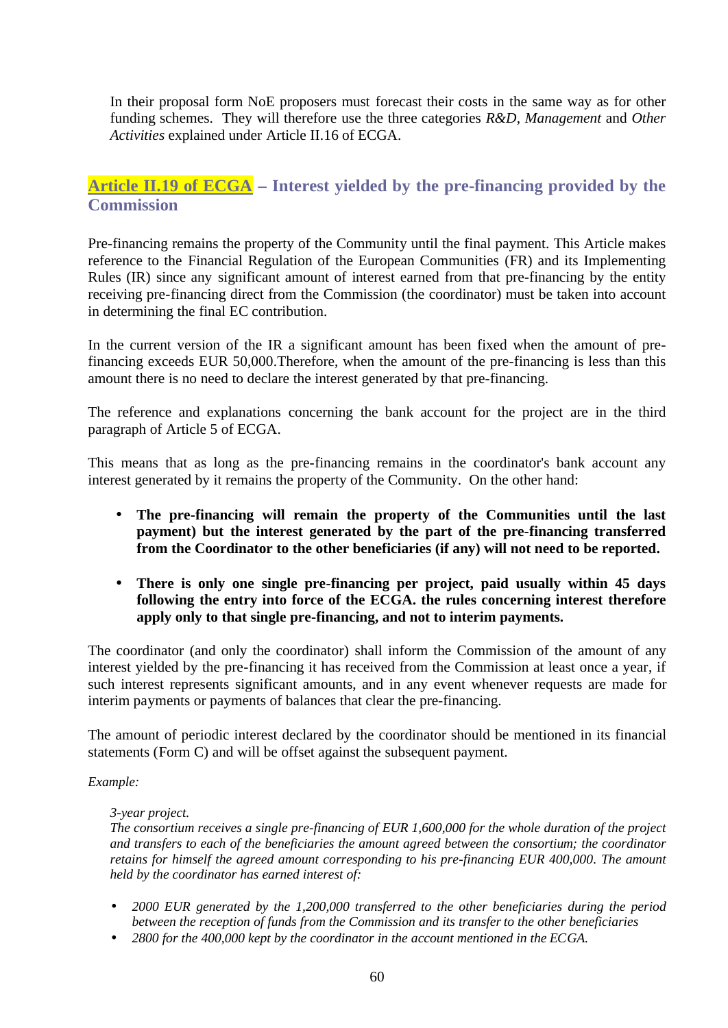In their proposal form NoE proposers must forecast their costs in the same way as for other funding schemes. They will therefore use the three categories *R&D*, *Management* and *Other Activities* explained under Article II.16 of ECGA.

## **Article II.19 of ECGA – Interest yielded by the pre-financing provided by the Commission**

Pre-financing remains the property of the Community until the final payment. This Article makes reference to the Financial Regulation of the European Communities (FR) and its Implementing Rules (IR) since any significant amount of interest earned from that pre-financing by the entity receiving pre-financing direct from the Commission (the coordinator) must be taken into account in determining the final EC contribution.

In the current version of the IR a significant amount has been fixed when the amount of prefinancing exceeds EUR 50,000.Therefore, when the amount of the pre-financing is less than this amount there is no need to declare the interest generated by that pre-financing.

The reference and explanations concerning the bank account for the project are in the third paragraph of Article 5 of ECGA.

This means that as long as the pre-financing remains in the coordinator's bank account any interest generated by it remains the property of the Community. On the other hand:

- **The pre-financing will remain the property of the Communities until the last payment) but the interest generated by the part of the pre-financing transferred from the Coordinator to the other beneficiaries (if any) will not need to be reported.**
- **There is only one single pre-financing per project, paid usually within 45 days following the entry into force of the ECGA. the rules concerning interest therefore apply only to that single pre-financing, and not to interim payments.**

The coordinator (and only the coordinator) shall inform the Commission of the amount of any interest yielded by the pre-financing it has received from the Commission at least once a year, if such interest represents significant amounts, and in any event whenever requests are made for interim payments or payments of balances that clear the pre-financing.

The amount of periodic interest declared by the coordinator should be mentioned in its financial statements (Form C) and will be offset against the subsequent payment.

#### *Example:*

#### *3-year project.*

*The consortium receives a single pre-financing of EUR 1,600,000 for the whole duration of the project and transfers to each of the beneficiaries the amount agreed between the consortium; the coordinator retains for himself the agreed amount corresponding to his pre-financing EUR 400,000. The amount held by the coordinator has earned interest of:*

- *2000 EUR generated by the 1,200,000 transferred to the other beneficiaries during the period between the reception of funds from the Commission and its transfer to the other beneficiaries*
- *2800 for the 400,000 kept by the coordinator in the account mentioned in the ECGA.*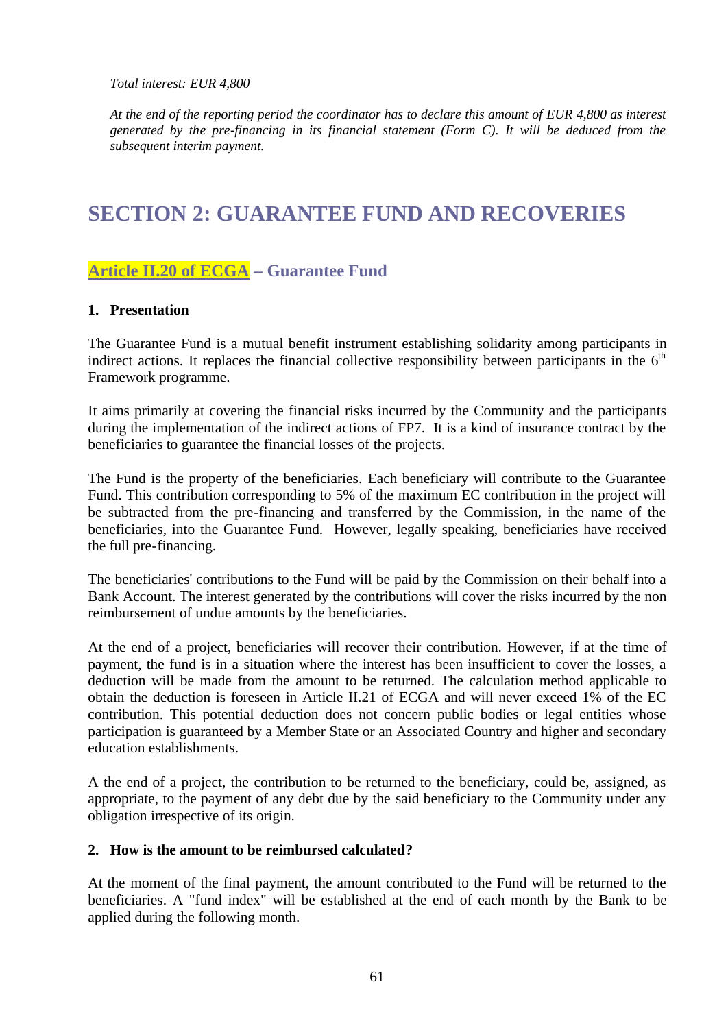*Total interest: EUR 4,800*

*At the end of the reporting period the coordinator has to declare this amount of EUR 4,800 as interest generated by the pre-financing in its financial statement (Form C). It will be deduced from the subsequent interim payment.*

## **SECTION 2: GUARANTEE FUND AND RECOVERIES**

## **Article II.20 of ECGA – Guarantee Fund**

#### **1. Presentation**

The Guarantee Fund is a mutual benefit instrument establishing solidarity among participants in indirect actions. It replaces the financial collective responsibility between participants in the  $6<sup>th</sup>$ Framework programme.

It aims primarily at covering the financial risks incurred by the Community and the participants during the implementation of the indirect actions of FP7. It is a kind of insurance contract by the beneficiaries to guarantee the financial losses of the projects.

The Fund is the property of the beneficiaries. Each beneficiary will contribute to the Guarantee Fund. This contribution corresponding to 5% of the maximum EC contribution in the project will be subtracted from the pre-financing and transferred by the Commission, in the name of the beneficiaries, into the Guarantee Fund. However, legally speaking, beneficiaries have received the full pre-financing.

The beneficiaries' contributions to the Fund will be paid by the Commission on their behalf into a Bank Account. The interest generated by the contributions will cover the risks incurred by the non reimbursement of undue amounts by the beneficiaries.

At the end of a project, beneficiaries will recover their contribution. However, if at the time of payment, the fund is in a situation where the interest has been insufficient to cover the losses, a deduction will be made from the amount to be returned. The calculation method applicable to obtain the deduction is foreseen in Article II.21 of ECGA and will never exceed 1% of the EC contribution. This potential deduction does not concern public bodies or legal entities whose participation is guaranteed by a Member State or an Associated Country and higher and secondary education establishments.

A the end of a project, the contribution to be returned to the beneficiary, could be, assigned, as appropriate, to the payment of any debt due by the said beneficiary to the Community under any obligation irrespective of its origin*.*

#### **2. How is the amount to be reimbursed calculated?**

At the moment of the final payment, the amount contributed to the Fund will be returned to the beneficiaries. A "fund index" will be established at the end of each month by the Bank to be applied during the following month.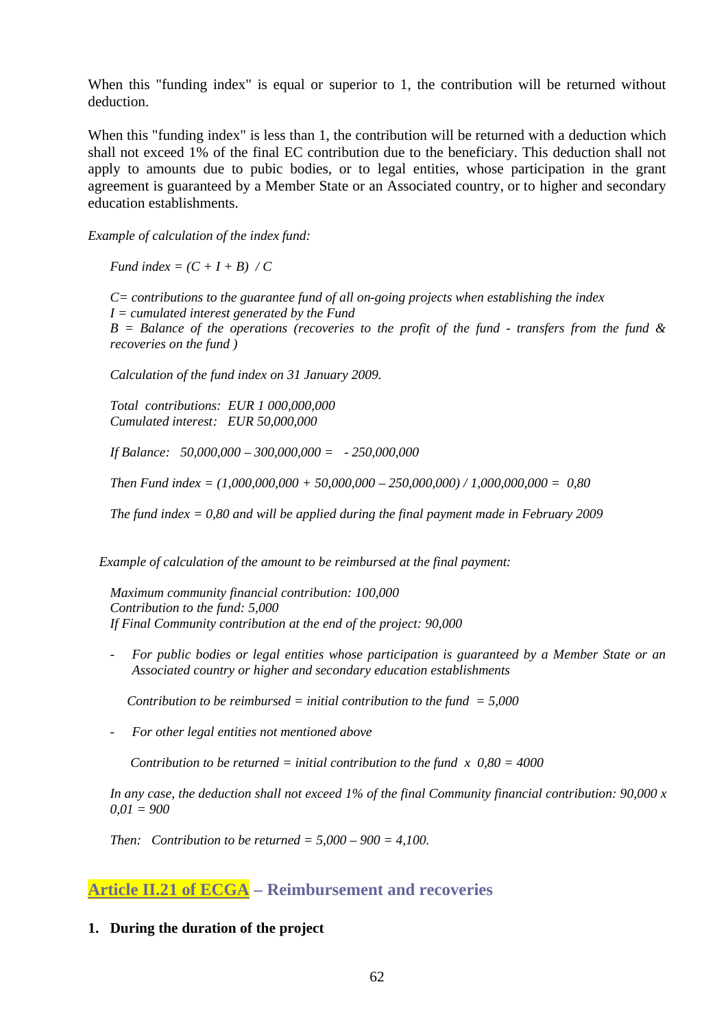When this "funding index" is equal or superior to 1, the contribution will be returned without deduction.

When this "funding index" is less than 1, the contribution will be returned with a deduction which shall not exceed 1% of the final EC contribution due to the beneficiary. This deduction shall not apply to amounts due to pubic bodies, or to legal entities, whose participation in the grant agreement is guaranteed by a Member State or an Associated country, or to higher and secondary education establishments.

*Example of calculation of the index fund:* 

*Fund index =*  $(C + I + B) / C$ 

*C= contributions to the guarantee fund of all on-going projects when establishing the index I = cumulated interest generated by the Fund B = Balance of the operations (recoveries to the profit of the fund - transfers from the fund & recoveries on the fund )*

*Calculation of the fund index on 31 January 2009.* 

*Total contributions: EUR 1 000,000,000 Cumulated interest: EUR 50,000,000*

*If Balance: 50,000,000 – 300,000,000 = - 250,000,000*

*Then Fund index = (1,000,000,000 + 50,000,000 – 250,000,000) / 1,000,000,000 = 0,80*

*The fund index = 0,80 and will be applied during the final payment made in February 2009*

*Example of calculation of the amount to be reimbursed at the final payment:*

*Maximum community financial contribution: 100,000 Contribution to the fund: 5,000 If Final Community contribution at the end of the project: 90,000*

*- For public bodies or legal entities whose participation is guaranteed by a Member State or an Associated country or higher and secondary education establishments*

 *Contribution to be reimbursed = initial contribution to the fund = 5,000*

*- For other legal entities not mentioned above*

*Contribution to be returned = initial contribution to the fund*  $x$  *0,80 = 4000* 

*In any case, the deduction shall not exceed 1% of the final Community financial contribution: 90,000 x 0,01 = 900* 

*Then: Contribution to be returned =*  $5,000 - 900 = 4,100$ *.* 

### **Article II.21 of ECGA – Reimbursement and recoveries**

#### **1. During the duration of the project**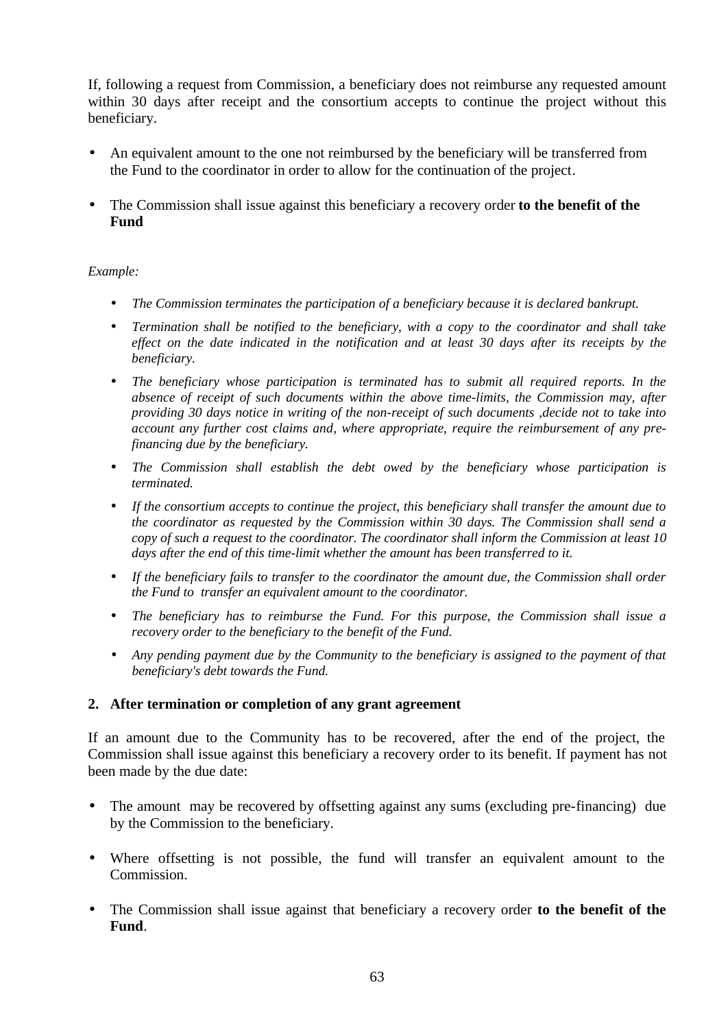If, following a request from Commission, a beneficiary does not reimburse any requested amount within 30 days after receipt and the consortium accepts to continue the project without this beneficiary.

- An equivalent amount to the one not reimbursed by the beneficiary will be transferred from the Fund to the coordinator in order to allow for the continuation of the project.
- The Commission shall issue against this beneficiary a recovery order **to the benefit of the Fund**

#### *Example:*

- *The Commission terminates the participation of a beneficiary because it is declared bankrupt.*
- *Termination shall be notified to the beneficiary, with a copy to the coordinator and shall take effect on the date indicated in the notification and at least 30 days after its receipts by the beneficiary.*
- *The beneficiary whose participation is terminated has to submit all required reports. In the absence of receipt of such documents within the above time-limits, the Commission may, after providing 30 days notice in writing of the non-receipt of such documents ,decide not to take into account any further cost claims and, where appropriate, require the reimbursement of any prefinancing due by the beneficiary.*
- *The Commission shall establish the debt owed by the beneficiary whose participation is terminated.*
- *If the consortium accepts to continue the project, this beneficiary shall transfer the amount due to the coordinator as requested by the Commission within 30 days. The Commission shall send a copy of such a request to the coordinator. The coordinator shall inform the Commission at least 10 days after the end of this time-limit whether the amount has been transferred to it.*
- *If the beneficiary fails to transfer to the coordinator the amount due, the Commission shall order the Fund to transfer an equivalent amount to the coordinator.*
- *The beneficiary has to reimburse the Fund. For this purpose, the Commission shall issue a recovery order to the beneficiary to the benefit of the Fund.*
- *Any pending payment due by the Community to the beneficiary is assigned to the payment of that beneficiary's debt towards the Fund.*

#### **2. After termination or completion of any grant agreement**

If an amount due to the Community has to be recovered, after the end of the project, the Commission shall issue against this beneficiary a recovery order to its benefit. If payment has not been made by the due date:

- The amount may be recovered by offsetting against any sums (excluding pre-financing) due by the Commission to the beneficiary.
- Where offsetting is not possible, the fund will transfer an equivalent amount to the Commission.
- The Commission shall issue against that beneficiary a recovery order **to the benefit of the Fund**.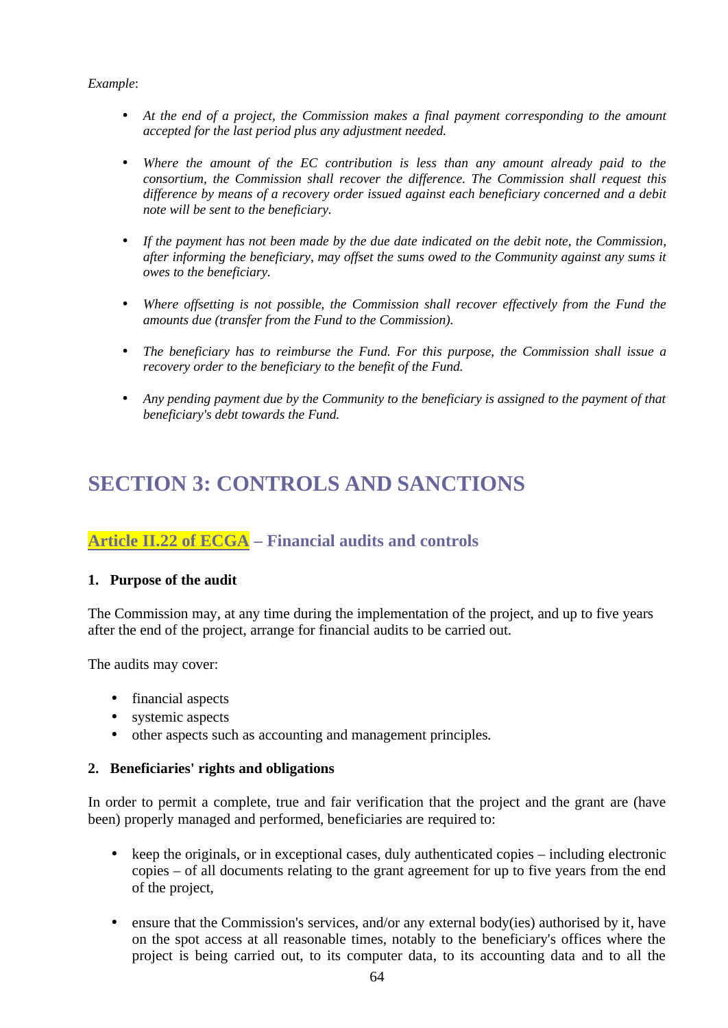#### *Example*:

- *At the end of a project, the Commission makes a final payment corresponding to the amount accepted for the last period plus any adjustment needed.*
- *Where the amount of the EC contribution is less than any amount already paid to the consortium, the Commission shall recover the difference. The Commission shall request this difference by means of a recovery order issued against each beneficiary concerned and a debit note will be sent to the beneficiary.*
- *If the payment has not been made by the due date indicated on the debit note, the Commission, after informing the beneficiary, may offset the sums owed to the Community against any sums it owes to the beneficiary.*
- *Where offsetting is not possible, the Commission shall recover effectively from the Fund the amounts due (transfer from the Fund to the Commission).*
- *The beneficiary has to reimburse the Fund. For this purpose, the Commission shall issue a recovery order to the beneficiary to the benefit of the Fund.*
- *Any pending payment due by the Community to the beneficiary is assigned to the payment of that beneficiary's debt towards the Fund.*

## **SECTION 3: CONTROLS AND SANCTIONS**

## **Article II.22 of ECGA – Financial audits and controls**

#### **1. Purpose of the audit**

The Commission may, at any time during the implementation of the project, and up to five years after the end of the project, arrange for financial audits to be carried out.

The audits may cover:

- financial aspects
- systemic aspects
- other aspects such as accounting and management principles.

#### **2. Beneficiaries' rights and obligations**

In order to permit a complete, true and fair verification that the project and the grant are (have been) properly managed and performed, beneficiaries are required to:

- keep the originals, or in exceptional cases, duly authenticated copies including electronic copies – of all documents relating to the grant agreement for up to five years from the end of the project,
- ensure that the Commission's services, and/or any external body(ies) authorised by it, have on the spot access at all reasonable times, notably to the beneficiary's offices where the project is being carried out, to its computer data, to its accounting data and to all the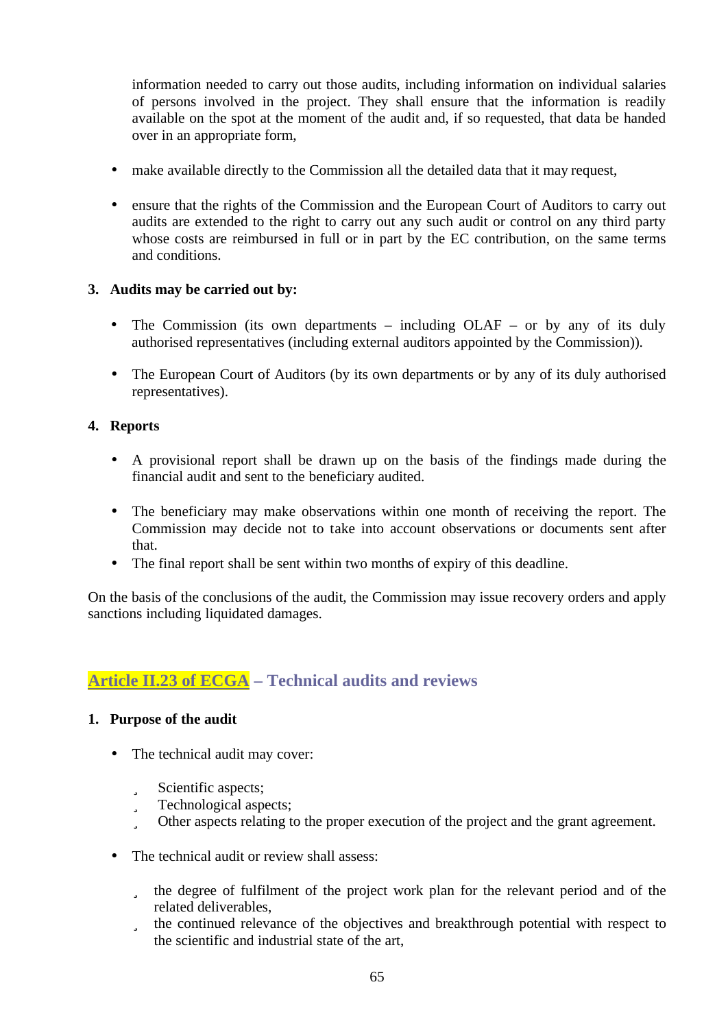information needed to carry out those audits, including information on individual salaries of persons involved in the project. They shall ensure that the information is readily available on the spot at the moment of the audit and, if so requested, that data be handed over in an appropriate form,

- make available directly to the Commission all the detailed data that it may request,
- ensure that the rights of the Commission and the European Court of Auditors to carry out audits are extended to the right to carry out any such audit or control on any third party whose costs are reimbursed in full or in part by the EC contribution, on the same terms and conditions.

#### **3. Audits may be carried out by:**

- The Commission (its own departments including OLAF or by any of its duly authorised representatives (including external auditors appointed by the Commission)).
- The European Court of Auditors (by its own departments or by any of its duly authorised representatives).

#### **4. Reports**

- A provisional report shall be drawn up on the basis of the findings made during the financial audit and sent to the beneficiary audited.
- The beneficiary may make observations within one month of receiving the report. The Commission may decide not to take into account observations or documents sent after that.
- The final report shall be sent within two months of expiry of this deadline.

On the basis of the conclusions of the audit, the Commission may issue recovery orders and apply sanctions including liquidated damages.

## **Article II.23 of ECGA – Technical audits and reviews**

#### **1. Purpose of the audit**

- The technical audit may cover:
	- ü Scientific aspects;
	- ü Technological aspects;
	- ü Other aspects relating to the proper execution of the project and the grant agreement.
- The technical audit or review shall assess:
	- ü the degree of fulfilment of the project work plan for the relevant period and of the related deliverables,
	- ü the continued relevance of the objectives and breakthrough potential with respect to the scientific and industrial state of the art,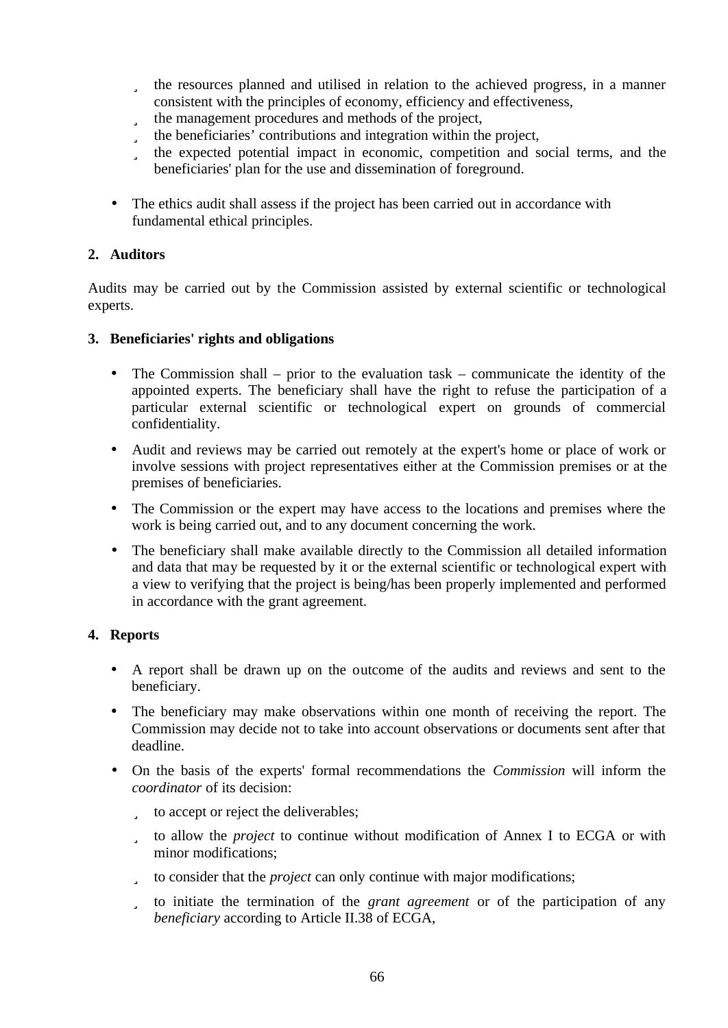- ü the resources planned and utilised in relation to the achieved progress, in a manner consistent with the principles of economy, efficiency and effectiveness,
- ü the management procedures and methods of the project,
- ü the beneficiaries' contributions and integration within the project,
- ü the expected potential impact in economic, competition and social terms, and the beneficiaries' plan for the use and dissemination of foreground.
- The ethics audit shall assess if the project has been carried out in accordance with fundamental ethical principles.

#### **2. Auditors**

Audits may be carried out by the Commission assisted by external scientific or technological experts.

#### **3. Beneficiaries' rights and obligations**

- The Commission shall prior to the evaluation task communicate the identity of the appointed experts. The beneficiary shall have the right to refuse the participation of a particular external scientific or technological expert on grounds of commercial confidentiality.
- Audit and reviews may be carried out remotely at the expert's home or place of work or involve sessions with project representatives either at the Commission premises or at the premises of beneficiaries.
- The Commission or the expert may have access to the locations and premises where the work is being carried out, and to any document concerning the work.
- The beneficiary shall make available directly to the Commission all detailed information and data that may be requested by it or the external scientific or technological expert with a view to verifying that the project is being/has been properly implemented and performed in accordance with the grant agreement.

#### **4. Reports**

- A report shall be drawn up on the outcome of the audits and reviews and sent to the beneficiary.
- The beneficiary may make observations within one month of receiving the report. The Commission may decide not to take into account observations or documents sent after that deadline.
- On the basis of the experts' formal recommendations the *Commission* will inform the *coordinator* of its decision:
	- ü to accept or reject the deliverables;
	- ü to allow the *project* to continue without modification of Annex I to ECGA or with minor modifications;
	- ü to consider that the *project* can only continue with major modifications;
	- ü to initiate the termination of the *grant agreement* or of the participation of any *beneficiary* according to Article II.38 of ECGA,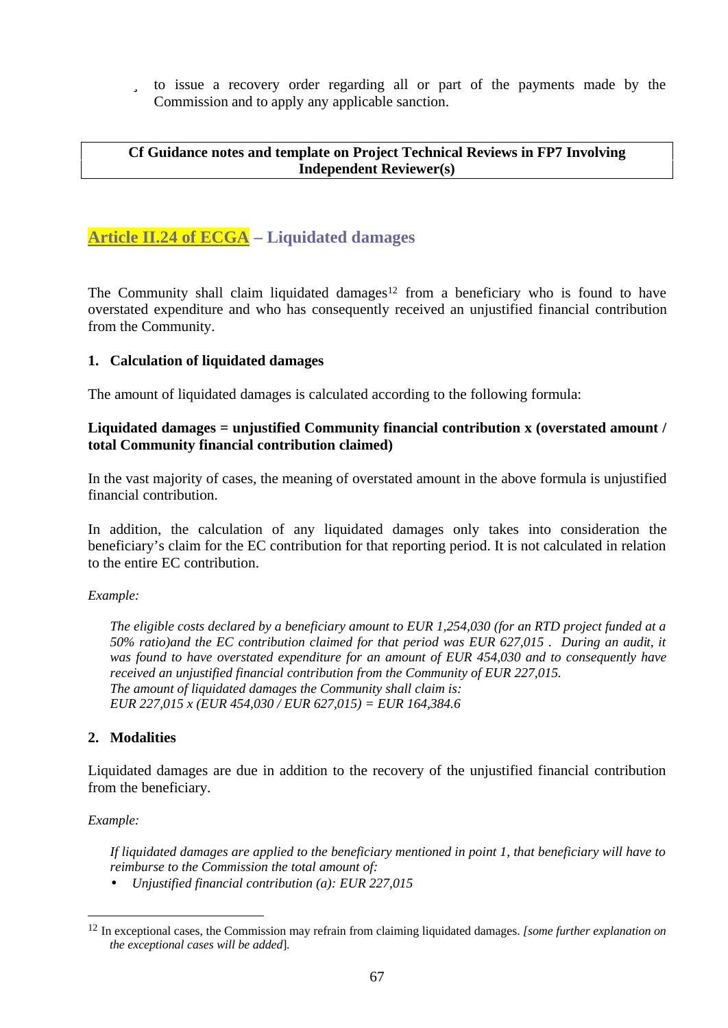ü to issue a recovery order regarding all or part of the payments made by the Commission and to apply any applicable sanction.

#### **Cf Guidance notes and template on Project Technical Reviews in FP7 Involving Independent Reviewer(s)**

## **Article II.24 of ECGA – Liquidated damages**

The Community shall claim liquidated damages<sup>12</sup> from a beneficiary who is found to have overstated expenditure and who has consequently received an unjustified financial contribution from the Community.

#### **1. Calculation of liquidated damages**

The amount of liquidated damages is calculated according to the following formula:

#### **Liquidated damages = unjustified Community financial contribution x (overstated amount / total Community financial contribution claimed)**

In the vast majority of cases, the meaning of overstated amount in the above formula is unjustified financial contribution.

In addition, the calculation of any liquidated damages only takes into consideration the beneficiary's claim for the EC contribution for that reporting period. It is not calculated in relation to the entire EC contribution.

#### *Example:*

*The eligible costs declared by a beneficiary amount to EUR 1,254,030 (for an RTD project funded at a 50% ratio)and the EC contribution claimed for that period was EUR 627,015 . During an audit, it was found to have overstated expenditure for an amount of EUR 454,030 and to consequently have received an unjustified financial contribution from the Community of EUR 227,015. The amount of liquidated damages the Community shall claim is: EUR 227,015 x (EUR 454,030 / EUR 627,015) = EUR 164,384.6*

#### **2. Modalities**

Liquidated damages are due in addition to the recovery of the unjustified financial contribution from the beneficiary.

#### *Example:*

 $\overline{a}$ 

*If liquidated damages are applied to the beneficiary mentioned in point 1, that beneficiary will have to reimburse to the Commission the total amount of:*

• *Unjustified financial contribution (a): EUR 227,015*

<sup>12</sup> In exceptional cases, the Commission may refrain from claiming liquidated damages. *[some further explanation on the exceptional cases will be added*].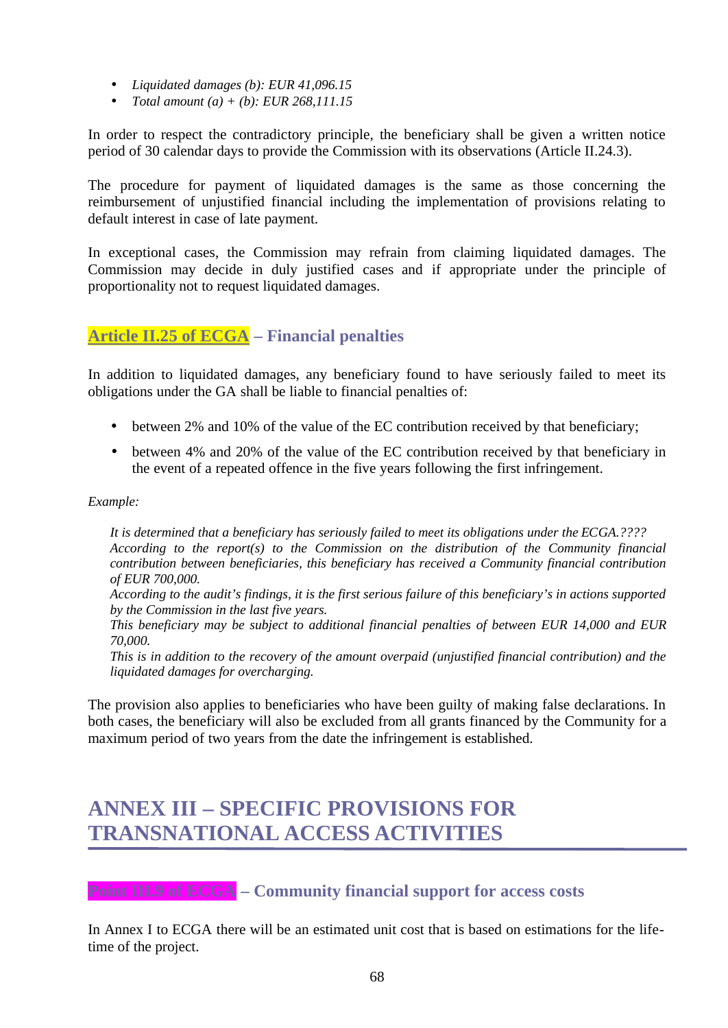- *Liquidated damages (b): EUR 41,096.15*
- *Total amount (a) + (b): EUR 268,111.15*

In order to respect the contradictory principle, the beneficiary shall be given a written notice period of 30 calendar days to provide the Commission with its observations (Article II.24.3).

The procedure for payment of liquidated damages is the same as those concerning the reimbursement of unjustified financial including the implementation of provisions relating to default interest in case of late payment.

In exceptional cases, the Commission may refrain from claiming liquidated damages. The Commission may decide in duly justified cases and if appropriate under the principle of proportionality not to request liquidated damages.

## **Article II.25 of ECGA – Financial penalties**

In addition to liquidated damages, any beneficiary found to have seriously failed to meet its obligations under the GA shall be liable to financial penalties of:

- between 2% and 10% of the value of the EC contribution received by that beneficiary;
- between 4% and 20% of the value of the EC contribution received by that beneficiary in the event of a repeated offence in the five years following the first infringement.

#### *Example:*

*It is determined that a beneficiary has seriously failed to meet its obligations under the ECGA.???? According to the report(s) to the Commission on the distribution of the Community financial contribution between beneficiaries, this beneficiary has received a Community financial contribution of EUR 700,000.*

*According to the audit's findings, it is the first serious failure of this beneficiary's in actions supported by the Commission in the last five years.*

*This beneficiary may be subject to additional financial penalties of between EUR 14,000 and EUR 70,000.* 

*This is in addition to the recovery of the amount overpaid (unjustified financial contribution) and the liquidated damages for overcharging.*

The provision also applies to beneficiaries who have been guilty of making false declarations. In both cases, the beneficiary will also be excluded from all grants financed by the Community for a maximum period of two years from the date the infringement is established.

## **ANNEX III – SPECIFIC PROVISIONS FOR TRANSNATIONAL ACCESS ACTIVITIES**

**Point III.9 of ECGA – Community financial support for access costs**

In Annex I to ECGA there will be an estimated unit cost that is based on estimations for the lifetime of the project.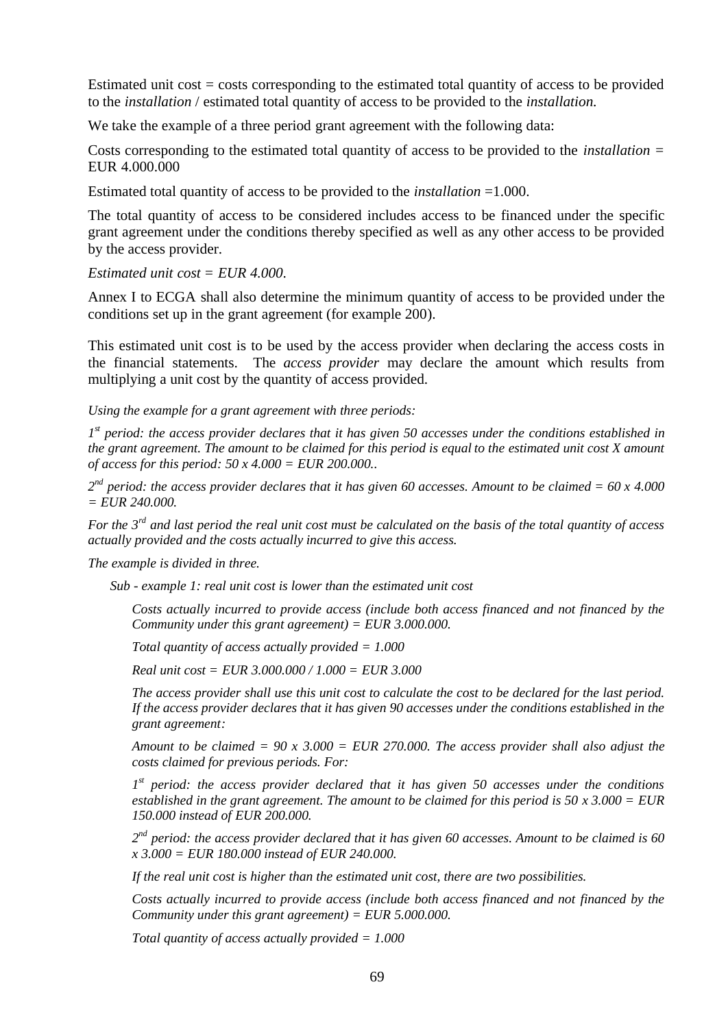Estimated unit  $cost = costs$  corresponding to the estimated total quantity of access to be provided to the *installation* / estimated total quantity of access to be provided to the *installation.*

We take the example of a three period grant agreement with the following data:

Costs corresponding to the estimated total quantity of access to be provided to the *installation =*  EUR 4.000.000

Estimated total quantity of access to be provided to the *installation* =1.000.

The total quantity of access to be considered includes access to be financed under the specific grant agreement under the conditions thereby specified as well as any other access to be provided by the access provider.

*Estimated unit cost = EUR 4.000.*

Annex I to ECGA shall also determine the minimum quantity of access to be provided under the conditions set up in the grant agreement (for example 200).

This estimated unit cost is to be used by the access provider when declaring the access costs in the financial statements. The *access provider* may declare the amount which results from multiplying a unit cost by the quantity of access provided.

*Using the example for a grant agreement with three periods:*

*1 st period: the access provider declares that it has given 50 accesses under the conditions established in the grant agreement. The amount to be claimed for this period is equal to the estimated unit cost X amount of access for this period: 50 x 4.000 = EUR 200.000..*

*2 nd period: the access provider declares that it has given 60 accesses. Amount to be claimed = 60 x 4.000 = EUR 240.000.*

*For the 3rd and last period the real unit cost must be calculated on the basis of the total quantity of access actually provided and the costs actually incurred to give this access.* 

*The example is divided in three.*

*Sub - example 1: real unit cost is lower than the estimated unit cost*

*Costs actually incurred to provide access (include both access financed and not financed by the Community under this grant agreement) = EUR 3.000.000.*

*Total quantity of access actually provided = 1.000* 

*Real unit cost = EUR 3.000.000 / 1.000 = EUR 3.000*

*The access provider shall use this unit cost to calculate the cost to be declared for the last period. If the access provider declares that it has given 90 accesses under the conditions established in the grant agreement:*

*Amount to be claimed = 90 x 3.000 = EUR 270.000. The access provider shall also adjust the costs claimed for previous periods. For:*

*1 st period: the access provider declared that it has given 50 accesses under the conditions established in the grant agreement. The amount to be claimed for this period is 50 x 3.000 = EUR 150.000 instead of EUR 200.000.*

*2 nd period: the access provider declared that it has given 60 accesses. Amount to be claimed is 60 x 3.000 = EUR 180.000 instead of EUR 240.000.*

*If the real unit cost is higher than the estimated unit cost, there are two possibilities.*

*Costs actually incurred to provide access (include both access financed and not financed by the Community under this grant agreement) = EUR 5.000.000.*

*Total quantity of access actually provided = 1.000*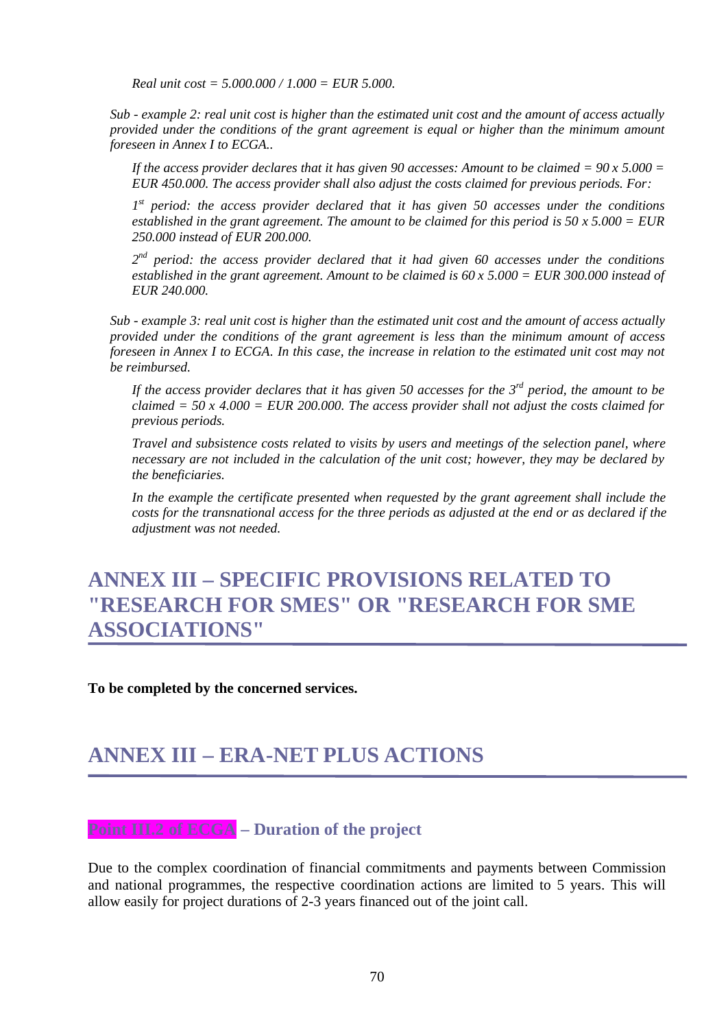*Real unit cost = 5.000.000 / 1.000 = EUR 5.000.*

*Sub - example 2: real unit cost is higher than the estimated unit cost and the amount of access actually provided under the conditions of the grant agreement is equal or higher than the minimum amount foreseen in Annex I to ECGA..*

*If the access provider declares that it has given 90 accesses: Amount to be claimed*  $= 90 \times 5.000 =$ *EUR 450.000. The access provider shall also adjust the costs claimed for previous periods. For:*

*1 st period: the access provider declared that it has given 50 accesses under the conditions established in the grant agreement. The amount to be claimed for this period is 50 x 5.000 = EUR 250.000 instead of EUR 200.000.*

*2 nd period: the access provider declared that it had given 60 accesses under the conditions established in the grant agreement. Amount to be claimed is 60 x 5.000 = EUR 300.000 instead of EUR 240.000.*

*Sub - example 3: real unit cost is higher than the estimated unit cost and the amount of access actually provided under the conditions of the grant agreement is less than the minimum amount of access foreseen in Annex I to ECGA. In this case, the increase in relation to the estimated unit cost may not be reimbursed.*

*If the access provider declares that it has given 50 accesses for the 3rd period, the amount to be claimed = 50 x 4.000 = EUR 200.000. The access provider shall not adjust the costs claimed for previous periods.*

*Travel and subsistence costs related to visits by users and meetings of the selection panel, where necessary are not included in the calculation of the unit cost; however, they may be declared by the beneficiaries.*

*In the example the certificate presented when requested by the grant agreement shall include the costs for the transnational access for the three periods as adjusted at the end or as declared if the adjustment was not needed.*

## **ANNEX III – SPECIFIC PROVISIONS RELATED TO "RESEARCH FOR SMES" OR "RESEARCH FOR SME ASSOCIATIONS"**

**To be completed by the concerned services.**

## **ANNEX III – ERA-NET PLUS ACTIONS**

### **Point III.2 of ECGA – Duration of the project**

Due to the complex coordination of financial commitments and payments between Commission and national programmes, the respective coordination actions are limited to 5 years. This will allow easily for project durations of 2-3 years financed out of the joint call.